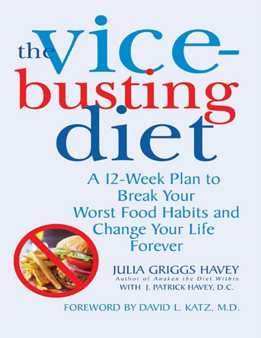# $th$ St1r

A 12-Week Plan to **Break Your** Worst Food Habits and Change Your Life Forever

> IA GRIGGS HAVEY hor of Awaken the Diet Within WITH J. PATRICK HAVEY, D.C.

FOREWORD BY DAVID L. KATZ, M.D.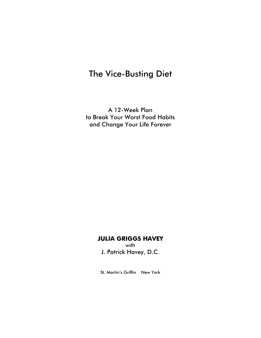# The Vice-Busting Diet

A 12-Week Plan to Break Your Worst Food Habits and Change Your Life Forever

## **JULIA GRIGGS HAVEY**

*with* J. Patrick Havey, D.C.

St. Martin's Griffin New York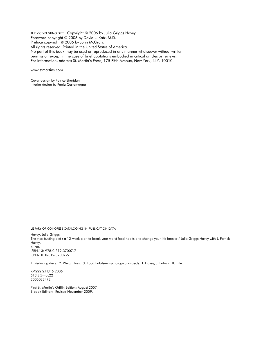THE VICE-BUSTING DIET. Copyright © 2006 by Julia Griggs Havey. Foreword copyright © 2006 by David L. Katz, M.D. Preface copyright © 2006 by John McGran. All rights reserved. Printed in the United States of America. No part of this book may be used or reproduced in any manner whatsoever without written permission except in the case of brief quotations embodied in critical articles or reviews. For information, address St. Martin's Press, 175 Fifth Avenue, New York, N.Y. 10010.

www.stmartins.com

Cover design by Patrice Sheridan Interior design by Paola Costamagna

LIBRARY OF CONGRESS CATALOGING-IN-PUBLICATION DATA

Havey, Julia Griggs. The vice-busting diet : a 12-week plan to break your worst food habits and change your life forever / Julia Griggs Havey with J. Patrick Havey. p. cm. ISBN-13: 978-0-312-37007-7 ISBN-10: 0-312-37007-5

1. Reducing diets. 2. Weight loss. 3. Food habits—Psychological aspects. I. Havey, J. Patrick. II. Title.

RM222.2.H316 2006 613.2'5—dc22 2005033472

First St. Martin's Griffin Edition: August 2007 E-book Edition: Revised November 2009.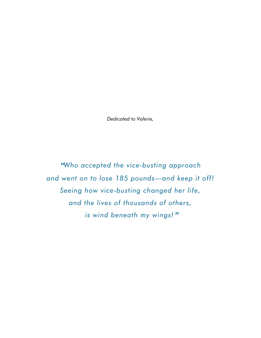*Dedicated to Valerie,*

**"***Who accepted the vice-busting approach and went on to lose 185 pounds—and keep it off! Seeing how vice-busting changed her life, and the lives of thousands of others, is wind beneath my wings!***"**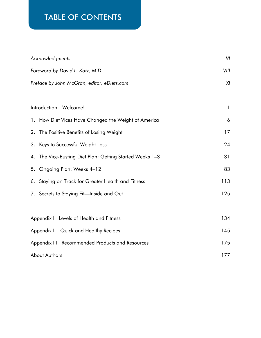# TABLE OF CONTENTS

| Acknowledgments                                          | VI           |
|----------------------------------------------------------|--------------|
| Foreword by David L. Katz, M.D.                          | VIII         |
| Preface by John McGran, editor, eDiets.com               | XI           |
|                                                          |              |
| Introduction-Welcome!                                    | $\mathbf{1}$ |
| 1. How Diet Vices Have Changed the Weight of America     | 6            |
| 2. The Positive Benefits of Losing Weight                | 17           |
| 3. Keys to Successful Weight Loss                        | 24           |
| 4. The Vice-Busting Diet Plan: Getting Started Weeks 1-3 | 31           |
| 5. Ongoing Plan: Weeks 4-12                              | 83           |
| 6. Staying on Track for Greater Health and Fitness       | 113          |
| 7. Secrets to Staying Fit-Inside and Out                 | 125          |
|                                                          |              |
| Appendix I Levels of Health and Fitness                  | 134          |
| Appendix II Quick and Healthy Recipes                    | 145          |
| Appendix III Recommended Products and Resources          | 175          |
| About Authors                                            | 177          |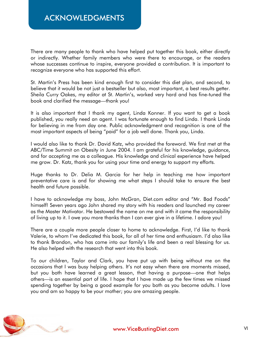There are many people to thank who have helped put together this book, either directly or indirectly. Whether family members who were there to encourage, or the readers whose successes continue to inspire, everyone provided a contribution. It is important to recognize everyone who has supported this effort.

St. Martin's Press has been kind enough first to consider this diet plan, and second, to believe that it would be not just a bestseller but also, most important, a best results getter. Sheila Curry Oakes, my editor at St. Martin's, worked very hard and has fine-tuned the book and clarified the message—thank you!

It is also important that I thank my agent, Linda Konner. If you want to get a book published, you really need an agent. I was fortunate enough to find Linda. I thank Linda for believing in me from day one. Public acknowledgment and recognition is one of the most important aspects of being "paid" for a job well done. Thank you, Linda.

I would also like to thank Dr. David Katz, who provided the foreword. We first met at the ABC/Time Summit on Obesity in June 2004. I am grateful for his knowledge, guidance, and for accepting me as a colleague. His knowledge and clinical experience have helped me grow. Dr. Katz, thank you for using your time and energy to support my efforts.

Huge thanks to Dr. Delia M. Garcia for her help in teaching me how important preventative care is and for showing me what steps I should take to ensure the best health and future possible.

I have to acknowledge my boss, John McGran, Diet.com editor and "Mr. Bad Foods" himself! Seven years ago John shared my story with his readers and launched my career as the Master Motivator. He bestowed the name on me and with it came the responsibility of living up to it. I owe you more thanks than I can ever give in a lifetime. I adore you!

There are a couple more people closer to home to acknowledge. First, I'd like to thank Valerie, to whom I've dedicated this book, for all of her time and enthusiasm. I'd also like to thank Brandon, who has come into our family's life and been a real blessing for us. He also helped with the research that went into this book.

To our children, Taylor and Clark, you have put up with being without me on the occasions that I was busy helping others. It's not easy when there are moments missed, but you both have learned a great lesson, that having a purpose—one that helps others—is an essential part of life. I hope that I have made up the few times we missed spending together by being a good example for you both as you become adults. I love you and am so happy to be your mother; you are amazing people.

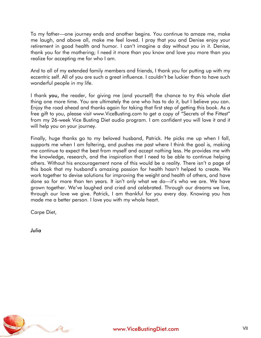To my father—one journey ends and another begins. You continue to amaze me, make me laugh, and above all, make me feel loved. I pray that you and Denise enjoy your retirement in good health and humor. I can't imagine a day without you in it. Denise, thank you for the mothering; I need it more than you know and love you more than you realize for accepting me for who I am.

And to all of my extended family members and friends, I thank you for putting up with my eccentric self. All of you are such a great influence. I couldn't be luckier than to have such wonderful people in my life.

I thank you, the reader, for giving me (and yourself) the chance to try this whole diet thing one more time. You are ultimately the one who has to do it, but I believe you can. Enjoy the road ahead and thanks again for taking that first step of getting this book. As a free gift to you, please visit www.ViceBusting.com to get a copy of "Secrets of the Fittest" from my 26-week Vice Busting Diet audio program. I am confident you will love it and it will help you on your journey.

Finally, huge thanks go to my beloved husband, Patrick. He picks me up when I fall, supports me when I am faltering, and pushes me past where I think the goal is, making me continue to expect the best from myself and accept nothing less. He provides me with the knowledge, research, and the inspiration that I need to be able to continue helping others. Without his encouragement none of this would be a reality. There isn't a page of this book that my husband's amazing passion for health hasn't helped to create. We work together to devise solutions for improving the weight and health of others, and have done so for more than ten years. It isn't only what we do—it's who we are. We have grown together. We've laughed and cried and celebrated. Through our dreams we live, through our love we give. Patrick, I am thankful for you every day. Knowing you has made me a better person. I love you with my whole heart.

Carpe Diet,

*Julia* 

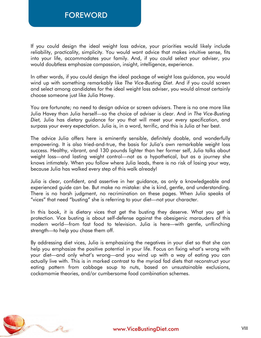# FOREWORD

If you could design the ideal weight loss advice, your priorities would likely include reliability, practicality, simplicity. You would want advice that makes intuitive sense, fits into your life, accommodates your family. And, if you could select your adviser, you would doubtless emphasize compassion, insight, intelligence, experience.

In other words, if you could design the ideal package of weight loss guidance, you would wind up with something remarkably like *The Vice-Busting Diet.* And if you could screen and select among candidates for the ideal weight loss adviser, you would almost certainly choose someone just like Julia Havey.

You are fortunate; no need to design advice or screen advisers. There is no one more like Julia Havey than Julia herself—so the choice of adviser is clear. And in *The Vice-Busting Diet,* Julia has dietary guidance for you that will meet your every specification, and surpass your every expectation. Julia is, in a word, terrific, and this is Julia at her best.

The advice Julia offers here is eminently sensible, definitely doable, and wonderfully empowering. It is also tried-and-true, the basis for Julia's own remarkable weight loss success. Healthy, vibrant, and 130 pounds lighter than her former self, Julia talks about weight loss—and lasting weight control—not as a hypothetical, but as a journey she knows intimately. When you follow where Julia leads, there is no risk of losing your way, because Julia has walked every step of this walk already!

Julia is clear, confident, and assertive in her guidance, as only a knowledgeable and experienced guide can be. But make no mistake: she is kind, gentle, and understanding. There is no harsh judgment, no recrimination on these pages. When Julia speaks of "vices" that need "busting" she is referring to your diet—not your character.

In this book, it is dietary vices that get the busting they deserve. What you get is protection. Vice busting is about self-defense against the obesigenic marauders of this modern world—from fast food to television. Julia is here—with gentle, unflinching strength—to help you chase them off.

By addressing diet vices, Julia is emphasizing the negatives in your diet so that she can help you emphasize the positive potential in your life. Focus on fixing what's wrong with your diet—and only what's wrong—and you wind up with a way of eating you can actually live with. This is in marked contrast to the myriad fad diets that reconstruct your eating pattern from cabbage soup to nuts, based on unsustainable exclusions, cockamamie theories, and/or cumbersome food combination schemes.

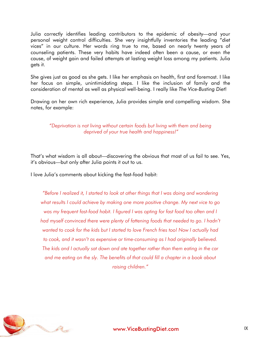Julia correctly identifies leading contributors to the epidemic of obesity—and your personal weight control difficulties. She very insightfully inventories the leading "diet vices" in our culture. Her words ring true to me, based on nearly twenty years of counseling patients. These very habits have indeed often been a cause, or even *the* cause, of weight gain and failed attempts at lasting weight loss among my patients. Julia gets it.

She gives just as good as she gets. I like her emphasis on health, first and foremost. I like her focus on simple, unintimidating steps. I like the inclusion of family and the consideration of mental as well as physical well-being. I really like *The Vice-Busting Diet*!

Drawing on her own rich experience, Julia provides simple and compelling wisdom. She notes, for example:

#### *"Deprivation is not living without certain foods but living with them and being deprived of your true health and happiness!"*

That's what wisdom is all about—discovering the obvious that most of us fail to see. Yes, it's obvious—but only after Julia points it out to us.

I love Julia's comments about kicking the fast-food habit:

*"Before I realized it, I started to look at other things that I was doing and wondering what results I could achieve by making one more positive change. My next vice to go was my frequent fast-food habit. I figured I was opting for fast food too often and I*  had myself convinced there were plenty of fattening foods that needed to go. I hadn't *wanted to cook for the kids but I started to love French fries too! Now I actually had to cook, and it wasn't as expensive or time-consuming as I had originally believed. The kids and I actually sat down and ate together rather than them eating in the car*  and me eating on the sly. The benefits of that could fill a chapter in a book about *raising children."* 

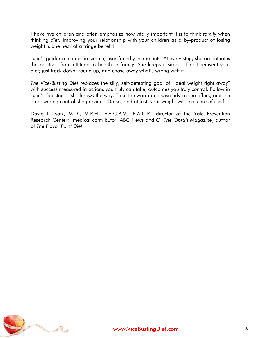I have five children and often emphasize how vitally important it is to think *family* when thinking *diet*. Improving your relationship with your children as a by-product of losing weight is one heck of a fringe benefit!

Julia's guidance comes in simple, user-friendly increments. At every step, she accentuates the positive, from attitude to health to family. She keeps it simple. Don't reinvent your diet; just track down, round up, and chase away what's wrong with it.

*The Vice-Busting Diet* replaces the silly, self-defeating goal of "ideal weight right away" with success measured in actions you truly can take, outcomes you truly control. Follow in Julia's footsteps—she knows the way. Take the warm and wise advice she offers, and the empowering control she provides. Do so, and at last, your weight will take care of itself!

David L. Katz, M.D., M.P.H., F.A.C.P.M., F.A.C.P., director of the Yale Prevention Research Center; medical contributor, ABC News and *O, The Oprah Magazine*; author of *The Flavor Point Diet*

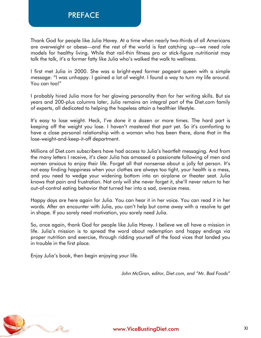# **PREFACE**

Thank God for people like Julia Havey. At a time when nearly two-thirds of all Americans are overweight or obese—and the rest of the world is fast catching up—we need role models for healthy living. While that rail-thin fitness pro or stick-figure nutritionist may talk the talk, it's a former fatty like Julia who's walked the walk to wellness.

I first met Julia in 2000. She was a bright-eyed former pageant queen with a simple message: "I was unhappy. I gained a lot of weight. I found a way to turn my life around. You can too!"

I probably hired Julia more for her glowing personality than for her writing skills. But six years and 200-plus columns later, Julia remains an integral part of the Diet.com family of experts, all dedicated to helping the hopeless attain a healthier lifestyle.

It's easy to lose weight. Heck, I've done it a dozen or more times. The hard part is keeping off the weight you lose. I haven't mastered that part yet. So it's comforting to have a close personal relationship with a woman who has been there, done that in the lose-weight-and-keep-it-off department.

Millions of Diet.com subscribers have had access to Julia's heartfelt messaging. And from the many letters I receive, it's clear Julia has amassed a passionate following of men and women anxious to enjoy their life. Forget all that nonsense about a jolly fat person. It's not easy finding happiness when your clothes are always too tight, your health is a mess, and you need to wedge your widening bottom into an airplane or theater seat. Julia knows that pain and frustration. Not only will she never forget it, she'll never return to her out-of-control eating behavior that turned her into a sad, oversize mess.

Happy days are here again for Julia. You can hear it in her voice. You can read it in her words. After an encounter with Julia, you can't help but come away with a resolve to get in shape. If you sorely need motivation, you sorely need Julia.

So, once again, thank God for people like Julia Havey. I believe we all have a mission in life. Julia's mission is to spread the word about redemption and happy endings via proper nutrition and exercise, through ridding yourself of the food vices that landed you in trouble in the first place.

Enjoy Julia's book, then begin enjoying your life.

*John McGran, editor, Diet.com, and "Mr. Bad Foods"* 



www.ViceBustingDiet.com XI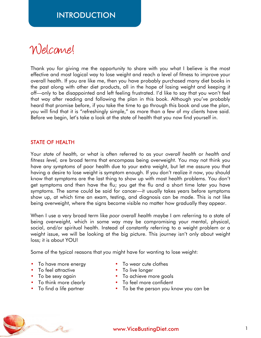# Welcome!

Thank you for giving me the opportunity to share with you what I believe is the most effective and most logical way to lose weight and reach a level of fitness to improve your overall health. If you are like me, then you have probably purchased many diet books in the past along with other diet products, all in the hope of losing weight and keeping it off—only to be disappointed and left feeling frustrated. I'd like to say that you won't feel that way after reading and following the plan in this book. Although you've probably heard that promise before, if you take the time to go through this book and use the plan, you will find that it is "refreshingly simple," as more than a few of my clients have said. Before we begin, let's take a look at the state of health that you now find yourself in.

#### STATE OF HEALTH

Your *state of health,* or what is often referred to as your *overall health* or *health and fitness level,* are broad terms that encompass being overweight. You may not think you have any *symptoms* of poor health due to your extra weight, but let me assure you that having a desire to lose weight is symptom enough. If you don't realize it now, you should know that symptoms are the last thing to show up with most health problems. You don't get symptoms and then have the flu; you get the flu and a short time later you have symptoms. The same could be said for cancer—it usually takes years before symptoms show up, at which time an exam, testing, and diagnosis can be made. This is not like being overweight, where the signs become visible no matter how gradually they appear.

When I use a very broad term like *poor overall health* maybe I am referring to a state of being *overweight,* which in some way may be compromising your mental, physical, social, and/or spiritual health. Instead of constantly referring to a weight problem or a weight issue, we will be looking at the big picture. This journey isn't only about weight loss; it is about YOU!

Some of the typical reasons that *you* might have for wanting to lose weight:

- To have more energy **•** To wear cute clothes
- To feel attractive To live longer
- 
- 
- 
- 
- 
- To be sexy again To achieve more goals
- To think more clearly To feel more confident
- To find a life partner To be the person you know you can be



#### www.ViceBustingDiet.com 1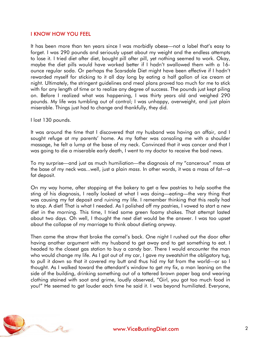#### I KNOW HOW YOU FEEL

It has been more than ten years since I was morbidly obese—not a label that's easy to forget. I was 290 pounds and seriously upset about my weight and the endless attempts to lose it. I tried diet after diet, bought pill after pill, yet nothing seemed to work. Okay, maybe the diet pills would have worked better if I hadn't swallowed them with a 16 ounce regular soda. Or perhaps the Scarsdale Diet might have been effective if I hadn't rewarded myself for sticking to it all day long by eating a half gallon of ice cream at night. Ultimately, the stringent guidelines and meal plans proved too much for me to stick with for any length of time or to realize any degree of success. The pounds just kept piling on. Before I realized what was happening, I was thirty years old and weighed 290 pounds. My life was tumbling out of control; I was unhappy, overweight, and just plain miserable. Things just had to change and thankfully, they did.

I lost 130 pounds.

It was around the time that I discovered that my husband was having an affair, and I sought refuge at my parents' home. As my father was consoling me with a shoulder massage, he felt a lump at the base of my neck. Convinced that it was cancer and that I was going to die a miserable early death, I went to my doctor to receive the bad news.

To my surprise—and just as much humiliation—the diagnosis of my "cancerous" mass at the base of my neck was...well, just a plain *mass*. In other words, it was a mass of *fat*—a fat deposit.

On my way home, after stopping at the bakery to get a few pastries to help soothe the sting of his diagnosis, I really looked at what I was doing—eating—the very thing that was causing my fat deposit and ruining my life. I remember thinking that this really had to stop. A diet! That is what I needed. As I polished off my pastries, I vowed to start a new diet in the morning. This time, I tried some green foamy shakes. That attempt lasted about two days. Oh well, I thought the next diet would be the answer. I was too upset about the collapse of my marriage to think about dieting anyway.

Then came the straw that broke the camel's back. One night I rushed out the door after having another argument with my husband to get away and to get something to eat. I headed to the closest gas station to buy a candy bar. There I would encounter the man who would change my life. As I got out of my car, I gave my sweatshirt the obligatory tug, to pull it down so that it covered my butt and thus hid my fat from the world—or so I thought. As I walked toward the attendant's window to get my fix, a man leaning on the side of the building, drinking something out of a tattered brown paper bag and wearing clothing stained with soot and grime, loudly observed, "Girl, you got too much food in you!" He seemed to get louder each time he said it. I was beyond humiliated. Everyone,



#### www.ViceBustingDiet.com 2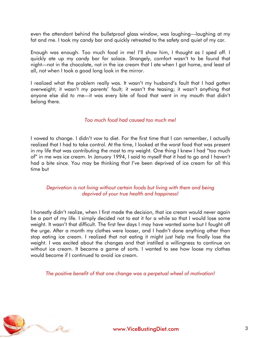even the attendant behind the bulletproof glass window, was laughing—laughing at my fat and me. I took my candy bar and quickly retreated to the safety and quiet of my car.

Enough was enough. Too much food in me! I'll show him, I thought as I sped off. I quickly ate up my candy bar for solace. Strangely, comfort wasn't to be found that night—not in the chocolate, not in the ice cream that I ate when I got home, and least of all, not when I took a good long look in the mirror.

I realized what the problem really was. It wasn't my husband's fault that I had gotten overweight; it wasn't my parents' fault; it wasn't the teasing; it wasn't anything that anyone else did *to* me—it was every bite of food that went in my mouth that didn't belong there.

#### *Too much food had caused too much me!*

I vowed to change. I didn't vow to diet. For the first time that I can remember, I actually realized that I had to take control. At the time, I looked at the worst food that was present in my life that was contributing the most to my weight. One thing I knew I had "too much of" in me was ice cream. In January 1994, I said to myself that it had to go and I haven't had a bite since. You may be thinking that I've been deprived of ice cream for all this time but

#### *Deprivation is not living without certain foods but living with them and being deprived of your true health and happiness!*

I honestly didn't realize, when I first made the decision, that ice cream would *never* again be a part of my life. I simply decided not to eat it for a while so that I would lose some weight. It wasn't that difficult. The first few days I may have wanted some but I fought off the urge. After a month my clothes were looser, and I hadn't done anything other than stop eating ice cream. I realized that not eating it might just help me finally lose the weight. I was excited about the changes and that instilled a willingness to continue on without ice cream. It became a game of sorts. I wanted to see how loose my clothes would become if I continued to avoid ice cream.

*The positive benefit of that one change was a perpetual wheel of motivation!* 

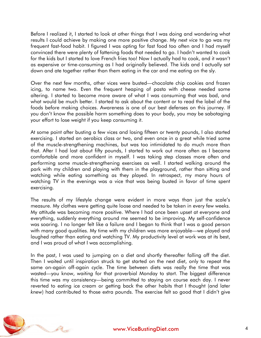Before I realized it, I started to look at other things that I was doing and wondering what results I could achieve by making one more positive change. My next *vice* to go was my frequent fast-food habit. I figured I was opting for fast food too often and I had myself convinced there were plenty of fattening foods that needed to go. I hadn't wanted to cook for the kids but I started to love French fries too! Now I actually had to cook, and it wasn't as expensive or time-consuming as I had originally believed. The kids and I actually sat down and ate together rather than them eating in the car and me eating on the sly.

Over the next few months, other vices were busted—chocolate chip cookies and frozen icing, to name two. Even the frequent heaping of pasta with cheese needed some altering. I started to become more aware of what I was consuming that was bad, and what would be much better. I started to ask about the content or to read the label of the foods before making choices. Awareness is one of our best defenses on this journey. If you don't know the possible harm something does to your body, you may be sabotaging your effort to lose weight if you keep consuming it.

At some point after busting a few vices and losing fifteen or twenty pounds, I also started exercising. I started an aerobics class or two, and even once in a great while tried some of the muscle-strengthening machines, but was too intimidated to do much more than that. After I had lost about fifty pounds, I started to work out more often as I became comfortable and more confident in myself. I was taking step classes more often and performing some muscle-strengthening exercises as well. I started walking around the park with my children and playing with them in the playground, rather than sitting and watching while eating something as they played. In retrospect, my many hours of watching TV in the evenings was a vice that was being busted in favor of time spent exercising.

The results of my lifestyle change were evident in more ways than just the scale's measure. My clothes were getting quite loose and needed to be taken in every few weeks. My attitude was becoming more positive. Where I had once been upset at everyone and everything, suddenly everything around me seemed to be improving. My self-confidence was soaring. I no longer felt like a failure and I began to think that I was a good person with many good qualities. My time with my children was more enjoyable—we played and laughed rather than eating and watching TV. My productivity level at work was at its best, and I was proud of what I was accomplishing.

In the past, I was used to jumping on a diet and shortly thereafter falling off the diet. Then I waited until inspiration struck to get started on the next diet, only to repeat the same on-again off-again cycle. The time between diets was really the time that was wasted—you know, *waiting* for that proverbial Monday to start. The biggest difference this time was my consistency—being committed to staying on course each day. I never reverted to eating ice cream or getting back the other habits that I thought (and later *knew*) had contributed to those extra pounds. The exercise felt so good that I didn't give



#### www.ViceBustingDiet.com 4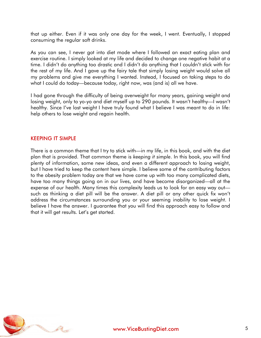that up either. Even if it was only one day for the week, I went. Eventually, I stopped consuming the regular soft drinks.

As you can see, I never got into diet mode where I followed an exact eating plan and exercise routine. I simply looked at my life and decided to change one negative habit at a time. I didn't do anything too drastic and I didn't do anything that I couldn't stick with for the rest of my life. And I gave up the fairy tale that simply losing weight would solve all my problems and give me everything I wanted. Instead, I focused on taking steps to do what I could do today—because today, right now, was (and is) all we have.

I had gone through the difficulty of being overweight for many years, gaining weight and losing weight, only to yo-yo and diet myself up to 290 pounds. It wasn't healthy—I wasn't healthy. Since I've lost weight I have truly found what I believe I was meant to do in life: help others to lose weight and regain health.

#### KEEPING IT SIMPLE

There is a common theme that I try to stick with—in my life, in this book, and with the diet plan that is provided. That common theme is *keeping it simple*. In this book, you will find plenty of information, some new ideas, and even a different approach to losing weight, but I have tried to keep the content here simple. I believe some of the contributing factors to the obesity problem today are that we have come up with too many complicated diets, have too many things going on in our lives, and have become disorganized—all at the expense of our health. Many times this complexity leads us to look for an easy way out such as thinking a diet pill will be the answer. A diet pill or any other quick fix won't address the circumstances surrounding you or your seeming inability to lose weight. I believe I have the answer. I guarantee that you will find this approach easy to follow and that it will get results. Let's get started.

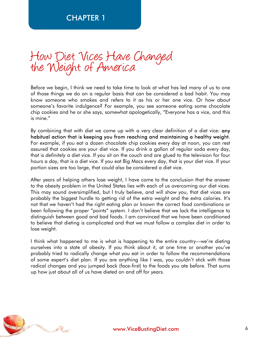## CHAPTER 1

How Diet Vices Have Changed the Weight of America

Before we begin, I think we need to take time to look at what has led many of us to one of those things we do on a regular basis that can be considered a bad habit. You may know someone who smokes and refers to it as his or her one vice. Or how about someone's favorite indulgence? For example, you see someone eating some chocolate chip cookies and he or she says, somewhat apologetically, "Everyone has a vice, and this is mine."

By combining that with diet we come up with a very clear definition of a diet vice: any habitual action that is keeping you from reaching and maintaining a healthy weight. For example, if you eat a dozen chocolate chip cookies every day at noon, you can rest assured that cookies are your diet vice. If you drink a gallon of regular soda every day, that is *definitely* a diet vice. If you sit on the couch and are glued to the television for four hours a day, that is a diet vice. If you eat Big Macs every day, that is your diet vice. If your portion sizes are too large, that could also be considered a diet vice.

After years of helping others lose weight, I have come to the conclusion that the answer to the obesity problem in the United States lies with each of us overcoming our diet vices. This may sound oversimplified, but I truly believe, and will show you, that diet vices are probably the biggest hurdle to getting rid of the extra weight and the extra calories. It's not that we haven't had the right eating plan or known the correct food combinations or been following the proper "points" system. I don't believe that we lack the intelligence to distinguish between good and bad foods. I am convinced that we have been conditioned to believe that dieting is complicated and that we must follow a complex diet in order to lose weight.

I think what happened to me is what is happening to the entire country—we're dieting ourselves into a state of obesity. If you think about it, at one time or another you've probably tried to radically change what you eat in order to follow the recommendations of some expert's diet plan. If you are anything like I was, you couldn't stick with those radical changes and you jumped back (face-first) to the foods you ate before. That sums up how just about all of us have dieted on and off for years.

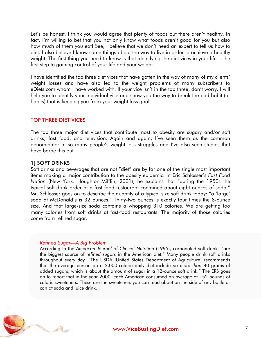Let's be honest. I think you would agree that plenty of foods out there aren't healthy. In fact, I'm willing to bet that you not only know what foods aren't good for you but also how much of them you eat! See, I believe that we don't need an expert to tell us how to diet. I also believe I know some things about the way to live in order to achieve a healthy weight. The first thing you need to know is that identifying the diet vices in your life is the first step to gaining control of your life and your weight.

I have identified the top three diet vices that have gotten in the way of many of my clients' weight losses and have also led to the weight problems of many subscribers to eDiets.com whom I have worked with. If your vice isn't in the top three, don't worry. I will help you to identify your individual vice and show you the way to break the bad habit (or habits) that is keeping you from your weight loss goals.

#### TOP THREE DIET VICES

The top three major diet vices that contribute most to obesity are sugary and/or soft drinks, fast food, and television. Again and again, I've seen them as the common denominator in so many people's weight loss struggles and I've also seen studies that have borne this out.

#### 1] SOFT DRINKS

Soft drinks and beverages that are not "diet" are by far one of the single most important items making a major contribution to the obesity epidemic. In Eric Schlosser's *Fast Food Nation* (New York: Houghton-Mifflin, 2001), he explains that "during the 1950s the typical soft-drink order at a fast-food restaurant contained about eight ounces of soda." Mr. Schlosser goes on to describe the quantity of a typical size soft drink today: "a 'large' soda at McDonald's is 32 ounces." Thirty-two ounces is exactly four times the 8-ounce size. And that large-size soda contains a whopping 310 calories. We are getting too many calories from soft drinks at fast-food restaurants. The majority of those calories come from refined sugar.

#### *Refined Sugar—A Big Problem*

According to the *American Journal of Clinical Nutrition* (1995), carbonated soft drinks "are the biggest source of *refined sugars* in the American diet." Many people drink soft drinks throughout every day. "The USDA [United States Department of Agriculture] recommends that the average person on a 2,000-calorie daily diet include *no more than* 40 grams of added sugars, which is about the amount of sugar in a 12-ounce soft drink." The ERS goes on to report that in the year 2000, each American consumed an average of 152 pounds of caloric sweeteners. These are the sweeteners you can read about on the side of any bottle or can of soda and juice drink.



#### www.ViceBustingDiet.com 7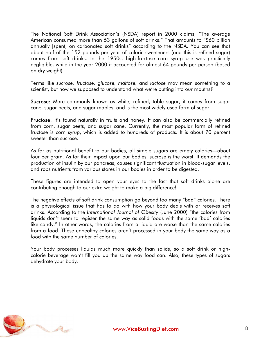The National Soft Drink Association's (NSDA) report in 2000 claims, "The average American consumed more than 53 gallons of soft drinks." That amounts to "\$60 billion annually [spent] on carbonated soft drinks" according to the NSDA. You can see that about half of the 152 pounds per year of caloric sweeteners (and this is refined sugar) comes from soft drinks. In the 1950s, high-fructose corn syrup use was practically negligible, while in the year 2000 it accounted for almost 64 pounds per person (based on dry weight).

Terms like *sucrose, fructose, glucose, maltose,* and *lactose* may mean something to a scientist, but how we supposed to understand what we're putting into our mouths?

Sucrose: More commonly known as white, refined, table sugar, it comes from sugar cane, sugar beets, and sugar maples, and is the most widely used form of sugar.

Fructose: It's found naturally in fruits and honey. It can also be commercially refined from corn, sugar beets, and sugar cane. Currently, the most popular form of refined fructose is corn syrup, which is added to hundreds of products. It is about 70 percent sweeter than sucrose.

As far as nutritional benefit to our bodies, all simple sugars are empty calories—about four per gram. As for their impact upon our bodies, sucrose is the worst. It demands the production of insulin by our pancreas, causes significant fluctuation in blood-sugar levels, and robs nutrients from various stores in our bodies in order to be digested.

These figures are intended to open your eyes to the fact that soft drinks alone are contributing enough to our extra weight to make a big difference!

The negative effects of soft drink consumption go beyond too many "bad" calories. There is a physiological issue that has to do with how your body deals with or receives soft drinks. According to the *International Journal of Obesity* (June 2000) "the calories from liquids don't seem to register the same way as solid foods with the same 'bad' calories like candy." In other words, the calories from a liquid are worse than the same calories from a food. These unhealthy calories aren't processed in your body the same way as a food with the same number of calories.

Your body processes liquids much more quickly than solids, so a soft drink or highcalorie beverage won't fill you up the same way food can. Also, these types of sugars dehydrate your body.

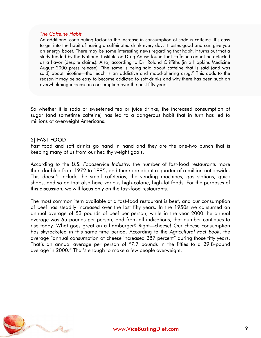#### *The Caffeine Habit*

An additional contributing factor to the increase in consumption of soda is caffeine. It's easy to get into the habit of having a caffeinated drink every day. It tastes good and can give you an energy boost. There may be some interesting news regarding that habit. It turns out that a study funded by the National Institute on Drug Abuse found that caffeine cannot be detected as a flavor (despite claims). Also, according to Dr. Roland Griffiths (in a Hopkins Medicine August 2000 press release), "the same is being said about caffeine that is said (and was said) about nicotine—that each is an addictive and mood-altering drug." This adds to the reason it may be so easy to become addicted to soft drinks and why there has been such an overwhelming increase in consumption over the past fifty years.

So whether it is soda or sweetened tea or juice drinks, the increased consumption of sugar (and sometime caffeine) has led to a dangerous habit that in turn has led to millions of overweight Americans.

#### 2] FAST FOOD

Fast food and soft drinks go hand in hand and they are the one-two punch that is keeping many of us from our healthy weight goals.

According to the *U.S. Foodservice Industry,* the number of fast-food restaurants more than doubled from 1972 to 1995, and there are about a quarter of a million nationwide. This doesn't include the small cafeterias, the vending machines, gas stations, quick shops, and so on that also have various high-calorie, high-fat foods. For the purposes of this discussion, we will focus only on the fast-food restaurants.

The most common item available at a fast-food restaurant is beef, and our consumption of beef has steadily increased over the last fifty years. In the 1950s we consumed an annual average of 53 pounds of beef per person, while in the year 2000 the annual average was 65 pounds per person, and from all indications, that number continues to rise today. What goes great on a hamburger? Right—cheese! Our cheese consumption has skyrocketed in this same time period. According to the *Agricultural Fact Book*, the average "annual consumption of cheese increased 287 percent" during those fifty years. That's an annual average per person of "7.7 pounds in the fifties to a 29.8-pound average in 2000." That's enough to make a few people overweight.

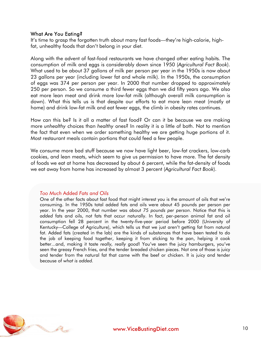#### What Are You Eating?

It's time to grasp the forgotten truth about many fast foods—they're high-calorie, highfat, unhealthy foods that don't belong in your diet.

Along with the advent of fast-food restaurants we have changed other eating habits. The consumption of milk and eggs is considerably down since 1950 (*Agricultural Fact Book*). What used to be about 37 gallons of milk per person per year in the 1950s is now about 23 gallons per year (including lower fat and whole milk). In the 1950s, the consumption of eggs was 374 per person per year. In 2000 that number dropped to approximately 250 per person. So we consume a third fewer eggs than we did fifty years ago. We also eat more lean meat and drink more low-fat milk (although overall milk consumption is down). What this tells us is that despite our efforts to eat more lean meat (mostly at home) and drink low-fat milk and eat fewer eggs, the climb in obesity rates continues.

How can this be? Is it all a matter of fast food? Or can it be because we are making more *unhealthy* choices than *healthy* ones? In reality it is a little of both. Not to mention the fact that even when we order something healthy we are getting huge portions of it. Most restaurant meals contain portions that could feed a few people.

We consume more bad stuff because we now have light beer, low-fat crackers, low-carb cookies, and lean meats, which seem to give us permission to have more. The fat density of foods we eat at home has decreased by about 6 percent, while the fat-density of foods we eat away from home has increased by almost 3 percent (*Agricultural Fact Book*).

#### *Too Much* Added *Fats and Oils*

One of the other facts about fast food that might interest you is the amount of oils that we're consuming. In the 1950s total added fats and oils were about 45 pounds per person per year. In the year 2000, that number was about *75 pounds per person*. Notice that this is *added* fats and oils, not fats that occur naturally. In fact, per-person animal fat and oil consumption fell 28 percent in the twenty-five-year period before 2000 (University of Kentucky—College of Agriculture), which tells us that we just aren't getting fat from natural fat. Added fats (created in the lab) are the kinds of substances that have been tested to do the job of keeping food together, keeping it from sticking to the pan, helping it cook better...and, making it taste *really, really good*! You've seen the juicy hamburgers, you've seen the greasy French fries, and the tender breaded chicken pieces. Not one of those is juicy and tender from the natural fat that came with the beef or chicken. It is juicy and tender because of *what is added.*

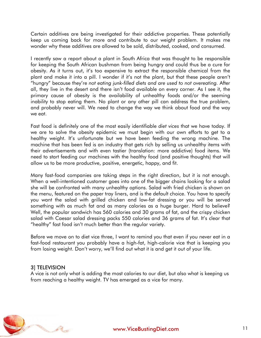Certain additives are being investigated for their addictive properties. These potentially keep us coming back for more and contribute to our weight problem. It makes me wonder why these additives are allowed to be sold, distributed, cooked, and consumed.

I recently saw a report about a plant in South Africa that was thought to be responsible for keeping the South African bushman from being hungry and could thus be a cure for obesity. As it turns out, it's too expensive to extract the responsible chemical from the plant and make it into a pill. I wonder if it's not the plant, but that these people aren't "hungry" because they're *not eating junk-filled diets and are used to not overeating.* After all, they live in the desert and there isn't food available on every corner. As I see it, the primary cause of obesity is the availability of unhealthy foods and/or the seeming inability to stop eating them. No plant or any other pill can address the true problem, and probably never will. We need to change the way we think about food and the way we eat.

Fast food is definitely one of the most easily identifiable *diet vices* that we have today. If we are to solve the obesity epidemic we must begin with our own efforts to get to a healthy weight. It's unfortunate but we have been feeding the wrong machine. The machine that has been fed is an industry that gets rich by selling us unhealthy items with their advertisements and with even tastier (translation: more addictive) food items. We need to start feeding *our* machines with the healthy food (and positive thoughts) that will allow us to be more productive, positive, energetic, happy, and fit.

Many fast-food companies are taking steps in the right direction, but it is not enough. When a well-intentioned customer goes into one of the bigger chains looking for a salad she will be confronted with many unhealthy options. Salad with fried chicken is shown on the menu, featured on the paper tray liners, and is the default choice. You have to specify you want the salad with grilled chicken and low-fat dressing or you will be served something with as much fat and as many calories as a huge burger. Hard to believe? Well, the popular sandwich has 560 calories and 30 grams of fat, and the crispy chicken salad with Caesar salad dressing packs 550 calories and 36 grams of fat. It's clear that "healthy" fast food isn't much better than the regular variety.

Before we move on to diet vice three, I want to remind you that even if you never eat in a fast-food restaurant you probably have a high-fat, high-calorie vice that is keeping you from losing weight. Don't worry, we'll find out what it is and get it out of your life.

#### 3] TELEVISION

A vice is not only what is adding the most calories to our diet, but also what is keeping us from reaching a healthy weight. TV has emerged as a vice for many.

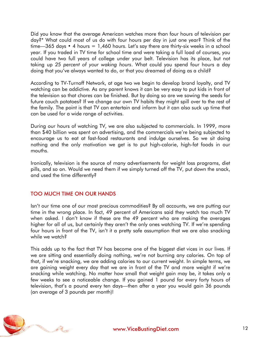Did you know that the average American watches more than four hours of television per day?\* What could most of us do with four hours per day in just one year? Think of the time—365 days • 4 hours = 1,460 hours. Let's say there are thirty-six weeks in a school year. If you traded in TV time for school time and were taking a full load of courses, you could have two full years of college under your belt. Television has its place, but not taking up *25 percent of your waking hours*. What could you spend four hours a day doing that you've always wanted to do, or that you dreamed of doing as a child?

According to TV-Turnoff Network, at age two we begin to develop brand loyalty, and TV watching can be addictive. As any parent knows it can be very easy to put kids in front of the television so that chores can be finished. But by doing so are we sowing the seeds for future couch potatoes? If we change our own TV habits they might spill over to the rest of the family. The point is that TV can entertain and inform but it can also suck up time that can be used for a wide range of activities.

During our hours of watching TV, we are also subjected to commercials. In 1999, more than \$40 billion was spent on advertising, and the commercials we're being subjected to encourage us to eat at fast-food restaurants and indulge ourselves. So we sit doing nothing and the only motivation we get is to put high-calorie, high-fat foods in our mouths.

Ironically, television is the source of many advertisements for weight loss programs, diet pills, and so on. Would we need them if we simply turned off the TV, put down the snack, and used the time differently?

#### TOO MUCH TIME ON OUR HANDS

Isn't our time one of our most precious commodities? By all accounts, we are putting our time in the wrong place. In fact, 49 percent of Americans said they watch too much TV when asked. I don't know if these are the 49 percent who are making the averages higher for all of us, but certainly they aren't the only ones watching TV. If we're spending four hours in front of the TV, isn't it a pretty safe assumption that we are also snacking while we watch?

This adds up to the fact that TV has become one of the biggest diet vices in our lives. If we are sitting and essentially doing nothing, we're not burning any calories. On top of that, if we're snacking, we are adding calories to our current weight. In simple terms, we are gaining weight every day that we are in front of the TV and more weight if we're snacking while watching. No matter how small that weight gain may be, it takes only a few weeks to see a noticeable change. If you gained 1 pound for every forty hours of television, that's a pound every ten days—then after a year you would gain 36 pounds (an average of 3 pounds per month)!

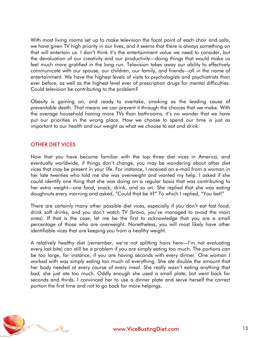With most living rooms set up to make television the focal point of each chair and sofa, we have given TV high priority in our lives, and it seems that there is always something on that will entertain us. I don't think it's the entertainment value we need to consider, but the devaluation of our creativity and our productivity—doing things that would make us feel much more gratified in the long run. Television takes away our ability to effectively communicate with our spouse, our children, our family, and friends—all in the name of entertainment. We have the highest levels of visits to psychologists and psychiatrists than ever before, as well as the highest level ever of prescription drugs for mental difficulties. Could television be contributing to the problem?

Obesity is gaining on, and ready to overtake, smoking as the leading cause of *preventable* death. That means we can prevent it through the choices that we make. With the average household having more TVs than bathrooms, it's no wonder that we have put our priorities in the wrong place. How we choose to spend our time is just as important to our health and our weight as what we choose to eat and drink.

#### OTHER DIET VICES

Now that you have become familiar with the top three diet vices in America, and eventually worldwide, if things don't change, you may be wondering about other diet vices that may be present in your life. For instance, I received an e-mail from a woman in her late twenties who told me she was overweight and wanted my help. I asked if she could identify one thing that she was doing on a regular basis that was contributing to her extra weight—one food, snack, drink, and so on. She replied that she was eating doughnuts every morning and asked, "Could that be it?" To which I replied, "You bet!"

There are certainly many other possible diet vices, especially if you don't eat fast food, drink soft drinks, and you don't watch TV (bravo, you've managed to avoid the main ones). If that is the case, let me be the first to acknowledge that you are a small percentage of those who are overweight. Nonetheless, you will most likely have other identifiable vices that are keeping you from a healthy weight.

A relatively healthy diet (remember, we're not splitting hairs here—I'm not evaluating every last bite) can still be a problem if you are simply eating too much. The portions can be too large, for instance, if you are having seconds with every dinner. One woman I worked with was simply eating too much of everything. She ate double the amount that her body needed at every course of every meal. She really wasn't eating anything *that bad,* she just ate too much. Oddly enough she used a small plate, but went back for seconds and thirds. I convinced her to use a dinner plate and serve herself the correct portion the first time and not to go back for more helpings.

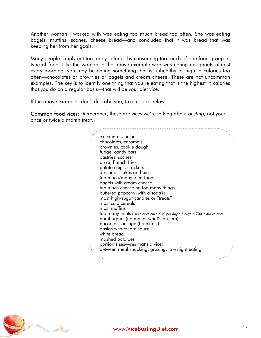Another woman I worked with was eating too much bread too often. She was eating bagels, muffins, scones, cheese bread—and concluded that it was bread that was keeping her from her goals.

Many people simply eat too many calories by consuming too much of one food group or type of food. Like the woman in the above example who was eating doughnuts almost every morning, you may be eating something that is unhealthy or high in calories too often—chocolates or brownies or bagels and cream cheese. These are not uncommon examples. The key is to identify one thing that you're eating that is the highest in calories that you do on a regular basis—that will be *your* diet vice.

If the above examples don't describe you, take a look below.

Common food vices: (Remember, these are *vices* we're talking about *busting,* not your once or twice a month treat.)

> ice cream, cookies chocolates, caramels brownies, cookie dough fudge, candy bars pastries, scones pizza, French fries potato chips, crackers desserts—cakes and pies too much/many fried foods bagels with cream cheese too much cheese on too many things buttered popcorn (with a soda?) most high-sugar candies or "treats" most cold cereals most muffins too many mints (10 calories each X 10 per day X 7 days = 700 extra calories) hamburgers (no matter what's on 'em) bacon or sausage (breakfast) pastas with cream sauce white bread mashed potatoes portion sizes—yes that's a vice! between meal snacking, grazing, late night eating

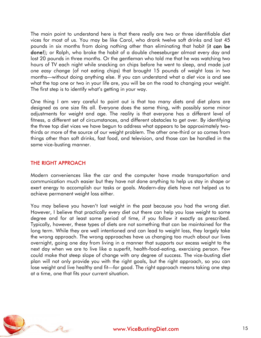The main point to understand here is that there really are two or three identifiable diet vices for most of us. You may be like Carol, who drank twelve soft drinks and lost 45 pounds in six months from doing nothing other than eliminating that habit (it can be done!); or Ralph, who broke the habit of a double cheeseburger almost every day and lost 20 pounds in three months. Or the gentleman who told me that he was watching two hours of TV each night while snacking on chips before he went to sleep, and made just *one easy change* (of not eating chips) that brought 15 pounds of weight loss in two months—without doing anything else. If you can understand what a *diet vice* is and see what the top one or two in your life are, you will be on the road to changing your weight. The first step is to identify what's getting in *your* way.

One thing I am very careful to point out is that too many diets and diet plans are designed as one size fits all. Everyone does the same thing, with possibly some minor adjustments for weight and age. The reality is that everyone has a different level of fitness, a different set of circumstances, and different obstacles to get over. By identifying the three top diet vices we have begun to address what appears to be approximately twothirds or more of the source of our weight problem. The other one-third or so comes from things other than soft drinks, fast food, and television, and those can be handled in the same vice-busting manner.

#### THE RIGHT APPROACH

Modern conveniences like the car and the computer have made transportation and communication much easier but they have not done anything to help us stay in shape or exert energy to accomplish our tasks or goals. Modern-day diets have not helped us to achieve permanent weight loss either.

You may believe you haven't lost weight in the past because you had the wrong diet. However, I believe that practically every diet out there can help you lose weight to some degree and for at least some period of time, *if* you follow it exactly as prescribed. Typically, however, these types of diets are not something that can be maintained for the long term. While they are well intentioned and can lead to weight loss, they largely take the wrong approach. The wrong approaches have us changing too much about our lives overnight, going one day from living in a manner that supports our excess weight to the next day when we are to live like a superfit, health-food-eating, exercising person. Few could make that steep slope of change with any degree of success. The vice-busting diet plan will not only provide you with the right goals, but the right approach, so you can lose weight and live healthy and fit—for good. The right approach means taking one step at a time, one that fits your current situation.

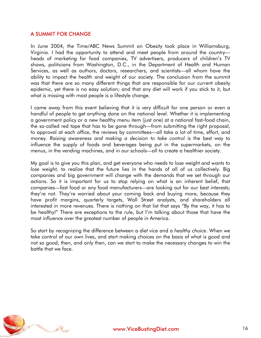#### A SUMMIT FOR CHANGE

In June 2004, the Time/ABC News Summit on Obesity took place in Williamsburg, Virginia. I had the opportunity to attend and meet people from around the country heads of marketing for food companies, TV advertisers, producers of children's TV shows, politicians from Washington, D.C., in the Department of Health and Human Services, as well as authors, doctors, researchers, and scientists—all whom have the ability to impact the health and weight of our society. The conclusion from the summit was that there are so many different things that are responsible for our current obesity epidemic, yet there is no easy solution; and that any diet will work if you stick to it, but what is missing with most people is a lifestyle change.

I came away from this event believing that it is very difficult for one person or even a handful of people to get anything done on the national level. Whether it is implementing a government policy or a new healthy menu item (just one) at a national fast-food chain, the so-called red tape that has to be gone through—from submitting the right proposal, to approval at each office, the reviews by committees—all take a lot of time, effort, and money. *Raising awareness and making a decision to take control* is the best way to influence the supply of foods and beverages being put in the supermarkets, on the menus, in the vending machines, and in our schools—all to create a healthier society.

My goal is to give you this plan, and get everyone who needs to lose weight *and wants to lose weight,* to realize that the future lies in the hands of all of us collectively. Big companies and big government will change with the demands that we set through our actions. So it is important for us to stop relying on what is an inherent belief, that companies—fast food or any food manufacturers—are looking out for our best interests; they're not. They're worried about your coming back and buying more, because they have profit margins, quarterly targets, Wall Street analysts, and shareholders all interested in more revenues. There is nothing on that list that says "By the way, it has to be healthy!" There are exceptions to the rule, but I'm talking about those that have the most influence over the greatest number of people in America.

So start by recognizing the difference between a *diet vice* and a *healthy choice*. When we take control of our own lives, and start making choices on the basis of what is good and not so good, then, and only then, can we start to make the necessary changes to win the battle that we face.

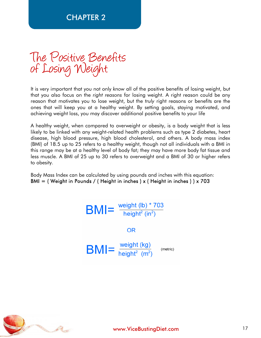# CHAPTER 2

The Positive Benefits of Losing Weight

It is very important that you not only *know* all of the positive benefits of losing weight, but that you also focus on the *right reasons* for losing weight. A right reason could be any reason that motivates you to lose weight, but the *truly* right reasons or benefits are the ones that will keep you at a healthy weight. By setting goals, staying motivated, and achieving weight loss, you may discover additional positive benefits to your life

A healthy weight, when compared to overweight or obesity, is a body weight that is less likely to be linked with any weight-related health problems such as type 2 diabetes, heart disease, high blood pressure, high blood cholesterol, and others. A body mass index (BMI) of 18.5 up to 25 refers to a healthy weight, though not all individuals with a BMI in this range may be at a healthy level of body fat; they may have more body fat tissue and less muscle. A BMI of 25 up to 30 refers to overweight and a BMI of 30 or higher refers to obesity.

Body Mass Index can be calculated by using pounds and inches with this equation: BMI = (Weight in Pounds / (Height in inches) x (Height in inches)) x 703



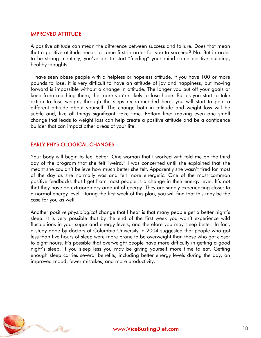#### IMPROVED ATTITUDE

A positive attitude can mean the difference between success and failure. Does that mean that a positive attitude needs to come first in order for you to succeed? No. But in order to be strong mentally, you've got to start "feeding" your mind some positive building, healthy thoughts.

 I have seen obese people with a helpless or hopeless attitude. If you have 100 or more pounds to lose, it is very difficult to have an attitude of joy and happiness, but moving forward is impossible without a change in attitude. The longer you put off your goals or keep from reaching them, the more you're likely to lose hope. But as you start to take action to lose weight, through the steps recommended here, you will start to gain a different attitude about yourself. The change both in attitude and weight loss will be subtle and, like all things significant, take time. Bottom line: making even one small change that leads to weight loss can help create a positive attitude and be a confidence builder that can impact other areas of your life.

#### EARLY PHYSIOLOGICAL CHANGES

Your body will begin to feel better. One woman that I worked with told me on the third day of the program that she felt "weird." I was concerned until she explained that she meant she couldn't believe how much better she felt. Apparently she wasn't tired for most of the day as she normally was and felt more energetic. One of the most common positive feedbacks that I get from most people is a change in their energy level. It's not that they have an extraordinary amount of energy. They are simply experiencing closer to a normal energy level. During the first week of this plan, you will find that this may be the case for you as well.

Another positive *physiological* change that I hear is that many people get a better night's sleep. It is very possible that by the end of the first week you won't experience wild fluctuations in your sugar and energy levels, and therefore you may sleep better. In fact, a study done by doctors at Columbia University in 2004 suggested that people who got less than five hours of sleep were more prone to be overweight than those who got closer to eight hours. It's possible that overweight people have more difficulty in getting a good night's sleep. If you sleep less you may be giving yourself more time to eat. Getting enough sleep carries several benefits, including better energy levels during the day, an improved mood, fewer mistakes, and more productivity.

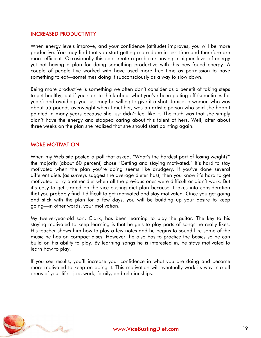#### INCREASED PRODUCTIVITY

When energy levels improve, and your confidence (attitude) improves, you will be more productive. You may find that you start getting more done in less time and therefore are more efficient. Occasionally this can create a problem: having a higher level of energy yet not having a plan for doing something productive with this new-found energy. A couple of people I've worked with have used more free time as permission to have something to eat—sometimes doing it subconsciously as a way to slow down.

Being more productive is something we often don't consider as a benefit of taking steps to get healthy, but if you start to think about what you've been putting off (sometimes for years) and avoiding, you just may be willing to give it a shot. Janice, a woman who was about 55 pounds overweight when I met her, was an artistic person who said she hadn't painted in many years because she just didn't feel like it. The truth was that she simply didn't have the energy and stopped caring about this talent of hers. Well, after about three weeks on the plan she realized that she should start painting again.

#### MORE MOTIVATION

When my Web site posted a poll that asked, "What's the hardest part of losing weight?" the majority (about 60 percent) chose "Getting and staying motivated." It's hard to stay motivated when the plan you're doing seems like drudgery. If you've done several different diets (as surveys suggest the average dieter has), then you know it's hard to get motivated to try another diet when all the previous ones were difficult or didn't work. But it's easy to get started on the vice-busting diet plan because it takes into consideration that you probably find it difficult to get motivated and stay motivated. Once you get going and stick with the plan for a few days, you will be building up your desire to keep going—in other words, your motivation.

My twelve-year-old son, Clark, has been learning to play the guitar. The key to his staying motivated to keep learning is that he gets to play parts of songs he really likes. His teacher shows him how to play a few notes and he begins to sound like some of the music he has on compact discs. However, he also has to practice the basics so he can build on his ability to play. By learning songs he is interested in, he stays motivated to learn how to play.

If you see results, you'll increase your confidence in what you are doing and become more motivated to keep on doing it. This motivation will eventually work its way into all areas of your life—job, work, family, and relationships.

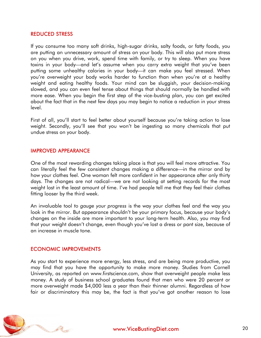#### REDUCED STRESS

If you consume too many soft drinks, high-sugar drinks, salty foods, or fatty foods, you are putting an unnecessary amount of stress on your body. This will also put more stress on you when you drive, work, spend time with family, or try to sleep. When you have toxins in your body—and let's assume when you carry extra weight that you've been putting some unhealthy calories in your body—it can make you feel stressed. When you're overweight your body works harder to function than when you're at a healthy weight and eating healthy foods. Your mind can be sluggish, your decision-making slowed, and you can even feel tense about things that should normally be handled with more ease. When you begin the first step of the vice-busting plan, you can get excited about the fact that in the next few days you may begin to notice a reduction in your stress level.

First of all, you'll start to feel better about yourself because you're taking action to lose weight. Secondly, you'll see that you won't be ingesting so many chemicals that put undue stress on your body.

#### IMPROVED APPEARANCE

One of the most rewarding changes taking place is that you will feel more attractive. You can literally feel the few consistent changes making a difference—in the mirror and by how your clothes feel. One woman felt more confident in her appearance after only thirty days. The changes are not radical—we are not looking at setting records for the most weight lost in the least amount of time. I've had people tell me that they feel their clothes fitting looser by the third week.

An invaluable tool *to gauge your progress* is the way your clothes feel and the way you look in the mirror. But appearance shouldn't be your primary focus, because your body's changes on the inside are more important to your long-term health. Also, you may find that your weight doesn't change, even though you've lost a dress or pant size, because of an increase in muscle tone.

#### ECONOMIC IMPROVEMENTS

As you start to experience more energy, less stress, and are being more productive, you may find that you have the opportunity to make more money. Studies from Cornell University, as reported on www.firstscience.com, show that overweight people make less money. A study of business school graduates found that men who were 20 percent or more overweight made \$4,000 less a year than their thinner alumni. Regardless of how fair or discriminatory this may be, the fact is that you've got another reason to lose

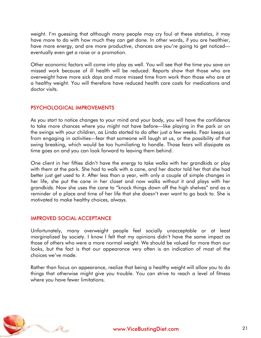weight. I'm guessing that although many people may cry foul at these statistics, it may have more to do with how much they can get done. In other words, if you are healthier, have more energy, and are more productive, chances are you're going to get noticed eventually even get a raise or a promotion.

Other economic factors will come into play as well. You will see that the time you save on missed work because of ill health will be reduced. Reports show that those who are overweight have more sick days and more missed time from work than those who are at a healthy weight. You will therefore have reduced health care costs for medications and doctor visits.

#### PSYCHOLOGICAL IMPROVEMENTS

As you start to notice changes to your mind and your body, you will have the confidence to take more chances where you might not have before—like playing in the park or on the swings with your children, as Linda started to do after just a few weeks. Fear keeps us from engaging in activities—fear that someone will laugh at us, or the possibility of that swing breaking, which would be too humiliating to handle. Those fears will dissipate as time goes on and you can look forward to leaving them behind.

One client in her fifties didn't have the energy to take walks with her grandkids or play with them at the park. She had to walk with a cane, and her doctor told her that she had better just get used to it. After less than a year, with only a couple of simple changes in her life, she put the cane in her closet and now walks without it and plays with her grandkids. Now she uses the cane to "knock things down off the high shelves" and as a reminder of a place and time of her life that she doesn't ever want to go back to. She is motivated to make healthy choices, always.

#### IMPROVED SOCIAL ACCEPTANCE

Unfortunately, many overweight people feel socially unacceptable or at least marginalized by society. I know I felt that my opinions didn't have the same impact as those of others who were a more normal weight. We should be valued for more than our looks, but the fact is that our appearance very often is an indication of most of the choices we've made.

Rather than focus on appearance, realize that being a healthy weight will allow you to do things that otherwise might give you trouble. You can strive to reach a level of fitness where you have fewer limitations.

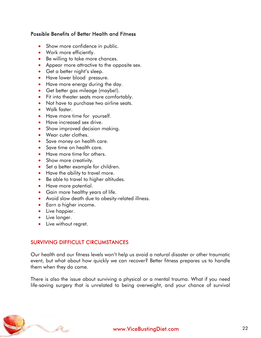#### Possible Benefits of Better Health and Fitness

- Show more confidence in public.
- Work more efficiently.
- Be willing to take more chances.
- Appear more attractive to the opposite sex.
- Get a better night's sleep.
- Have lower blood pressure.
- Have more energy during the day.
- Get better gas mileage (maybe!).
- Fit into theater seats more comfortably.
- Not have to purchase two airline seats.
- Walk faster.
- Have more time for yourself.
- Have increased sex drive.
- Show improved decision making.
- Wear cuter clothes.
- Save money on health care.
- Save time on health care.
- Have more time for others.
- Show more creativity.
- Set a better example for children.
- Have the ability to travel more.
- Be able to travel to higher altitudes.
- Have more potential.
- Gain more healthy years of life.
- Avoid slow death due to obesity-related illness.
- Earn a higher income.
- Live happier.
- Live longer.
- Live without regret.

#### SURVIVING DIFFICULT CIRCUMSTANCES

Our health and our fitness levels won't help us avoid a natural disaster or other traumatic event, but what about how quickly we can recover? Better fitness prepares us to handle them when they do come.

There is also the issue about surviving a physical or a mental trauma. What if you need life-saving surgery that is unrelated to being overweight, and your chance of survival

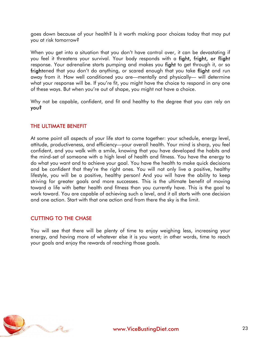goes down because of your health? Is it worth making poor choices today that may put you at risk tomorrow?

When you get into a situation that you don't have control over, it can be devastating if you feel it threatens your survival. Your body responds with a fight, fright, or flight response. Your adrenaline starts pumping and makes you fight to get through it, or so frightened that you don't do anything, or scared enough that you take flight and run away from it. How well conditioned you are—mentally and physically— will determine what your response will be. If you're fit, you might have the choice to respond in any one of these ways. But when you're out of shape, you might not have a choice.

Why not be capable, confident, and fit and healthy to the degree that you can rely on you?

#### THE ULTIMATE BENEFIT

At some point all aspects of your life start to come together: your schedule, energy level, attitude, productiveness, and efficiency—your overall health. Your mind is sharp, you feel confident, and you walk with a smile, knowing that you have developed the habits and the mind-set of someone with a high level of health and fitness. You have the energy to do what you want and to achieve your goal. You have the health to make quick decisions and be confident that they're the right ones. You will not only live a positive, healthy lifestyle, you will be a positive, healthy person! And you will have the ability to keep striving for greater goals and more successes. This is the ultimate benefit of moving toward a life with better health and fitness than you currently have. This is the goal to work toward. You are capable of achieving such a level, and it all starts with one decision and one action. Start with that one action and from there the sky is the limit.

#### CUTTING TO THE CHASE

You will see that there will be plenty of time to enjoy weighing less, increasing your energy, and having more of whatever else it is you want; in other words, time to reach your goals and enjoy the rewards of reaching those goals.

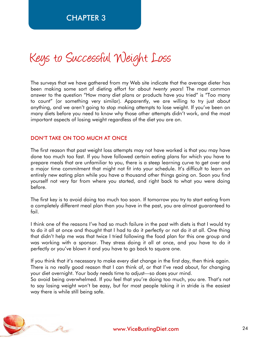## CHAPTER 3

# Keys to Successful Weight Loss

The surveys that we have gathered from my Web site indicate that the average dieter has been making some sort of dieting effort for about *twenty years*! The most common answer to the question "How many diet plans or products have you tried" is "Too many to count" (or something very similar). Apparently, we are willing to try just about anything, and we aren't going to stop making attempts to lose weight. If you've been on many diets before you need to know why those other attempts didn't work, and the most important aspects of losing weight regardless of the diet you are on.

#### DON'T TAKE ON TOO MUCH AT ONCE

The first reason that past weight loss attempts may not have worked is that you may have done too much too fast. If you have followed certain eating plans for which you have to prepare meals that are unfamiliar to you, there is a steep learning curve to get over and a major time commitment that might not fit into your schedule. It's difficult to learn an entirely new eating plan while you have a thousand other things going on. Soon you find yourself not very far from where you started, and right back to what you were doing before.

The first key is to avoid doing too much too soon. If tomorrow you try to start eating from a completely different meal plan than you have in the past, you are almost guaranteed to fail.

I think one of the reasons I've had so much failure in the past with diets is that I would try to do it all at once and thought that I had to do it perfectly or not do it at all. One thing that didn't help me was that twice I tried following the food plan for this one group and was working with a sponsor. They stress doing it all at once, and you have to do it perfectly or you've blown it and you have to go back to square one.

If you think that it's necessary to make every diet change in the first day, then think again. There is no really good reason that I can think of, or that I've read about, for changing your diet overnight. Your body needs time to adjust—so does your mind.

So avoid being overwhelmed. If you feel that you're doing too much, you are. That's not to say losing weight won't be easy, but for most people taking it in stride is the easiest way there is while still being safe.

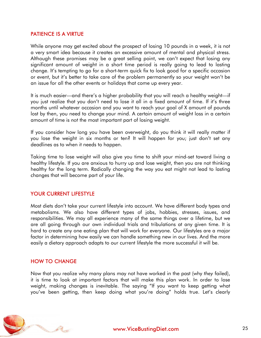#### PATIENCE IS A VIRTUE

While anyone may get excited about the prospect of losing 10 pounds in a week, it is not a very smart idea because it creates an excessive amount of mental and physical stress. Although these promises may be a great selling point, we can't expect that losing any significant amount of weight in a short time period is really going to lead to lasting change. It's tempting to go for a short-term quick fix to look good for a specific occasion or event, but it's better to take care of the problem permanently so your weight won't be an issue for all the other events or holidays that come up every year.

It is much easier—and there's a higher probability that you will reach a healthy weight—if you just realize that you don't need to lose it all in a fixed amount of time. If it's three months until whatever occasion and you want to reach your goal of X amount of pounds lost by then, you need to change your mind. A certain amount of weight loss in a certain amount of time is *not* the most important part of losing weight.

If you consider how long you have been overweight, do you think it will really matter if you lose the weight in six months or ten? It will happen for you; just don't set any deadlines as to when it needs to happen.

Taking time to lose weight will also give you time to shift your mind-set toward living a healthy lifestyle. If you are anxious to hurry up and lose weight, then you are not thinking healthy for the long term. Radically changing the way you eat might not lead to lasting changes that will become part of your life.

#### YOUR CURRENT LIFESTYLE

Most diets don't take your current lifestyle into account. We have different body types and metabolisms. We also have different types of jobs, hobbies, stresses, issues, and responsibilities. We may all experience many of the same things over a lifetime, but we are all going through our own individual trials and tribulations at any given time. It is hard to create any one eating plan that will work for everyone. Our lifestyles are a major factor in determining how easily we can handle something new in our lives. And the more easily a dietary approach adapts to our current lifestyle the more successful it will be.

#### HOW TO CHANGE

Now that you realize why many plans may not have worked in the past (why *they* failed), it is time to look at important factors that will make this plan work. In order to lose weight, making changes is inevitable. The saying "If you want to keep getting what you've been getting, then keep doing what you're doing" holds true. Let's clearly

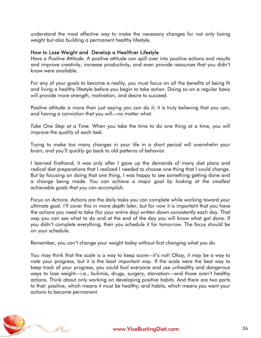understand the most effective way to make the necessary changes for not only losing weight but also building a permanent healthy lifestyle.

# How to Lose Weight and Develop a Healthier Lifestyle

*Have a Positive Attitude.* A positive attitude can spill over into positive actions and results and improve creativity, increase productivity, and even provide resources that you didn't know were available.

For any of your goals to become a reality, you must focus on all the benefits of being fit and living a healthy lifestyle before you begin to take action. Doing so on a regular basis will provide more strength, motivation, and desire to succeed.

Positive attitude is more than just saying you can do it; it is truly believing that you can, and having a conviction that you will—no matter what.

*Take One Step at a Time.* When you take the time to do one thing at a time, you will improve the quality of each task.

Trying to make too many changes in your life in a short period will overwhelm your brain, and you'll quickly go back to old patterns of behavior.

I learned firsthand; it was only after I gave up the demands of many diet plans and radical diet preparations that I realized I needed to choose one thing that I could change. But by focusing on doing that one thing, I was happy to see something getting done and a change being made. *You can achieve a major goal by looking at the smallest achievable goals that you can accomplish.*

*Focus on Actions.* Actions are the daily tasks you can complete while working toward your ultimate goal. I'll cover this in more depth later, but for now it is important that you have the actions you need to take (for your entire day) written down consistently each day. That way you can see what to do and at the end of the day you will know what got done. If you didn't complete everything, then you schedule it for tomorrow. The focus should be on *your* schedule.

Remember, you can't change your weight today without *first changing what you do*.

You may think that the scale is a way to keep score—it's not! Okay, it may be a way to note your progress, but it is the *least important way*. If the scale were the best way to keep track of your progress, you could fool everyone and use unhealthy and dangerous ways to lose weight—i.e., bulimia, drugs, surgery, starvation—and those aren't healthy actions. Think about only working on developing *positive habits.* And there are two parts to that: positive, which means it must be healthy; and habits, which means you want your actions to become permanent.

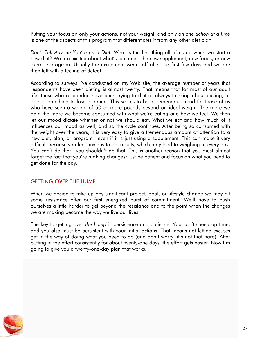Putting your focus on only your actions, not your weight, and only on *one action at a time* is one of the aspects of this program that differentiates it from any other diet plan.

*Don't Tell Anyone You're on a Diet.* What is the first thing all of us do when we start a new diet? We are excited about what's to come—the new supplement, new foods, or new exercise program. Usually the excitement wears off after the first few days and we are then left with a feeling of defeat.

According to surveys I've conducted on my Web site, the average number of years that respondents have been dieting is almost twenty. That means that for most of our adult life, those who responded have been trying to diet or always thinking about dieting, or doing something to lose a pound. This seems to be a tremendous trend for those of us who have seen a weight of 50 or more pounds beyond an ideal weight. The more we gain the more we become consumed with what we're eating and how we feel. We then let our mood dictate whether or not we should eat. What we eat and how much of it influences our mood as well, and so the cycle continues. After being so consumed with the weight over the years, it is very easy to give a tremendous amount of attention to a new diet, plan, or program—even if it is just using a supplement. This can make it very difficult because you feel anxious to get results, which may lead to weighing-in every day. You can't do that—you shouldn't do that. This is another reason that you must almost forget the fact that you're making changes; just be patient and focus on what you need to get done for the day.

# GETTING OVER THE HUMP

When we decide to take up any significant project, goal, or lifestyle change we may hit some resistance after our first energized burst of commitment. We'll have to push ourselves a little harder to get beyond the resistance and to the point when the changes we are making become the way we live our lives.

The key to getting over *the hump* is persistence and patience. You can't speed up time, and you also must be persistent with your initial actions. That means not letting excuses get in the way of doing what you need to do (and don't worry, it's not that hard). After putting in the effort consistently for about twenty-one days, the effort gets easier. Now I'm going to give you a twenty-one-day plan that works.

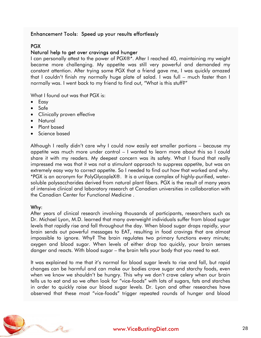# Enhancement Tools: Speed up your results effortlessly

### PGX

#### Natural help to get over cravings and hunger

I can personally attest to the power of PGX®\*. After I reached 40, maintaining my weight became more challenging. My appetite was still very powerful and demanded my constant attention. After trying some PGX that a friend gave me, I was quickly amazed that I couldn't finish my normally huge plate of salad. I was full – much faster than I normally was. I went back to my friend to find out, "What is this stuff?"

What I found out was that PGX is:

- Easy
- Safe
- Clinically proven effective
- Natural
- Plant based
- Science based

Although I really didn't care why I could now easily eat smaller portions – because my appetite was much more under control – I wanted to learn more about this so I could share it with my readers. My deepest concern was its safety. What I found that really impressed me was that it was not a stimulant approach to suppress appetite, but was an extremely easy way to correct appetite. So I needed to find out how that worked and why. \*PGX is an acronym for PolyGlycopleX®. It is a unique complex of highly-purified, watersoluble polysaccharides derived from natural plant fibers. PGX is the result of many years of intensive clinical and laboratory research at Canadian universities in collaboration with the Canadian Center for Functional Medicine .

#### Why:

After years of clinical research involving thousands of participants, researchers such as Dr. Michael Lyon, M.D. learned that many overweight individuals suffer from blood sugar levels that rapidly rise and fall throughout the day. When blood sugar drops rapidly, your brain sends out powerful messages to EAT, resulting in food cravings that are almost impossible to ignore. Why? The brain regulates two primary functions every minute; oxygen and blood sugar. When levels of either drop too quickly, your brain senses danger and reacts. With blood sugar – the brain tells your body that you need to eat.

It was explained to me that it's normal for blood sugar levels to rise and fall, but rapid changes can be harmful and can make our bodies crave sugar and starchy foods, even when we know we shouldn't be hungry. This why we don't crave celery when our brain tells us to eat and so we often look for "vice-foods" with lots of sugars, fats and starches in order to quickly raise our blood sugar levels. Dr. Lyon and other researches have observed that these most "vice-foods" trigger repeated rounds of hunger and blood

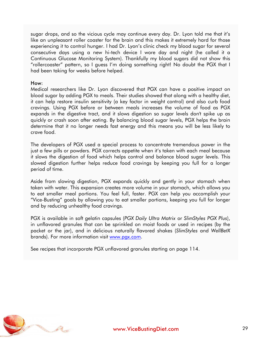sugar drops, and so the vicious cycle may continue every day. Dr. Lyon told me that it's like an unpleasant roller coaster for the brain and this makes it extremely hard for those experiencing it to control hunger. I had Dr. Lyon's clinic check my blood sugar for several consecutive days using a new hi-tech device I wore day and night (he called it a Continuous Glucose Monitoring System). Thankfully my blood sugars did not show this "rollercoaster" pattern, so I guess I'm doing something right! No doubt the PGX that I had been taking for weeks before helped.

#### How:

Medical researchers like Dr. Lyon discovered that PGX can have a positive impact on blood sugar by adding PGX to meals. Their studies showed that along with a healthy diet, it can help restore insulin sensitivity (a key factor in weight control) and also curb food cravings. Using PGX before or between meals increases the volume of food as PGX expands in the digestive tract, and it slows digestion so sugar levels don't spike up as quickly or crash soon after eating. By balancing blood sugar levels, PGX helps the brain determine that it no longer needs fast energy and this means you will be less likely to crave food.

The developers of PGX used a special process to concentrate tremendous power in the just a few pills or powders. PGX corrects appetite when it's taken with each meal because it slows the digestion of food which helps control and balance blood sugar levels. This slowed digestion further helps reduce food cravings by keeping you full for a longer period of time.

Aside from slowing digestion, PGX expands quickly and gently in your stomach when taken with water. This expansion creates more volume in your stomach, which allows you to eat smaller meal portions. You feel full, faster. PGX can help you accomplish your "Vice-Busting" goals by allowing you to eat smaller portions, keeping you full for longer and by reducing unhealthy food cravings.

PGX is available in soft gelatin capsules (*PGX Daily Ultra Matrix* or *SlimStyles PGX Plus*), in unflavored granules that can be sprinkled on moist foods or used in recipes (by the packet or the jar), and in delicious naturally flavored shakes (*SlimStyles* and *WellBetX* brands). For more information visit www.pgx.com.

See recipes that incorporate PGX unflavored granules starting on page 114.

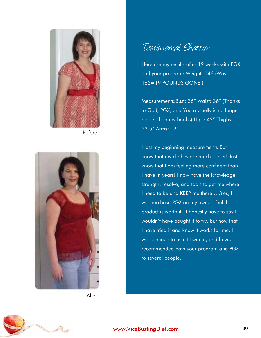

Before



After

Testimonial Sharrie:

Here are my results after 12 weeks with PGX and your program: Weight: 146 (Was 165=19 POUNDS GONE!)

Measurements:Bust: 36" Waist: 36" (Thanks to God, PGX, and You my belly is no longer bigger than my boobs) Hips: 42" Thighs: 22.5" Arms: 12"

I lost my beginning measurements-But I know that my clothes are much looser! Just know that I am feeling more confident than I have in years! I now have the knowledge, strength, resolve, and tools to get me where I need to be and KEEP me there…..Yes, I will purchase PGX on my own. I feel the product is worth it. I honestly have to say I wouldn't have bought it to try, but now that I have tried it and know it works for me, I will continue to use it.I would, and have, recommended both your program and PGX to several people.

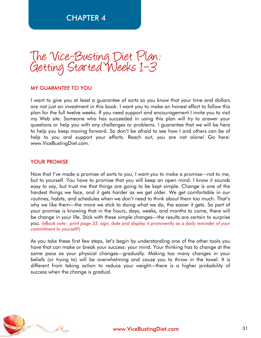# CHAPTER 4

The Vice-Busting Diet Plan: Getting Started Weeks 1–3

#### MY GUARANTEE TO YOU

I want to give you at least a guarantee of sorts so you know that your time and dollars are not just an investment in this book. I want you to make an honest effort to follow this plan for the full twelve weeks. If you need support and encouragement I invite you to visit my Web site. Someone who has succeeded in using this plan will try to answer your questions or help you with any challenges or problems. I guarantee that we will be here to help you keep moving forward. So don't be afraid to see how I and others can be of help to you and support your efforts. Reach out; you are not alone! Go here: www.ViceBustingDiet.com.

#### YOUR PROMISE

Now that I've made a promise of sorts to you, I want you to make a promise—not to me, but to yourself. You have to promise that you will keep an open mind. I know it sounds easy to say, but trust me that things are going to be kept simple. Change is one of the hardest things we face, and it gets harder as we get older. We get comfortable in our routines, habits, and schedules when we don't need to think about them too much. That's why we like them—the more we stick to doing what we do, the easier it gets. So part of your promise is knowing that in the hours, days, weeks, and months to come, there will be change in your life. Stick with these simple changes—the results are certain to surprise you. *(eBook note: print page 33. sign, date and display it prominently as a daily reminder of your commitment to yourself!)* 

As you take these first few steps, let's begin by understanding one of the other tools you have that can make or break your success: your mind. Your thinking has to change at the same pace as your physical changes—gradually. Making too many changes in your beliefs (or trying to) will be overwhelming and cause you to throw in the towel. It is different from taking action to reduce your weight—there is a higher probability of success when the change is gradual.

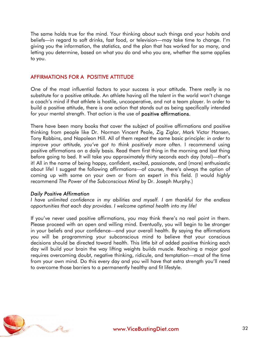The same holds true for the mind. Your thinking about such things and your habits and beliefs—in regard to soft drinks, fast food, or television—may take time to change. I'm giving you the information, the statistics, and the plan that has worked for so many, and letting you determine, based on what you do and who you are, whether the same applies to you.

### AFFIRMATIONS FOR A POSITIVE ATTITUDE

One of the most influential factors to your success is your attitude. There really is no substitute for a positive attitude. An athlete having all the talent in the world won't change a coach's mind if that athlete is hostile, uncooperative, and not a team player. In order to build a positive attitude, there is one action that stands out as being specifically intended for your mental strength. That action is the use of **positive affirmations.** 

There have been many books that cover the subject of positive affirmations and positive thinking from people like Dr. Norman Vincent Peale, Zig Ziglar, Mark Victor Hansen, Tony Robbins, and Napoleon Hill. All of them repeat the same basic principle: *in order to improve your attitude, you've got to think positively more often.* I recommend using positive affirmations on a daily basis. Read them first thing in the morning and last thing before going to bed. It will take you approximately thirty seconds each day (total)—that's it! All in the name of being happy, confident, excited, passionate, and (more) enthusiastic about life! I suggest the following affirmations—of course, there's always the option of coming up with some on your own or from an expert in this field. (I would *highly* recommend *The Power of the Subconscious Mind* by Dr. Joseph Murphy.)

#### *Daily Positive Affirmation*

*I have unlimited confidence in my abilities and myself. I am thankful for the endless opportunities that each day provides. I welcome optimal health into my life!* 

If you've never used positive affirmations, you may think there's no real point in them. Please proceed with an open and willing mind. Eventually, you will begin to be stronger in your beliefs and your confidence—and your overall health. By saying the affirmations you will be programming your subconscious mind to believe that your conscious decisions should be directed toward health. This little bit of added positive thinking each day will build your brain the way lifting weights builds muscle. Reaching a major goal requires overcoming doubt, negative thinking, ridicule, and temptation—most of the time from your own mind. Do this every day and you will have that extra strength you'll need to overcome those barriers to a permanently healthy and fit lifestyle.

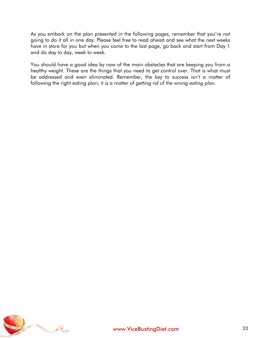As you embark on the plan presented in the following pages, remember that you're not going to do it all in one day. Please feel free to read ahead and see what the next weeks have in store for you but when you come to the last page, go back and start from Day 1 and do day to day, week to week.

You should have a good idea by now of the main obstacles that are keeping you from a healthy weight. These are the things that you need to get control over. That is what must be addressed and even eliminated. Remember, the key to success isn't a matter of following the right eating plan; it is a matter of *getting rid of the wrong eating plan.* 

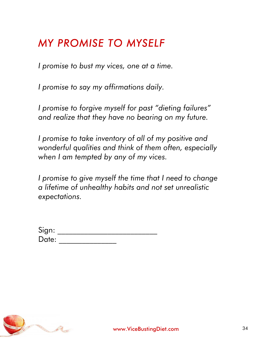# *MY PROMISE TO MYSELF*

*I promise to bust my vices, one at a time.* 

*I promise to say my affirmations daily.* 

*I promise to forgive myself for past "dieting failures" and realize that they have no bearing on my future.* 

*I promise to take inventory of all of my positive and wonderful qualities and think of them often, especially when I am tempted by any of my vices.* 

*I promise to give myself the time that I need to change a lifetime of unhealthy habits and not set unrealistic expectations.* 

| Sign: |  |
|-------|--|
| Date: |  |

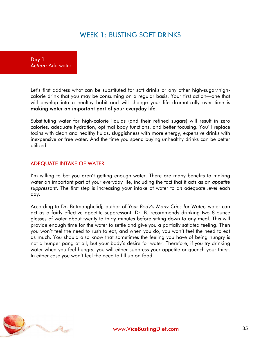# WEEK 1: BUSTING SOFT DRINKS

Day 1 *Action:* Add water.

Let's first address what can be substituted for soft drinks or any other high-sugar/highcalorie drink that you may be consuming on a regular basis. Your first action—one that will develop into a healthy habit and will change your life dramatically over time is making water an important part of your everyday life.

Substituting water for high-calorie liquids (and their refined sugars) will result in zero calories, adequate hydration, optimal body functions, and better focusing. You'll replace toxins with clean and healthy fluids, sluggishness with more energy, expensive drinks with inexpensive or free water. And the time you spend buying unhealthy drinks can be better utilized.

# ADEQUATE INTAKE OF WATER

I'm willing to bet you aren't getting enough water. There are many benefits to making water an important part of your everyday life, including the fact that it acts as an *appetite suppressant*. The first step is increasing your intake of water to *an adequate level* each day.

According to Dr. Batmanghelidj, author of *Your Body's Many Cries for Water,* water can act as a fairly effective appetite suppressant. Dr. B. recommends drinking two 8-ounce glasses of water about twenty to thirty minutes before sitting down to any meal. This will provide enough time for the water to settle and give you a partially satiated feeling. Then you won't feel the need to rush to eat, and when you do, you won't feel the need to eat as much. You should also know that sometimes the feeling you have of being hungry is not a hunger pang at all, but your body's desire for water. Therefore, if you try drinking water when you feel hungry, you will either suppress your appetite or quench your thirst. In either case you won't feel the need to fill up on food.

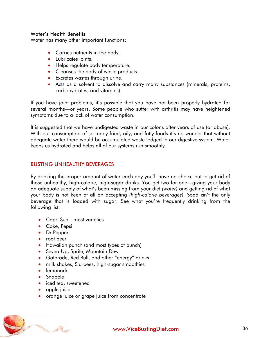# Water's Health Benefits

Water has many other important functions:

- Carries nutrients in the body.
- Lubricates joints.
- Helps regulate body temperature.
- Cleanses the body of waste products.
- Excretes wastes through urine.
- Acts as a solvent to dissolve and carry many substances (minerals, proteins, carbohydrates, and vitamins).

If you have joint problems, it's possible that you have not been properly hydrated for several months—or years. Some people who suffer with arthritis may have heightened symptoms due to a lack of water consumption.

It is suggested that we have undigested waste in our colons after years of use (or abuse). With our consumption of so many fried, oily, and fatty foods it's no wonder that without adequate water there would be accumulated waste lodged in our digestive system. Water keeps us hydrated and helps all of our systems run smoothly.

# BUSTING UNHEALTHY BEVERAGES

By drinking the proper amount of water each day you'll have no choice but to get rid of those unhealthy, high-calorie, high-sugar drinks. You get two for one—giving your body an adequate supply of what's been missing from your diet *(water)* and getting rid of what your body is not keen at all on accepting *(high-calorie beverages).* Soda isn't the only beverage that is loaded with sugar. See what you're frequently drinking from the following list:

- Capri Sun—most varieties
- Coke, Pepsi
- Dr Pepper
- root beer
- Hawaiian punch (and most types of punch)
- Seven-Up, Sprite, Mountain Dew
- Gatorade, Red Bull, and other "energy" drinks
- milk shakes, Slurpees, high-sugar smoothies
- lemonade
- Snapple
- iced tea, sweetened
- apple juice
- orange juice or grape juice from concentrate



# www.ViceBustingDiet.com 36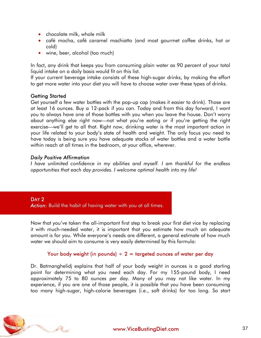- chocolate milk, whole milk
- café mocha, café caramel machiatto (and most gourmet coffee drinks, hot or cold)
- wine, beer, alcohol (too much)

In fact, any drink that keeps you from consuming plain water as 90 percent of your total liquid intake on a daily basis would fit on this list.

If your current beverage intake consists of these high-sugar drinks, by making the effort to get more water into your diet you will have to choose water over these types of drinks.

#### Getting Started

Get yourself a few water bottles with the pop-up cap (makes it easier to drink). Those are at least 16 ounces. Buy a 12-pack if you can. Today and from this day forward, I want you to always have one of those bottles with you when you leave the house. Don't worry about anything else right now—not what you're eating or if you're getting the right exercise—we'll get to all that. Right now, drinking water is the most important action in your life related to your body's state of health and weight. The only focus you need to have today is being sure you have adequate stocks of water bottles and a water bottle within reach at all times in the bedroom, at your office, wherever.

#### *Daily Positive Affirmation*

*I have unlimited confidence in my abilities and myself. I am thankful for the endless opportunities that each day provides. I welcome optimal health into my life!* 

# DAY<sub>2</sub> *Action:* Build the habit of having water with you at all times.

Now that you've taken the all-important first step to break your first diet vice by replacing it with much-needed water, it is important that you estimate how much an adequate amount is for you. While everyone's needs are different, a general estimate of how much water we should aim to consume is very easily determined by this formula:

#### Your body weight (in pounds)  $\div$  2 = targeted ounces of water per day

Dr. Batmanghelidj explains that half of your body weight in ounces is a good starting point for determining what you need each day. For my 155-pound body, I need approximately 75 to 80 ounces per day. Many of you may not like water. In my experience, if you are one of those people, it is possible that you have been consuming too many high-sugar, high-calorie beverages (i.e., soft drinks) for too long. So start



ī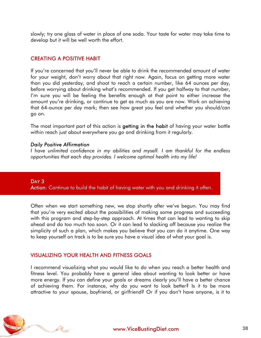slowly; try one glass of water in place of one soda. Your taste for water may take time to develop but it will be well worth the effort.

# CREATING A POSITIVE HABIT

If you're concerned that you'll never be able to drink the recommended amount of water for your weight, don't worry about that right now. Again, focus on getting more water than you did yesterday, and shoot to reach a certain number, like 64 ounces per day, before worrying about drinking what's recommended. If you get halfway to that number, I'm sure you will be feeling the benefits enough at that point to either increase the amount you're drinking, or continue to get as much as you are now. Work on achieving that 64-ounce per day mark; then see how great you feel and whether you should/can go on.

The most important part of this action is **getting in the habit** of having your water bottle within reach just about everywhere you go and drinking from it regularly.

#### *Daily Positive Affirmation*

*I have unlimited confidence in my abilities and myself. I am thankful for the endless opportunities that each day provides. I welcome optimal health into my life!* 

# DAY 3 *Action:* Continue to build the habit of having water with you and drinking it often.

Often when we start something new, we stop shortly after we've begun. You may find that you're very excited about the possibilities of making some progress and succeeding with this program and step-by-step approach. At times that can lead to wanting to skip ahead and do too much too soon. Or it can lead to slacking off because you realize the simplicity of such a plan, which makes you believe that you can do it anytime. One way to keep yourself on track is to be sure you have a visual idea of what your goal is.

# VISUALIZING YOUR HEALTH AND FITNESS GOALS

I recommend visualizing what you would like to do when you reach a better health and fitness level. You probably have a general idea about wanting to look better or have more energy. If you can define your goals or dreams clearly you'll have a better chance of achieving them. For instance, why do you want to look better? Is it to be more attractive to your spouse, boyfriend, or girlfriend? Or if you don't have anyone, is it to

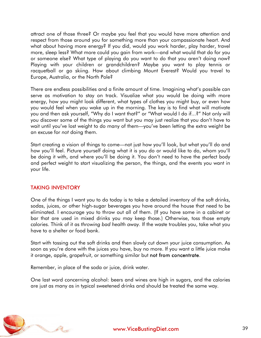attract one of those three? Or maybe you feel that you would have more attention and respect from those around you for something more than your compassionate heart. And what about having more energy? If you did, would you work harder, play harder, travel more, sleep less? What more could you gain from work—and what would that do for you or someone else? What type of playing do you want to do that you aren't doing now? Playing with your children or grandchildren? Maybe you want to play tennis or racquetball or go skiing. How about climbing Mount Everest? Would you travel to Europe, Australia, or the North Pole?

There are endless possibilities and a finite amount of time. Imagining what's possible can serve as motivation to stay on track. Visualize what you would be doing with more energy, how you might look different, what types of clothes you might buy, or even how you would feel when you wake up in the morning. The key is to find what will motivate you and then ask yourself, "Why do I want that?" or "What would I do if...?" Not only will you discover some of the things you want but you may just realize that you don't have to wait until you've lost weight to do many of them—you've been letting the extra weight be an excuse for *not* doing them.

Start creating a vision of things to come—not just how you'll look, but what you'll do and how you'll feel. Picture yourself doing what it is you do or would like to do, whom you'll be doing it with, and where you'll be doing it. You don't need to have the perfect body and perfect weight to start visualizing the person, the things, and the events you want in your life.

# TAKING INVENTORY

One of the things I want you to do today is to take a detailed inventory of the soft drinks, sodas, juices, or other high-sugar beverages you have around the house that need to be eliminated. I encourage you to throw out all of them. (If you have some in a cabinet or bar that are used in mixed drinks you may keep those.) Otherwise, toss those empty calories. Think of it as *throwing bad health away.* If the waste troubles you, take what you have to a shelter or food bank.

Start with tossing out the soft drinks and then slowly cut down your juice consumption. As soon as you're done with the juices you have, buy no more. If you want a little juice make it orange, apple, grapefruit, or something similar but not from concentrate.

Remember, in place of the soda or juice, drink water.

One last word concerning alcohol: beers and wines are high in sugars, and the calories are just as many as in typical sweetened drinks and should be treated the same way.

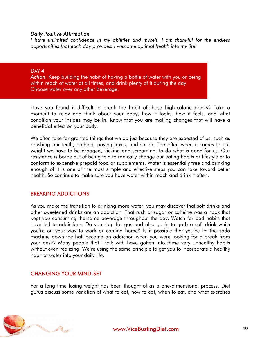#### *Daily Positive Affirmation*

*I have unlimited confidence in my abilities and myself. I am thankful for the endless opportunities that each day provides. I welcome optimal health into my life!* 

#### DAY<sub>4</sub>

Ī

*Action:* Keep building the habit of having a bottle of water with you or being within reach of water at all times, and drink plenty of it during the day. Choose water over any other beverage.

Have you found it difficult to break the habit of those high-calorie drinks? Take a moment to relax and think about your body, how it looks, how it feels, and what condition your insides may be in. Know that you are making changes that will have a beneficial effect on your body.

We often take for granted things that we do just because they are expected of us, such as brushing our teeth, bathing, paying taxes, and so on. Too often when it comes to our weight we have to be dragged, kicking and screaming, to do what is good for us. Our resistance is borne out of being told to radically change our eating habits or lifestyle or to conform to expensive prepaid food or supplements. Water is essentially free and drinking enough of it is one of the most simple and effective steps you can take toward better health. So continue to make sure you have water within reach and drink it often.

#### BREAKING ADDICTIONS

As you make the transition to drinking more water, you may discover that soft drinks and other sweetened drinks are an addiction. That rush of sugar or caffeine was a hook that kept you consuming the same beverage throughout the day. Watch for bad habits that have led to addictions. Do you stop for gas and also go in to grab a soft drink while you're on your way to work or coming home? Is it possible that you've let the soda machine down the hall become an addiction when you were looking for a break from your desk? Many people that I talk with have gotten into these very unhealthy habits without even realizing. We're using the same principle to get you to incorporate a healthy habit of water into your daily life.

#### CHANGING YOUR MIND-SET

For a long time losing weight has been thought of as a one-dimensional process. Diet gurus discuss some variation of what to eat, how to eat, when to eat, and what exercises

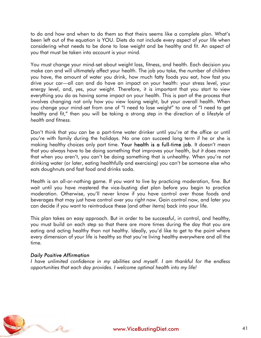to do and how and when to do them so that theirs seems like a complete plan. What's been left out of the equation is YOU. Diets do not include every aspect of *your* life when considering what needs to be done to lose weight and be healthy and fit. An aspect of you that must be taken into account is your mind.

You must change your mind-set about weight loss, fitness, and health. Each decision you make can and will ultimately affect your health. The job you take, the number of children you have, the amount of water you drink, how much fatty foods you eat, how fast you drive your car—all can and do have an impact on your health: your stress level, your energy level, and, yes, your weight. Therefore, it is important that you start to view everything you do as having some impact on your health. This is part of the process that involves changing not only how you view losing weight, but your overall health. When you change your mind-set from one of "I need to lose weight" to one of "I need to get healthy and fit," then you will be taking a strong step in the direction of a *lifestyle of health and fitness.*

Don't think that you can be a part-time water drinker until you're at the office or until you're with family during the holidays. No one can succeed long term if he or she is making healthy choices only part time. Your health is a full-time job. It doesn't mean that you always have to be doing something that improves your health, but it does mean that when you aren't, you can't be doing something that is unhealthy. When you're not drinking water (or later, eating healthfully and exercising) you can't be someone else who eats doughnuts and fast food and drinks soda.

Health is an all-or-nothing game. If you want to live by practicing moderation, fine. But wait until you have mastered the vice-busting diet plan before you begin to practice moderation. Otherwise, you'll never know if you have control over those foods and beverages that may just have control over you right now. Gain control now, and later you can decide if you want to reintroduce these (and other items) back into your life.

This plan takes an easy approach. But in order to be successful, in control, and healthy, you must build on each step so that there are more times during the day that you are eating and acting healthy than not healthy. Ideally, you'd like to get to the point where every dimension of your life is healthy so that you're living healthy everywhere and all the time.

# *Daily Positive Affirmation*

*I have unlimited confidence in my abilities and myself. I am thankful for the endless opportunities that each day provides. I welcome optimal health into my life!* 

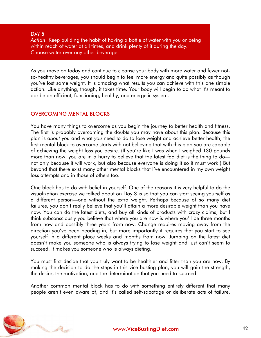#### DAY<sub>5</sub>

*Action:* Keep building the habit of having a bottle of water with you or being within reach of water at all times, and drink plenty of it during the day. Choose water over any other beverage.

As you move on today and continue to cleanse your body with more water and fewer notso-healthy beverages, you should begin to feel more energy and quite possibly as though you've lost some weight. It is amazing what results you can achieve with this one simple action. Like anything, though, it takes time. Your body will begin to do what it's meant to do: be an efficient, functioning, healthy, and energetic system.

#### OVERCOMING MENTAL BLOCKS

You have many things to overcome as you begin the journey to better health and fitness. The first is probably overcoming the doubts you may have about this plan. Because this plan is *about you* and what *you* need to do to lose weight and achieve better health, the first mental block to overcome starts with not believing that with this plan you are capable of achieving the weight loss you desire. (If you're like I was when I weighed 130 pounds more than now, you are in a hurry to believe that the latest fad diet is the thing to do not only because it will work, but also because everyone is doing it so it must work!) But beyond that there exist many other mental blocks that I've encountered in my own weight loss attempts and in those of others too.

One block has to do with belief in yourself. One of the reasons it is very helpful to do the visualization exercise we talked about on Day 3 is so that you can start seeing yourself as a different person—one without the extra weight. Perhaps because of so many diet failures, you don't really believe that you'll attain a more desirable weight than you have now. You can do the latest diets, and buy all kinds of products with crazy claims, but I think subconsciously you believe that where you are now is where you'll be three months from now and possibly three years from now. Change requires moving away from the direction you've been heading in, but more importantly it requires that you start to see yourself in a different place weeks and months from now. Jumping on the latest diet doesn't make you someone who is always trying to lose weight and just can't seem to succeed. It makes you someone who is always dieting.

You must first decide that you truly want to be healthier and fitter than you are now. By making the decision to do the steps in this vice-busting plan, you will gain the strength, the desire, the motivation, and the determination that you need to succeed.

Another common mental block has to do with something entirely different that many people aren't even aware of, and it's called self-sabotage or deliberate acts of failure.

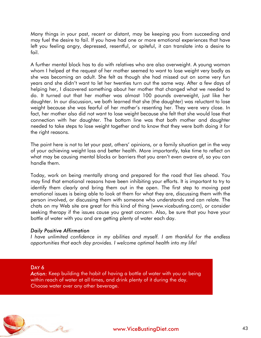Many things in your past, recent or distant, may be keeping you from succeeding and may fuel the desire to fail. If you have had one or more emotional experiences that have left you feeling angry, depressed, resentful, or spiteful, it can translate into a desire to fail.

A further mental block has to do with relatives who are also overweight. A young woman whom I helped at the request of her mother seemed to want to lose weight very badly as she was becoming an adult. She felt as though she had missed out on some very fun years and she didn't want to let her twenties turn out the same way. After a few days of helping her, I discovered something about her mother that changed what we needed to do. It turned out that her mother was almost 100 pounds overweight, just like her daughter. In our discussion, we both learned that she (the daughter) was reluctant to lose weight because she was fearful of her mother's resenting her. They were very close. In fact, her mother also did not want to lose weight because she felt that she would lose that connection with her daughter. The bottom line was that both mother and daughter needed to take steps to lose weight together and to know that they were both doing it for the right reasons.

The point here is not to let your past, others' opinions, or a family situation get in the way of your achieving weight loss and better health. More importantly, take time to reflect on what may be causing mental blocks or barriers that you aren't even aware of, so you can handle them.

Today, work on being mentally strong and prepared for the road that lies ahead. You may find that emotional reasons have been inhibiting your efforts. It is important to try to identify them clearly and bring them out in the open. The first step to moving past emotional issues is being able to look at them for what they are, discussing them with the person involved, or discussing them with someone who understands and can relate. The chats on my Web site are great for this kind of thing (www.vicebusting.com), or consider seeking therapy if the issues cause you great concern. Also, be sure that you have your bottle of water with you and are getting plenty of water each day.

# *Daily Positive Affirmation*

*I have unlimited confidence in my abilities and myself. I am thankful for the endless opportunities that each day provides. I welcome optimal health into my life!* 

# DAY<sub>6</sub>

*Action:* Keep building the habit of having a bottle of water with you or being within reach of water at all times, and drink plenty of it during the day. Choose water over any other beverage.

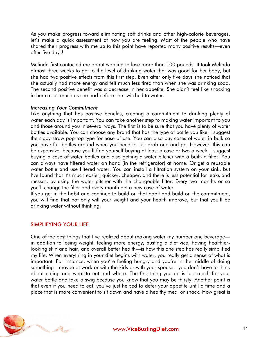As you make progress toward eliminating soft drinks and other high-calorie beverages, let's make a quick assessment of how you are feeling. Most of the people who have shared their progress with me up to this point have reported many positive results—even after five days!

Melinda first contacted me about wanting to lose more than 100 pounds. It took Melinda almost three weeks to get to the level of drinking water that was good for her body, but she had two positive effects from this first step. Even after only five days she noticed that she actually had more energy and felt much less tired than when she was drinking soda. The second positive benefit was a decrease in her appetite. She didn't feel like snacking in her car as much as she had before she switched to water.

#### *Increasing Your Commitment*

Like anything that has positive benefits, creating a commitment to drinking plenty of water each day is important. You can take another step to making water important to you and those around you in several ways. The first is to be sure that you have plenty of water bottles available. You can choose any brand that has the type of bottle you like. I suggest the sippy-straw pop-top type for ease of use. You can also buy cases of water in bulk so you have full bottles around when you need to just grab one and go. However, this can be expensive, because you'll find yourself buying at least a case or two a week. I suggest buying a case of water bottles and also getting a water pitcher with a built-in filter. You can always have filtered water on hand (in the refrigerator) at home. Or get a reusable water bottle and use filtered water. You can install a filtration system on your sink, but I've found that it's much easier, quicker, cheaper, and there is less potential for leaks and messes, by using the water pitcher with the changeable filter. Every two months or so you'll change the filter and every month get a new case of water.

If you get in the habit and continue to build on that habit and build on the commitment, you will find that not only will your weight and your health improve, but that you'll be drinking water without thinking.

#### SIMPLIFYING YOUR LIFE

One of the best things that I've realized about making water my number one beverage in addition to losing weight, feeling more energy, busting a diet vice, having healthierlooking skin and hair, and overall better health—is how this one step has really simplified my life. When everything in your diet begins with water, you really get a sense of what is important. For instance, when you're feeling hungry and you're in the middle of doing something—maybe at work or with the kids or with your spouse—you don't have to think about eating and what to eat and where. The first thing you do is just reach for your water bottle and take a swig because you know that you may be thirsty. Another point is that even if you need to eat, you've just helped to defer your appetite until a time and a place that is more convenient to sit down and have a healthy meal or snack. How great is

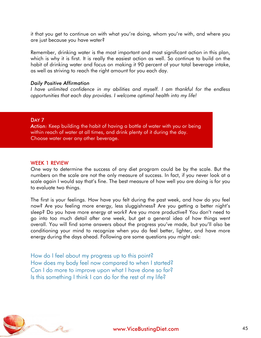it that you get to continue on with what you're doing, whom you're with, and where you are just because you have water?

Remember, drinking water is the most important and most significant action in this plan, which is why it is first. It is really the easiest action as well. So continue to build on the habit of drinking water and focus on making it 90 percent of your total beverage intake, as well as striving to reach the right amount for you each day.

#### *Daily Positive Affirmation*

*I have unlimited confidence in my abilities and myself. I am thankful for the endless opportunities that each day provides. I welcome optimal health into my life!* 

#### DAY<sub>7</sub>

Ī

*Action:* Keep building the habit of having a bottle of water with you or being within reach of water at all times, and drink plenty of it during the day. Choose water over any other beverage.

#### WEEK 1 REVIEW

One way to determine the success of any diet program could be by the scale. But the numbers on the scale are not the only measure of success. In fact, if you never look at a scale again I would say that's fine. The best measure of how well you are doing is for you to evaluate two things.

The first is your feelings. How have you felt during the past week, and how do you feel now? Are you feeling more energy, less sluggishness? Are you getting a better night's sleep? Do you have more energy at work? Are you more productive? You don't need to go into too much detail after one week, but get a general idea of how things went overall. You will find some answers about the progress you've made, but you'll also be conditioning your mind to recognize when you do feel better, lighter, and have more energy during the days ahead. Following are some questions you might ask:

How do I feel about my progress up to this point? How does my body feel now compared to when I started? Can I do more to improve upon what I have done so far? Is this something I think I can do for the rest of my life?

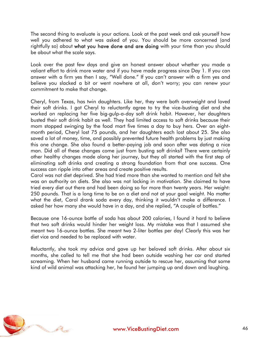The second thing to evaluate is your actions. Look at the past week and ask yourself how well you adhered to what was asked of you. You should be more concerned (and rightfully so) about what you have done and are doing with your time than you should be about what the scale says.

Look over the past few days and give an honest answer about whether you made a valiant effort to drink more water and if you have made progress since Day 1. If you can answer with a firm yes then I say, "Well done." If you can't answer with a firm yes and believe you slacked a bit or went nowhere at all, don't worry; you can renew your commitment to make that change.

Cheryl, from Texas, has twin daughters. Like her, they were both overweight and loved their soft drinks. I got Cheryl to reluctantly agree to try the vice-busting diet and she worked on replacing her five big-gulp-a-day soft drink habit. However, her daughters busted their soft drink habit as well. They had limited access to soft drinks because their mom stopped swinging by the food mart five times a day to buy hers. Over an eightmonth period, Cheryl lost 75 pounds, and her daughters each lost about 25. She also saved a lot of money, time, and possibly prevented future health problems by just making this one change. She also found a better-paying job and soon after was dating a nice man. Did all of these changes come just from busting soft drinks? There were certainly other healthy changes made along her journey, but they all started with the first step of eliminating soft drinks and creating a strong foundation from that one success. One success can ripple into other areas and create positive results.

Carol was not diet deprived. She had tried more than she wanted to mention and felt she was an authority on diets. She also was not lacking in motivation. She claimed to have tried every diet out there and had been doing so for more than twenty years. Her weight: 250 pounds. That is a long time to be on a diet and not at your goal weight. No matter what the diet, Carol drank soda every day, thinking it wouldn't make a difference. I asked her how many she would have in a day, and she replied, "A couple of bottles."

Because one 16-ounce bottle of soda has about 200 calories, I found it hard to believe that two soft drinks would hinder her weight loss. My mistake was that I assumed she meant two 16-ounce bottles. She meant two 2-liter bottles per day! Clearly this was her diet vice and needed to be replaced with water.

Reluctantly, she took my advice and gave up her beloved soft drinks. After about six months, she called to tell me that she had been outside washing her car and started screaming. When her husband came running outside to rescue her, assuming that some kind of wild animal was attacking her, he found her jumping up and down and laughing.

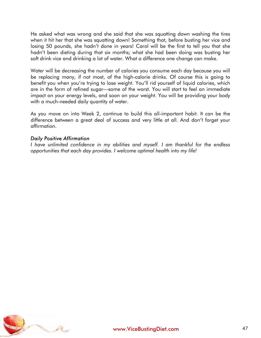He asked what was wrong and she said that she was squatting down washing the tires when it hit her that she was squatting down! Something that, before busting her vice and losing 50 pounds, she hadn't done in years! Carol will be the first to tell you that she hadn't been dieting during that six months; what she had been doing was busting her soft drink vice and drinking a lot of water. What a difference one change can make.

Water will be decreasing the number of calories you consume each day because you will be replacing many, if not most, of the high-calorie drinks. Of course this is going to benefit you when you're trying to lose weight. You'll rid yourself of liquid calories, which are in the form of refined sugar—some of the worst. You will start to feel an immediate impact on your energy levels, and soon on your weight. You will be providing your body with a much-needed daily quantity of water.

As you move on into Week 2, continue to build this all-important habit. It can be the difference between a great deal of success and very little at all. And don't forget your affirmation.

# *Daily Positive Affirmation*

*I have unlimited confidence in my abilities and myself. I am thankful for the endless opportunities that each day provides. I welcome optimal health into my life!* 

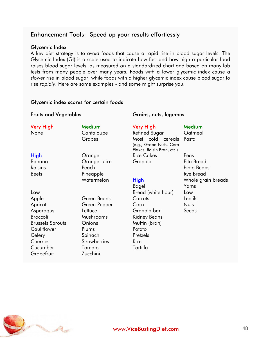# Enhancement Tools: Speed up your results effortlessly

### Glycemic Index

A key diet strategy is to *avoid* foods that cause a rapid rise in blood sugar levels. The Glycemic Index (GI) is a scale used to indicate how fast and how high a particular food raises blood sugar levels, as measured on a standardized chart and based on many lab tests from many people over many years. Foods with a lower glycemic index cause a *slower* rise in blood sugar, while foods with a higher glycemic index cause blood sugar to rise *rapidly*. Here are some examples - and some might surprise you.

### Glycemic index scores for certain foods

| <b>Fruits and Vegetables</b> |                     | Grains, nuts, legumes                                                         |                    |
|------------------------------|---------------------|-------------------------------------------------------------------------------|--------------------|
| <b>Very High</b>             | Medium              | <b>Very High</b>                                                              | Medium             |
| None                         | Cantaloupe          | Refined Sugar                                                                 | Oatmeal            |
|                              | Grapes              | Most cold<br>cereals<br>(e.g., Grape Nuts, Corn<br>Flakes, Raisin Bran, etc.) | Pasta              |
| High                         | Orange              | <b>Rice Cakes</b>                                                             | Peas               |
| Banana                       | Orange Juice        | Granola                                                                       | Pita Bread         |
| Raisins                      | Peach               |                                                                               | Pinto Beans        |
| <b>Beets</b>                 | Pineapple           |                                                                               | <b>Rye Bread</b>   |
|                              | Watermelon          | <b>High</b>                                                                   | Whole grain breads |
|                              |                     | Bagel                                                                         | Yams               |
| Low                          |                     | Bread (white flour)                                                           | Low                |
| Apple                        | Green Beans         | Carrots                                                                       | Lentils            |
| Apricot                      | Green Pepper        | Corn                                                                          | <b>Nuts</b>        |
| Asparagus                    | Lettuce             | Granola bar                                                                   | Seeds              |
| <b>Broccoli</b>              | Mushrooms           | Kidney Beans                                                                  |                    |
| <b>Brussels Sprouts</b>      | Onions              | Muffin (bran)                                                                 |                    |
| Cauliflower                  | Plums               | Potato                                                                        |                    |
| Celery                       | Spinach             | Pretzels                                                                      |                    |
| Cherries                     | <b>Strawberries</b> | <b>Rice</b>                                                                   |                    |
| Cucumber                     | Tomato              | Tortilla                                                                      |                    |
| Grapefruit                   | Zucchini            |                                                                               |                    |



# www.ViceBustingDiet.com 48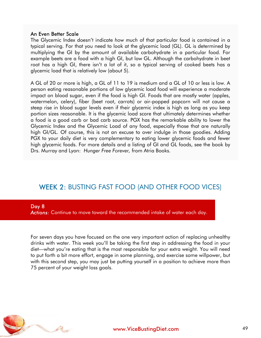#### An Even Better Scale

The Glycemic Index doesn't indicate *how much* of that particular food is contained in a typical serving. For that you need to look at the glycemic load (GL). GL is determined by multiplying the GI by the amount of available carbohydrate in a particular food. For example beets are a food with a high GI, but low GL. Although the carbohydrate in beet root has a high GI, there isn't a lot of it, so a typical serving of cooked beets has a glycemic load that is relatively low (about 5).

A GL of 20 or more is high, a GL of 11 to 19 is medium and a GL of 10 or less is low. A person eating reasonable portions of low glycemic load food will experience a moderate impact on blood sugar, even if the food is high GI. Foods that are mostly water (apples, watermelon, celery), fiber (beet root, carrots) or air-popped popcorn will not cause a steep rise in blood sugar levels even if their glycemic index is high as long as you keep portion sizes reasonable. It is the glycemic load score that ultimately determines whether a food is a good carb or bad carb source. PGX has the remarkable ability to lower the Glycemic Index and the Glycemic Load of any food, especially those that are naturally high GI/GL. Of course, this is not an excuse to over indulge in those goodies. Adding PGX to your daily diet is very complementary to eating lower glycemic foods and fewer high glycemic foods. For more details and a listing of GI and GL foods, see the book by Drs. Murray and Lyon: *Hunger Free Forever,* from Atria Books.

# WEEK 2: BUSTING FAST FOOD (AND OTHER FOOD VICES)

# Day 8

*Actions:* Continue to move toward the recommended intake of water each day.

For seven days you have focused on the one very important action of replacing unhealthy drinks with water. This week you'll be taking the first step in addressing the food in your diet—what you're eating that is the most responsible for your extra weight. You will need to put forth a bit more effort, engage in some planning, and exercise some willpower, but with this second step, you may just be putting yourself in a position to achieve more than 75 percent of your weight loss goals.

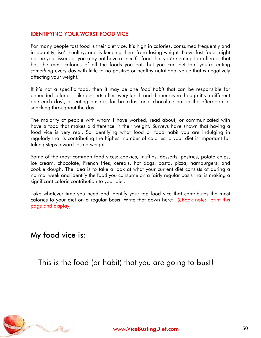# IDENTIFYING YOUR WORST FOOD VICE

For many people fast food is their diet vice. It's high in calories, consumed frequently and in quantity, isn't healthy, and is keeping them from losing weight. Now, fast food might not be your issue, or you may not have a *specific* food that you're eating too often or that has the most calories of all the foods you eat, but you can bet that you're eating *something* every day with little to no positive or healthy nutritional value that *is* negatively affecting your weight.

If it's not a specific food, then it may be one *food habit* that can be responsible for unneeded calories—like desserts after every lunch and dinner (even though it's a different one each day), or eating pastries for breakfast or a chocolate bar in the afternoon or snacking throughout the day.

The majority of people with whom I have worked, read about, or communicated with have a food that makes a difference in their weight. Surveys have shown that having a food vice is very real. So identifying what food or food habit you are indulging in regularly that is contributing the highest number of calories to your diet is important for taking steps toward losing weight.

Some of the most common food vices: cookies, muffins, desserts, pastries, potato chips, ice cream, chocolate, French fries, cereals, hot dogs, pasta, pizza, hamburgers, and cookie dough. The idea is to take a look at what your current diet consists of during a normal week and identify the food you consume on a fairly regular basis that is making a significant caloric contribution to your diet.

Take whatever time you need and identify your top food vice that contributes the most calories to your diet on a regular basis. Write that down here: (eBook note: print this page and display)

# My food vice is:

This is the food (or habit) that you are going to bust!

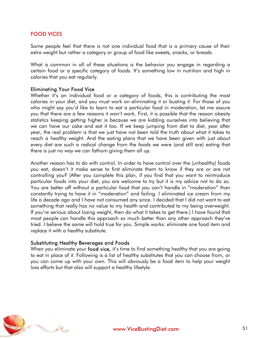# FOOD VICES

Some people feel that there is not one individual food that is a primary cause of their extra weight but rather a category or group of food like sweets, snacks, or breads.

What is common in all of these situations is the behavior you engage in regarding a certain food or a specific category of foods. It's something low in nutrition and high in calories that you eat regularly.

#### Eliminating Your Food Vice

Whether it's an individual food or a category of foods, this is contributing the most calories in your diet, and you must work on eliminating it or busting it. For those of you who might say you'd like to learn to eat a particular food in moderation, let me assure you that there are a few reasons it won't work. First, it is possible that the reason obesity statistics keeping getting higher is because we are kidding ourselves into believing that we can have our cake and eat it too. If we keep jumping from diet to diet, year after year, the real problem is that we just have not been told the truth about what it takes to reach a healthy weight. And the eating plans that we have been given with just about every diet are such a radical change from the foods we were (and still are) eating that there is just no way we can fathom giving them all up.

Another reason has to do with control. In order to have control over the (unhealthy) foods you eat, doesn't it make sense to first eliminate them to know if they are or are not controlling you? (After you complete this plan, if you find that you want to reintroduce particular foods into your diet, you are welcome to try but it is my advice not to do so. You are better off without a particular food that you can't handle in "moderation" than constantly trying to have it in "moderation" and failing. I eliminated ice cream from my life a decade ago and I have not consumed any since. I decided that I did not want to eat something that really has no value to my health and contributed to my being overweight. If you're serious about losing weight, then do what it takes to get there.) I have found that most people can handle this approach so much better than any other approach they've tried. I believe the same will hold true for you. Simple works: eliminate one food item and replace it with a healthy substitute.

# Substituting Healthy Beverages and Foods

When you eliminate your food vice, it's time to find something healthy that you are going to eat in place of it. Following is a list of healthy substitutes that you can choose from, or you can come up with your own. This will obviously be a food item to help your weight loss efforts but that also will support a healthy lifestyle.

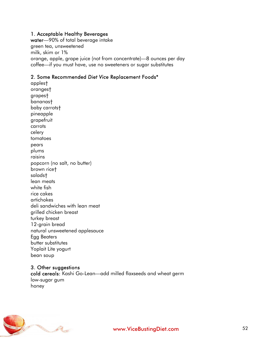# 1. Acceptable Healthy Beverages

water—90% of total beverage intake green tea, unsweetened milk, skim or 1% orange, apple, grape juice (not from concentrate)—8 ounces per day coffee—if you must have, use no sweeteners or sugar substitutes

# 2. Some Recommended *Diet Vice* Replacement Foods\*

apples† oranges† grapes† bananas† baby carrots† pineapple grapefruit carrots celery tomatoes pears plums raisins popcorn (no salt, no butter) brown rice† salads† lean meats white fish rice cakes artichokes deli sandwiches with lean meat grilled chicken breast turkey breast 12-grain bread natural unsweetened applesauce Egg Beaters butter substitutes Yoplait Lite yogurt bean soup

# 3. Other suggestions

cold cereals: Kashi Go-Lean—add milled flaxseeds and wheat germ low-sugar gum honey

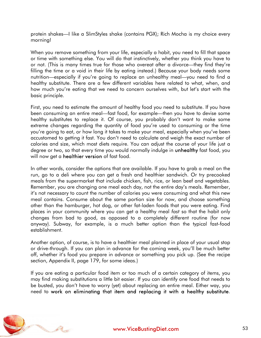protein shakes—I like a SlimStyles shake (contains PGX); Rich Mocha is my choice every morning!

When you remove something from your life, especially a habit, you need to fill that space or time with something else. You will do that instinctively, whether you think you have to or not. (This is many times true for those who overeat after a divorce—they find they're filling the time or a void in their life by eating instead.) Because your body needs some nutrition—especially if you're going to replace an unhealthy meal—you need to find a healthy substitute. There are a few different variables here related to what, when, and how much you're eating that we need to concern ourselves with, but let's start with the basic principle.

First, you need to estimate the amount of healthy food you need to substitute. If you have been consuming an entire meal—fast food, for example—then you have to devise some healthy substitutes to replace it. Of course, you probably don't want to make some extreme changes regarding the quantity of food you're used to consuming or the time you're going to eat, or how long it takes to make your meal, especially when you've been accustomed to getting it fast. You don't need to calculate and weigh the exact number of calories and size, which most diets require. You can adjust the course of your life just a degree or two, so that every time you would normally indulge in unhealthy fast food, you will now get a **healthier version** of fast food.

In other words, consider the options that are available. If you have to grab a meal on the run, go to a deli where you can get a fresh and healthier sandwich. Or try precooked meals from the supermarket that include chicken, fish, rice, or lean beef and vegetables. Remember, you are changing one meal each day, not the entire day's meals. Remember, it's not necessary to count the number of calories you were consuming and what this new meal contains. Consume about the same portion size for now, and choose something other than the hamburger, hot dog, or other fat-laden foods that you were eating. Find places in your community where you can get a healthy meal *fast* so that the habit only changes from bad to good, as opposed to a completely different routine (for now anyway). Subway, for example, is a much better option than the typical fast-food establishment.

Another option, of course, is to have a healthier meal planned in place of your usual stop or drive-through. If you can plan in advance for the coming week, you'll be much better off, whether it's food you prepare in advance or something you pick up. (See the recipe section, Appendix II, page 179, for some ideas.)

If you are eating a particular food item or too much of a certain category of items, you may find making substitutions a little bit easier. If you can identify one food that needs to be busted, you don't have to worry (yet) about replacing an entire meal. Either way, you need to work on eliminating that item and replacing it with a healthy substitute.

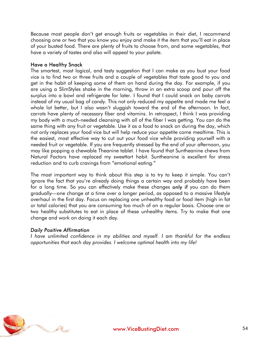Because most people don't get enough fruits or vegetables in their diet, I recommend choosing one or two that you know you enjoy and make it the item that you'll eat in place of your busted food. There are plenty of fruits to choose from, and some vegetables, that have a variety of tastes and also will appeal to your palate.

#### Have a Healthy Snack

The smartest, most logical, and tasty suggestion that I can make as you bust your food vice is to find two or three fruits and a couple of vegetables that taste good to you and get in the habit of keeping some of them on hand during the day. For example, if you are using a SlimStyles shake in the morning, throw in an extra scoop and pour off the surplus into a bowl and refrigerate for later. I found that I could snack on baby carrots instead of my usual bag of candy. This not only reduced my appetite and made me feel a whole lot better, but I also wasn't sluggish toward the end of the afternoon. In fact, carrots have plenty of necessary fiber and vitamins. In retrospect, I think I was providing my body with a much-needed cleansing with all of the fiber I was getting. You can do the same thing with any fruit or vegetable. Use it as a food to snack on during the day, which not only replaces your food vice but will help reduce your appetite come mealtime. This is the easiest, most effective way to cut out your food vice while providing yourself with a needed fruit or vegetable. If you are frequently stressed by the end of your afternoon, you may like popping a chewable Theanine tablet. I have found that Suntheanine chews from Natural Factors have replaced my sweettart habit. Suntheanine is excellent for stress reduction and to curb cravings from "emotional eating."

The most important way to think about this step is to try to keep it simple. You can't ignore the fact that you're already doing things a certain way and probably have been for a long time. So you can effectively make these changes only if you can do them gradually—one change at a time over a longer period, as opposed to a massive lifestyle overhaul in the first day. Focus on replacing one unhealthy food or food item (high in fat or total calories) that you are consuming too much of on a regular basis. Choose one or two healthy substitutes to eat in place of these unhealthy items. Try to make that one change and work on doing it each day.

# *Daily Positive Affirmation*

*I have unlimited confidence in my abilities and myself. I am thankful for the endless opportunities that each day provides. I welcome optimal health into my life!* 

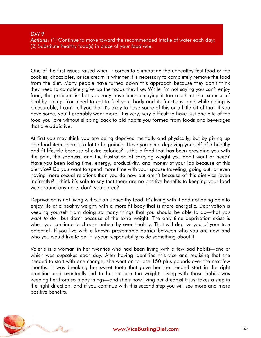#### DAY<sub>9</sub>

*Actions:* (1) Continue to move toward the recommended intake of water each day; (2) Substitute healthy food(s) in place of your *food vice*.

One of the first issues raised when it comes to eliminating the unhealthy fast food or the cookies, chocolates, or ice cream is whether it is necessary to completely remove the food from the diet. Many people have turned down this approach because they don't think they need to completely give up the foods they like. While I'm not saying you can't enjoy food, the problem is that you may have been enjoying it too much at the expense of healthy eating. You need to eat to fuel your body and its functions, and while eating is pleasurable, I can't tell you that it's okay to have some of this or a little bit of that. If you have some, you'll probably want more! It is very, very difficult to have just one bite of the food you love without slipping back to old habits you formed from foods and beverages that are addictive.

At first you may think you are being deprived mentally and physically, but by giving up one food item, there is a lot to be gained. Have you been depriving yourself of a healthy and fit lifestyle because of extra calories? Is this a food that has been providing you with the pain, the sadness, and the frustration of carrying weight you don't want or need? Have you been losing time, energy, productivity, and money at your job because of this diet vice? Do you want to spend more time with your spouse traveling, going out, or even having more sexual relations than you do now but aren't because of this diet vice (even indirectly)? I think it's safe to say that there are no positive benefits to keeping your food vice around anymore; don't you agree?

Deprivation is not living without an unhealthy food. It's living with it and not being able to enjoy life at a healthy weight, with a more fit body that is more energetic. Deprivation is keeping yourself from doing so many things that you should be able to do—that *you want to do*—but don't because of the extra weight. The only time deprivation exists is when you continue to choose unhealthy over healthy. That will deprive you of your true potential. If you live with a known preventable barrier between who you are now and who you would like to be, it is your responsibility to do something about it.

Valerie is a woman in her twenties who had been living with a few bad habits—one of which was cupcakes each day. After having identified this vice and realizing that she needed to start with one change, she went on to lose 150-plus pounds over the next few months. It was breaking her sweet tooth that gave her the needed start in the right direction and eventually led to her to lose the weight. Living with those habits was keeping her from so many things—and she's now living her dreams! It just takes a step in the right direction, and if you continue with this second step you will see more and more positive benefits.

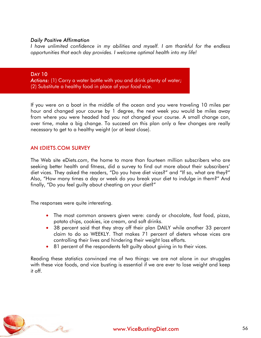#### *Daily Positive Affirmation*

*I have unlimited confidence in my abilities and myself. I am thankful for the endless opportunities that each day provides. I welcome optimal health into my life!* 

DAY 10 *Actions:* (1) Carry a water bottle with you and drink plenty of water; (2) Substitute a healthy food in place of your *food vice*.

If you were on a boat in the middle of the ocean and you were traveling 10 miles per hour and changed your course by 1 degree, the next week you would be miles away from where you were headed had you not changed your course. A small change can, over time, make a big change. To succeed on this plan only a few changes are really necessary to get to a healthy weight (or at least close).

# AN EDIETS.COM SURVEY

The Web site eDiets.com, the home to more than fourteen million subscribers who are seeking better health and fitness, did a survey to find out more about their subscribers' diet vices. They asked the readers, "Do you have diet vices?" and "If so, what are they?" Also, "How many times a day or week do you break your diet to indulge in them?" And finally, "Do you feel guilty about cheating on your diet?"

The responses were quite interesting.

- The most common answers given were: candy or chocolate, fast food, pizza, potato chips, cookies, ice cream, and soft drinks.
- 38 percent said that they stray off their plan DAILY while another 33 percent claim to do so WEEKLY. That makes 71 percent of dieters whose vices are controlling their lives and hindering their weight loss efforts.
- 81 percent of the respondents felt guilty about giving in to their vices.

Reading these statistics convinced me of two things: we are not alone in our struggles with these vice foods, and vice busting is essential if we are ever to lose weight and keep it off.

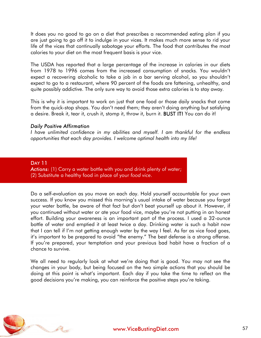It does you no good to go on a diet that prescribes a recommended eating plan if you are just going to go off it to indulge in your vices. It makes much more sense to rid your life of the vices that continually sabotage your efforts. The food that contributes the most calories to your diet on the most frequent basis is your vice.

The USDA has reported that a large percentage of the increase in calories in our diets from 1978 to 1996 comes from the increased consumption of snacks. You wouldn't expect a recovering alcoholic to take a job in a bar serving alcohol, so you shouldn't expect to go to a restaurant, where 90 percent of the foods are fattening, unhealthy, and quite possibly addictive. The only sure way to avoid those extra calories is to stay away.

This is why it is important to work on just that one food or those daily snacks that come from the quick-stop shops. You don't need them; they aren't doing anything but satisfying a desire. Break it, tear it, crush it, stomp it, throw it, burn it. BUST IT! You can do it!

#### *Daily Positive Affirmation*

í

*I have unlimited confidence in my abilities and myself. I am thankful for the endless opportunities that each day provides. I welcome optimal health into my life!* 

#### DAY 11 *Actions:* (1) Carry a water bottle with you and drink plenty of water; (2) Substitute a healthy food in place of your *food vice*.

Do a self-evaluation as you move on each day. Hold yourself accountable for your own success. If you know you missed this morning's usual intake of water because you forgot your water bottle, be aware of that fact but don't beat yourself up about it. However, if you continued without water or ate your food vice, maybe you're not putting in an honest effort. Building your awareness is an important part of the process. I used a 32-ounce bottle of water and emptied it at least twice a day. Drinking water is such a habit now that I can tell if I'm not getting enough water by the way I feel. As far as vice food goes, it's important to be prepared to avoid "the enemy." The best defense is a strong offense. If you're prepared, your temptation and your previous bad habit have a fraction of a chance to survive.

We all need to regularly look at what we're doing that is good. You may not see the changes in your body, but being focused on the two simple actions that you should be doing at this point is what's important. Each day if you take the time to reflect on the good decisions you're making, you can reinforce the positive steps you're taking.

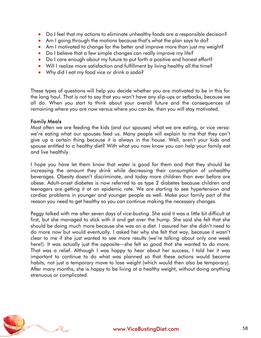- Do I feel that my actions to eliminate unhealthy foods are a responsible decision?
- Am I going through the motions because that's what the plan says to do?
- Am I motivated to change for the better and improve more than just my weight?
- Do I believe that a few simple changes can really improve my life?
- Do I care enough about my future to put forth a positive and honest effort?
- Will I realize more satisfaction and fulfillment by living healthy all the time?
- Why did I eat my food vice or drink a soda?

These types of questions will help you decide whether you are motivated to be in this for the long haul. That is not to say that you won't have any slip-ups or setbacks, because we all do. When you start to think about your overall future and the consequences of remaining where you are now versus where you *can be,* then you will stay motivated.

#### Family Meals

Most often we are feeding the kids (and our spouses) what we are eating, or vice versa: we're eating what our spouses feed us. Many people will explain to me that they can't give up a certain thing because it is always in the house. Well, aren't your kids and spouse entitled to a healthy diet? With what you now know you can help your family eat and live healthily.

I hope you have let them know that water is good for them and that they should be increasing the amount they drink while decreasing their consumption of unhealthy beverages. Obesity doesn't discriminate, and today more children than ever before are obese. Adult-onset diabetes is now referred to as type 2 diabetes because children and teenagers are getting it at an epidemic rate. We are starting to see hypertension and cardiac problems in younger and younger people as well. Make your family part of the reason you need to get healthy so you can continue making the necessary changes.

Peggy talked with me after seven days of *vice-busting*. She said it was a little bit difficult at first, but she managed to stick with it and get over the hump. She said she felt that she should be doing much more because she was on a diet. I assured her she didn't need to do more now but would eventually. I asked her why she felt that way, because it wasn't clear to me if she just wanted to see more results (we're talking about only one week here!). It was actually just the opposite—she felt so good that she wanted to do more. That was a relief. Although I was happy to hear about her success, I told her it was important to continue to do what was planned so that these actions would become habits, not just a temporary move to lose weight (which would then also be temporary). After many months, she is happy to be living at a healthy weight, without doing anything strenuous or complicated.



# www.ViceBustingDiet.com 58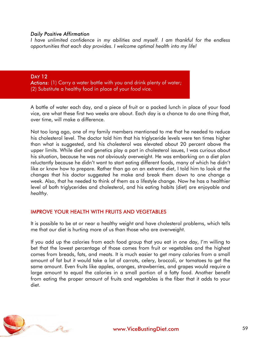#### *Daily Positive Affirmation*

i<br>I

*I have unlimited confidence in my abilities and myself. I am thankful for the endless opportunities that each day provides. I welcome optimal health into my life!* 

DAY 12 *Actions:* (1) Carry a water bottle with you and drink plenty of water; (2) Substitute a healthy food in place of your *food vice*.

A bottle of water each day, and a piece of fruit or a packed lunch in place of your food vice, are what these first two weeks are about. Each day is a chance to do one thing that, over time, will make a difference.

Not too long ago, one of my family members mentioned to me that he needed to reduce his cholesterol level. The doctor told him that his triglyceride levels were ten times higher than what is suggested, and his cholesterol was elevated about 20 percent above the upper limits. While diet and genetics play a part in cholesterol issues, I was curious about his situation, because he was not obviously overweight. He was embarking on a diet plan reluctantly because he didn't want to start eating different foods, many of which he didn't like or know how to prepare. Rather than go on an extreme diet, I told him to look at *the changes* that his doctor suggested he make and break them down to one change a week. Also, that he needed to think of them as a lifestyle change. Now he has a healthier level of both triglycerides and cholesterol, and his eating habits (diet) are enjoyable and *healthy.* 

# IMPROVE YOUR HEALTH WITH FRUITS AND VEGETABLES

It is possible to be at or near a healthy weight and have cholesterol problems, which tells me that our diet is hurting more of us than those who are overweight.

If you add up the calories from each food group that you eat in one day, I'm willing to bet that the lowest percentage of those comes from fruit or vegetables and the highest comes from breads, fats, and meats. It is much easier to get many calories from a small amount of fat but it would take a lot of carrots, celery, broccoli, or tomatoes to get the same amount. Even fruits like apples, oranges, strawberries, and grapes would require a large amount to equal the calories in a small portion of a fatty food. Another benefit from eating the proper amount of fruits and vegetables is the fiber that it adds to your diet.

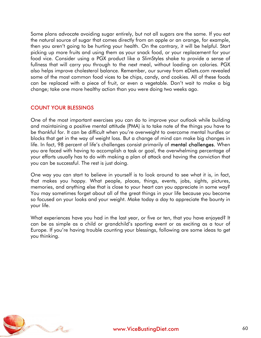Some plans advocate avoiding sugar entirely, but not all sugars are the same. If you eat the natural source of sugar that comes directly from an apple or an orange, for example, then you aren't going to be hurting your health. On the contrary, it will be helpful. Start picking up more fruits and using them as your snack food, or your replacement for your food vice. Consider using a PGX product like a SlimStyles shake to provide a sense of fullness that will carry you through to the next meal, without loading on calories. PGX also helps improve cholesterol balance. Remember, our survey from eDiets.com revealed some of the most common food vices to be chips, candy, and cookies. All of these foods can be replaced with a piece of fruit, or even a vegetable. Don't wait to make a big change; take one more healthy action than you were doing two weeks ago.

# COUNT YOUR BLESSINGS

One of the most important exercises you can do to improve your outlook while building and maintaining a positive mental attitude (PMA) is to take note of the things you have to be thankful for. It can be difficult when you're overweight to overcome mental hurdles or blocks that get in the way of weight loss. But a change of mind can make big changes in life. In fact, 98 percent of life's challenges consist primarily of mental challenges. When you are faced with having to accomplish a task or goal, the overwhelming percentage of your efforts usually has to do with making a plan of attack and having the conviction that you can be successful. The rest is just doing.

One way you can start to believe in yourself is to look around to see what it is, in fact, that makes you happy. What people, places, things, events, jobs, sights, pictures, memories, and anything else that is close to your heart can you appreciate in some way? You may sometimes forget about all of the great things in your life because you become so focused on your looks and your weight. Make today a day to appreciate the bounty in your life.

What experiences have you had in the last year, or five or ten, that you have enjoyed? It can be as simple as a child or grandchild's sporting event or as exciting as a tour of Europe. If you're having trouble counting your blessings, following are some ideas to get you thinking.

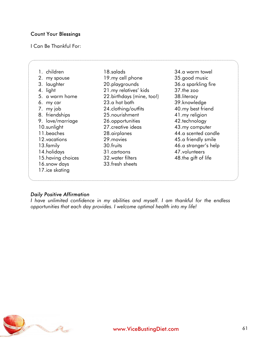# Count Your Blessings

I Can Be Thankful For:

1. children 2. my spouse 3. laughter 4. light 5. a warm home 6. my car 7. my job 8. friendships 9. love/marriage 10.sunlight 11.beaches 12.vacations 13.family 14.holidays 15.having choices 16.snow days 17.ice skating 18.salads 19.my cell phone 20.playgrounds 21.my relatives' kids 22.birthdays (mine, too!) 23.a hot bath 24.clothing/outfits 25.nourishment 26.opportunities 27.creative ideas 28.airplanes 29.movies 30.fruits 31.cartoons 32.water filters 33.fresh sheets 37.the zoo 38.literacy

34.a warm towel 35.good music 36.a sparkling fire 39.knowledge 40.my best friend 41.my religion 42.technology 43.my computer 44.a scented candle 45.a friendly smile 46.a stranger's help 47.volunteers 48.the gift of life

# *Daily Positive Affirmation*

*I have unlimited confidence in my abilities and myself. I am thankful for the endless opportunities that each day provides. I welcome optimal health into my life!* 

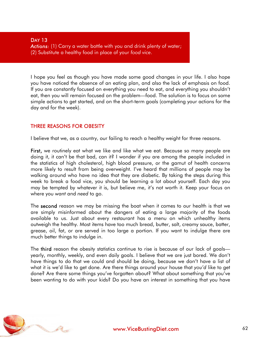DAY 13 *Actions:* (1) Carry a water bottle with you and drink plenty of water; (2) Substitute a healthy food in place of your *food vice*.

I hope you feel as though you have made some good changes in your life. I also hope you have noticed the absence of an eating plan, and also the lack of emphasis on food. If you are constantly focused on everything you need to eat, and everything you shouldn't eat, then you will remain focused on the problem—food. The solution is to focus on some simple actions to get started, and on the short-term goals (completing your actions for the day and for the week).

# THREE REASONS FOR OBESITY

I believe that we, as a country, our failing to reach a healthy weight for three reasons.

First, we routinely eat what we like and like what we eat. Because so many people are doing it, it can't be that bad, can it? I wonder if you are among the people included in the statistics of high cholesterol, high blood pressure, or the gamut of health concerns more likely to result from being overweight. I've heard that millions of people may be walking around who have no idea that they are diabetic. By taking the steps during this week to break a food vice, you should be learning a lot about yourself. Each day you may be tempted by whatever it is, but believe me, it's not worth it. Keep your focus on where you *want* and *need* to go.

The **second** reason we may be missing the boat when it comes to our health is that we are simply misinformed about the dangers of eating a large majority of the foods available to us. Just about every restaurant has a menu on which unhealthy items outweigh the healthy. Most items have too much bread, butter, salt, creamy sauce, batter, grease, oil, fat, or are served in too large a portion. If you want to indulge there are much better things to indulge in.

The third reason the obesity statistics continue to rise is because of our lack of goals yearly, monthly, weekly, and even daily goals. I believe that we are just bored. We don't have things to do that we could and should be doing, because we don't have a list of what it is we'd like to get done. Are there things around your house that *you'd* like to get done? Are there some things you've forgotten about? What about something that you've been wanting to do with your kids? Do you have an interest in something that you have

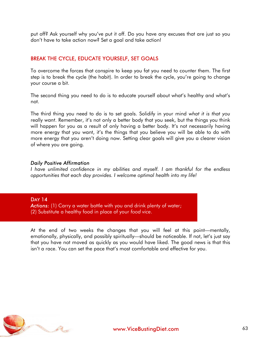put off? Ask yourself why you've put it off. Do you have any excuses that are just so you don't have to take action now? Set a goal and take action!

# BREAK THE CYCLE, EDUCATE YOURSELF, SET GOALS

To overcome the forces that conspire to keep you fat you need to counter them. The first step is to break the cycle (the habit). In order to break the cycle, you're going to change your course a bit.

The second thing you need to do is to educate yourself about what's healthy and what's not.

The third thing you need to do is to set goals. Solidify in your mind *what it is that you* really *want*. Remember, it's not only a better body that you seek, but the things you think will happen for you as a result of only having a better body. It's not necessarily having more energy that you want, it's the things that you believe you will be able to do with more energy that you aren't doing now. Setting clear goals will give you a clearer vision of where you are going.

### *Daily Positive Affirmation*

*I have unlimited confidence in my abilities and myself. I am thankful for the endless opportunities that each day provides. I welcome optimal health into my life!* 

**DAY 14** 

i<br>I

*Actions:* (1) Carry a water bottle with you and drink plenty of water; (2) Substitute a healthy food in place of your *food vice*.

At the end of two weeks the changes that you will feel at this point—mentally, emotionally, physically, and possibly spiritually—should be noticeable. If not, let's just say that you have not moved as quickly as you would have liked. The good news is that this isn't a race. You can set the pace that's most comfortable and effective for you.

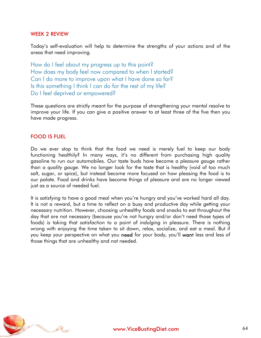### WEEK 2 REVIEW

Today's self-evaluation will help to determine the strengths of your actions and of the areas that need improving.

How do I feel about my progress up to this point? How does my body feel now compared to when I started? Can I do more to improve upon what I have done so far? Is this something I think I can do for the rest of my life? Do I feel deprived or empowered?

These questions are strictly meant for the purpose of strengthening your mental resolve to improve your life. If you can give a positive answer to at least three of the five then you have made progress.

# FOOD IS FUEL

Do we ever stop to think that the food we need is merely fuel to keep our body functioning healthily? In many ways, it's no different from purchasing high quality gasoline to run our automobiles. Our taste buds have become a *pleasure gauge* rather than a *quality gauge.* We no longer look for the taste that is healthy (void of too much salt, sugar, or spice), but instead become more focused on how pleasing the food is to our palate. Food and drinks have become things of pleasure and are no longer viewed just as a source of needed fuel.

It is *satisfying* to have a good meal when you're hungry and you've worked hard all day. It is not a reward, but a time to reflect on a busy and productive day while getting your necessary nutrition. However, choosing unhealthy foods and snacks to eat throughout the day that are not necessary (because you're not hungry and/or don't need those types of foods) is taking that *satisfaction* to a point of *indulging* in pleasure. There is nothing wrong with enjoying the time taken to sit down, relax, socialize, and eat a meal. But if you keep your perspective on what you need for your body, you'll want less and less of those things that are unhealthy and not needed.

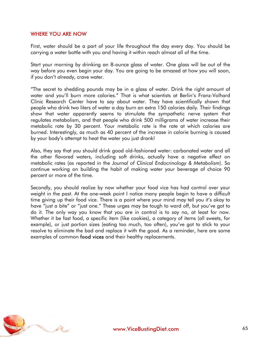### WHERE YOU ARE NOW

First, water should be a part of your life throughout the day every day. You should be carrying a water bottle with you and having it within reach almost all of the time.

Start your morning by drinking an 8-ounce glass of water. One glass will be out of the way before you even begin your day. You are going to be amazed at how you will soon, if you don't already, crave water.

"The secret to shedding pounds may be in a glass of water. Drink the right amount of water and you'll burn more calories." That is what scientists at Berlin's Franz-Volhard Clinic Research Center have to say about water. They have scientifically shown that people who drink two liters of water a day burn an extra 150 calories daily. Their findings show that water apparently seems to stimulate the sympathetic nerve system that regulates metabolism, and that people who drink 500 milligrams of water increase their metabolic rate by 30 percent. Your metabolic rate is the rate at which calories are burned. Interestingly, as much as 40 percent of the increase in calorie burning is caused by your body's attempt to heat the water you just drank!

Also, they say that you should drink good old-fashioned water: carbonated water and all the other flavored waters, including soft drinks, actually have a negative effect on metabolic rates (as reported in the *Journal of Clinical Endocrinology & Metabolism*). So continue working on building the habit of making water your beverage of choice 90 percent or more of the time.

Secondly, you should realize by now whether your food vice has had control over your weight in the past. At the one-week point I notice many people begin to have a difficult time giving up their food vice. There is a point where your mind may tell you it's okay to have "just a bite" or "just one." These urges may be tough to ward off, but you've got to do it. The only way you know that you are in control is to say no, at least for now. Whether it be fast food, a specific item (like cookies), a category of items (all sweets, for example), or just portion sizes (eating too much, too often), you've got to stick to your resolve to eliminate the bad and replace it with the good. As a reminder, here are some examples of common food vices and their healthy replacements.

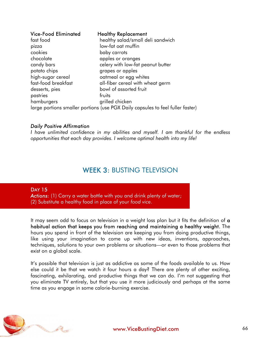| <b>Vice-Food Eliminated</b> | <b>Healthy Replacement</b>                                                     |
|-----------------------------|--------------------------------------------------------------------------------|
| fast food                   | healthy salad/small deli sandwich                                              |
| pizza                       | low-fat oat muffin                                                             |
| cookies                     | baby carrots                                                                   |
| chocolate                   | apples or oranges                                                              |
| candy bars                  | celery with low-fat peanut butter                                              |
| potato chips                | grapes or apples                                                               |
| high-sugar cereal           | oatmeal or egg whites                                                          |
| fast-food breakfast         | all-fiber cereal with wheat germ                                               |
| desserts, pies              | bowl of assorted fruit                                                         |
| pastries                    | fruits                                                                         |
| hamburgers                  | grilled chicken                                                                |
|                             | large portions smaller portions (use PGX Daily capsules to feel fuller faster) |

### *Daily Positive Affirmation*

*I have unlimited confidence in my abilities and myself. I am thankful for the endless opportunities that each day provides. I welcome optimal health into my life!* 

# WEEK 3: BUSTING TELEVISION

DAY 15 *Actions:* (1) Carry a water bottle with you and drink plenty of water; (2) Substitute a healthy food in place of your *food vice*.

It may seem odd to focus on television in a weight loss plan but it fits the definition of a habitual action that keeps you from reaching and maintaining a healthy weight. The hours you spend in front of the television are keeping you from doing productive things, like using your imagination to come up with new ideas, inventions, approaches, techniques, solutions to your own problems or situations—or even to those problems that exist on a global scale.

It's possible that television is just as addictive as some of the foods available to us. How else could it be that we watch it four hours a day? There are plenty of other exciting, fascinating, exhilarating, and productive things that we can do. I'm not suggesting that you eliminate TV entirely, but that you use it more judiciously and perhaps at the same time as you engage in some calorie-burning exercise.



i<br>I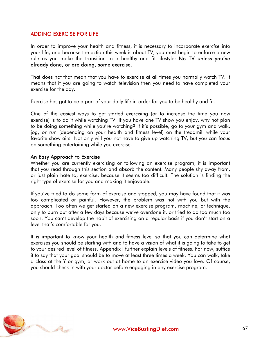## ADDING EXERCISE FOR LIFE

In order to improve your health and fitness, it is necessary to incorporate *exercise* into your life, and because the action this week is about TV, you must begin to enforce a new rule as you make the transition to a healthy and fit lifestyle: No TV unless you've already done, or are doing, some exercise.

That does not that mean that you have to exercise at all times you normally watch TV. It means that if you are going to watch television then you need to have completed your exercise for the day.

Exercise has got to be a part of your daily life in order for you to be healthy and fit.

One of the easiest ways to get started exercising (or to increase the time you now exercise) is to do it while watching TV. If you have one TV show you enjoy, why not plan to be doing something while you're watching? If it's possible, go to your gym and walk, jog, or run (depending on your health and fitness level) on the treadmill while your favorite show airs. Not only will you not have to give up watching TV, but you can focus on something entertaining while you exercise.

### An Easy Approach to Exercise

Whether you are currently exercising or following an exercise program, it is important that you read through this section and absorb the content. Many people shy away from, or just plain hate to, exercise, because it seems too difficult. The solution is finding the right type of exercise for you and making it enjoyable.

If you've tried to do some form of exercise and stopped, you may have found that it was too complicated or painful. However, the problem was not with you but with the approach. Too often we get started on a new exercise program, machine, or technique, only to burn out after a few days because we've overdone it, or tried to do too much too soon. You can't develop the habit of exercising on a regular basis if you don't start on a level that's comfortable for you.

It is important to know your health and fitness level so that you can determine what exercises you should be starting with and to have a vision of what it is going to take to get to your desired level of fitness. Appendix I further explain levels of fitness. For now, suffice it to say that your goal should be to move at least three times a week. You can walk, take a class at the Y or gym, or work out at home to an exercise video you love. Of course, you should check in with your doctor before engaging in any exercise program.

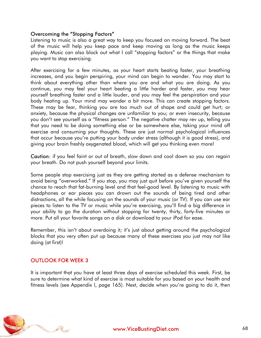## Overcoming the "Stopping Factors"

Listening to music is also a great way to keep you focused on moving forward. The beat of the music will help you keep pace and keep moving as long as the music keeps playing. Music can also block out what I call "stopping factors" or the things that make you want to stop exercising.

After exercising for a few minutes, as your heart starts beating faster, your breathing increases, and you begin perspiring, your mind can begin to wander. You may start to think about everything other than where you are and what you are doing. As you continue, you may feel your heart beating a little harder and faster, you may hear yourself breathing faster and a little louder, and you may feel the perspiration and your body heating up. Your mind may wander a bit more. This can create stopping factors. These may be fear, thinking you are too much out of shape and could get hurt; or anxiety, because the physical changes are unfamiliar to you; or even insecurity, because you don't see yourself as a "fitness person." The negative chatter may rev up, telling you that you need to be doing something else or be somewhere else, taking your mind off exercise and consuming your thoughts. These are just normal psychological influences that occur because you're putting your body under stress (although it is good stress), and giving your brain freshly oxygenated blood, which will get you thinking even more!

*Caution:* if you feel faint or out of breath, slow down and cool down so you can regain your breath. Do not push yourself beyond your limits.

Some people stop exercising just as they are getting started as a defense mechanism to avoid being "overworked." If you stop, you may just quit before you've given yourself the chance to reach that fat-burning level and that feel-good level. By listening to music with headphones or ear pieces you can drown out the sounds of being tired and other distractions, all the while focusing on the sounds of your music (or TV). If you can use ear pieces to listen to the TV or music while you're exercising, you'll find a big difference in your ability to go the duration without stopping for twenty, thirty, forty-five minutes or more. Put all your favorite songs on a disk or download to your iPod for ease.

Remember, this isn't about overdoing it; it's just about getting around the psychological blocks that you very often put up because many of these exercises you just may not like doing (at first)!

## OUTLOOK FOR WEEK 3

It is important that you have at least three days of exercise scheduled this week. First, be sure to determine what kind of exercise is most suitable for you based on your health and fitness levels (see Appendix I, page 165). Next, decide when you're going to do it, then

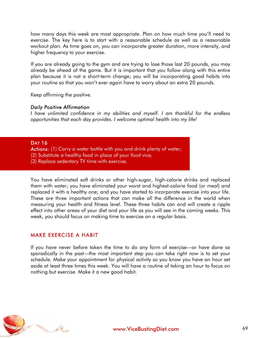how many days this week are most appropriate. Plan on how much time you'll need to exercise. The key here is to start with a reasonable schedule as well as a reasonable workout plan. As time goes on, you can incorporate greater duration, more intensity, and higher frequency to your exercise.

If you are already going to the gym and are trying to lose those last 20 pounds, you may already be ahead of the game. But it is important that you follow along with this entire plan because it is not a short-term change; you will be incorporating good habits into your routine so that you won't ever again have to worry about an extra 20 pounds.

Keep affirming the positive.

### *Daily Positive Affirmation*

*I have unlimited confidence in my abilities and myself. I am thankful for the endless opportunities that each day provides. I welcome optimal health into my life!* 

DAY 16 *Actions:* (1) Carry a water bottle with you and drink plenty of water; (2) Substitute a healthy food in place of your *food vice;* (3) Replace sedentary TV time with exercise.

You have eliminated soft drinks or other high-sugar, high-calorie drinks and replaced them with water; you have eliminated your worst and highest-calorie food (or meal) and replaced it with a healthy one; and you have started to incorporate exercise into your life. These are three important actions that can make all the difference in the world when measuring your health and fitness level. These three habits can and will create a ripple effect into other areas of your diet and your life as you will see in the coming weeks. This week, you should focus on making time to exercise on a regular basis.

# MAKE EXERCISE A HABIT

If you have never before taken the time to do any form of exercise—or have done so sporadically in the past—the most important step you can take *right now* is to set your schedule. Make your appointment for physical activity so you know you have an hour set aside at least three times this week. You will have a routine of taking an hour to focus on nothing but exercise. Make it a new good habit.

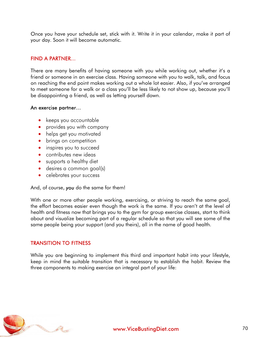Once you have your schedule set, stick with it. Write it in your calendar, make it part of your day. Soon it will become automatic.

# FIND A PARTNER...

There are many benefits of having someone with you while working out, whether it's a friend or someone in an exercise class. Having someone with you to walk, talk, and focus on reaching the end point makes working out a whole lot easier. Also, if you've arranged to meet someone for a walk or a class you'll be less likely to not show up, because you'll be disappointing a friend, as well as letting yourself down.

### An exercise partner...

- keeps you accountable
- provides you with company
- helps get you motivated
- brings on competition
- inspires you to succeed
- contributes new ideas
- supports a healthy diet
- desires a common goal(s)
- celebrates your success

And, of course, *you* do the same for them!

With one or more other people working, exercising, or striving to reach the same goal, the effort becomes easier even though the work is the same. If you aren't at the level of health and fitness now that brings you to the gym for group exercise classes, start to think about and visualize becoming part of a regular schedule so that you will see some of the same people being your support (and you theirs), all in the name of good health.

## TRANSITION TO FITNESS

While you are beginning to implement this third and important habit into your lifestyle, keep in mind the *suitable transition* that is necessary to establish the habit. Review the three components to making exercise an integral part of your life:

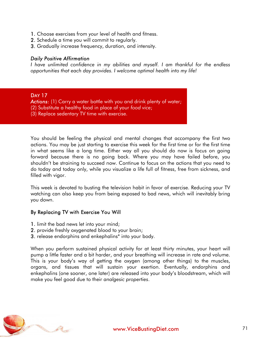- 1. Choose exercises from *your* level of health and fitness.
- 2. Schedule a time you will commit to regularly.
- 3. Gradually increase frequency, duration, and intensity.

### *Daily Positive Affirmation*

ī

*I have unlimited confidence in my abilities and myself. I am thankful for the endless opportunities that each day provides. I welcome optimal health into my life!* 

**DAY 17** *Actions:* (1) Carry a water bottle with you and drink plenty of water; (2) Substitute a healthy food in place of your *food vice*; (3) Replace sedentary TV time with exercise.

You should be feeling the physical and mental changes that accompany the first two actions. You may be just starting to exercise this week for the first time or for the first time in what seems like a long time. Either way all you should do now is focus on going forward because there is no going back. Where you may have failed before, you shouldn't be straining to succeed now. Continue to focus on the actions that you need to do today and today only, while you visualize a life full of fitness, free from sickness, and filled with vigor.

This week is devoted to busting the television habit in favor of exercise. Reducing your TV watching can also keep you from being exposed to bad news, which will inevitably bring you down.

### By Replacing TV with Exercise You Will

- 1. limit the bad news let into your mind;
- 2. provide freshly oxygenated blood to your brain;
- 3. release endorphins and enkephalins\* into your body.

When you perform sustained physical activity for at least thirty minutes, your heart will pump a little faster and a bit harder, and your breathing will increase in rate and volume. This is your body's way of getting the oxygen (among other things) to the muscles, organs, and tissues that will sustain your exertion. Eventually, endorphins and enkephalins (one sooner, one later) are released into your body's bloodstream, which will make you feel good due to their *analgesic properties*.

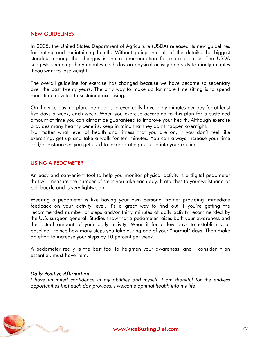### NEW GUIDELINES

In 2005, the United States Department of Agriculture (USDA) released its new guidelines for eating and maintaining health. Without going into all of the details, the biggest standout among the changes is the recommendation for more exercise. The USDA suggests spending thirty minutes each day on physical activity and sixty to ninety minutes if you want to lose weight.

The overall guideline for exercise has changed because we have become so sedentary over the past twenty years. The only way to make up for more time sitting is to spend more time devoted to sustained exercising.

On the vice-busting plan, the goal is to eventually have thirty minutes per day for at least five days a week, each week. When you exercise according to this plan for a sustained amount of time you can almost be guaranteed to improve your health. Although exercise provides many healthy benefits, keep in mind that they don't happen overnight. No matter what level of health and fitness that you are on, if you don't feel like exercising, get up and take a walk for ten minutes. You can always increase your time

and/or distance as you get used to incorporating exercise into your routine.

### USING A PEDOMETER

An easy and convenient tool to help you monitor physical activity is a digital pedometer that will measure the number of steps you take each day. It attaches to your waistband or belt buckle and is very lightweight.

Wearing a pedometer is like having your own personal trainer providing immediate feedback on your activity level. It's a great way to find out if you're getting the recommended number of steps and/or thirty minutes of daily activity recommended by the U.S. surgeon general. Studies show that a pedometer raises both your awareness and the actual amount of your daily activity. Wear it for a few days to establish your baseline—to see how many steps you take during one of your "normal" days. Then make an effort to increase your steps by 10 percent per week.

A pedometer really is the best tool to heighten your awareness, and I consider it an essential, must-have item.

### *Daily Positive Affirmation*

*I have unlimited confidence in my abilities and myself. I am thankful for the endless opportunities that each day provides. I welcome optimal health into my life!* 

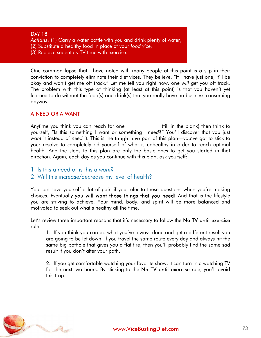DAY 18 *Actions:* (1) Carry a water bottle with you and drink plenty of water; (2) Substitute a healthy food in place of your *food vice;* (3) Replace sedentary TV time with exercise.

One common lapse that I have noted with many people at this point is a slip in their conviction to completely eliminate their diet vices. They believe, "If I have just one, it'll be okay and won't get me off track." Let me tell you right now, one *will* get you off track. The problem with this type of thinking (at least at this point) is that you haven't yet learned to do without the food(s) and drink(s) that you really have no business consuming anyway.

### A NEED OR A WANT

Anytime you think you can reach for one **the set of the contact (fill in the blank**) then think to yourself, "Is this something I want or something I *need*?" You'll discover that you just *want* it instead of *need* it. This is the tough love part of this plan—you've got to stick to your resolve to completely rid yourself of what is unhealthy in order to reach optimal health. And the steps to this plan are only the basic ones to get you started in that direction. Again, each day as you continue with this plan, ask yourself:

### 1. Is this a *need* or is this a *want*?

## 2. Will this increase/decrease my level of health?

You can save yourself a lot of pain if you refer to these questions when you're making choices. Eventually you will want those things that you need! And that is the lifestyle you are striving to achieve. Your mind, body, and spirit will be more balanced and motivated to seek out what's healthy all the time.

Let's review three important reasons that it's necessary to follow the No TV until exercise rule:

1. If you think you can do what you've always done and get a different result you are going to be let down. If you travel the same route every day and always hit the same big pothole that gives you a flat tire, then you'll probably find the same sad result if you don't alter your path.

2. If you get comfortable watching your favorite show, it can turn into watching TV for the next two hours. By sticking to the No TV until exercise rule, you'll avoid this trap.

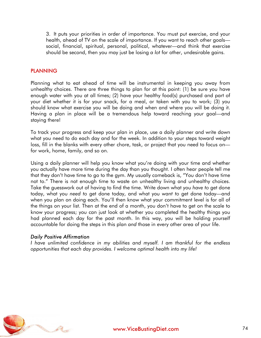3. It puts your priorities in order of importance. You must put exercise, and your health, ahead of TV on the scale of importance. If you want to reach other goals social, financial, spiritual, personal, political, whatever—and think that exercise should be second, then you may just be losing *a lot* for other, undesirable gains.

### PLANNING

Planning what to eat ahead of time will be instrumental in keeping you away from unhealthy choices. There are three things to plan for at this point: (1) be sure you have enough water with you at all times; (2) have your healthy food(s) purchased and part of your diet whether it is for your snack, for a meal, or taken with you to work; (3) you should know what exercise you will be doing and when and where you will be doing it. Having a plan in place will be a tremendous help toward reaching your goal—and staying there!

To track your progress and keep your plan in place, use a daily planner and write down what you need to do each day and for the week. In addition to your steps toward weight loss, fill in the blanks with every other chore, task, or project that you need to focus on for work, home, family, and so on.

Using a daily planner will help you know what you're doing with your time and whether you actually have more time during the day than you thought. I often hear people tell me that they don't have time to go to the gym. My usually comeback is, "You don't have time not to." There is not enough time to waste on unhealthy living and unhealthy choices. Take the guesswork out of having to find the time. Write down what you *have to* get done today, what you *need to* get done today, and what you *want to* get done today—and when you plan on doing each. You'll then know what your commitment level is for all of the things on your list. Then at the end of a month, you don't have to get on the scale to know your progress; you can just look at whether you completed the healthy things you had planned each day for the past month. In this way, you will be holding *yourself* accountable for doing the steps in this plan *and* those in every other area of your life.

### *Daily Positive Affirmation*

*I have unlimited confidence in my abilities and myself. I am thankful for the endless opportunities that each day provides. I welcome optimal health into my life!* 

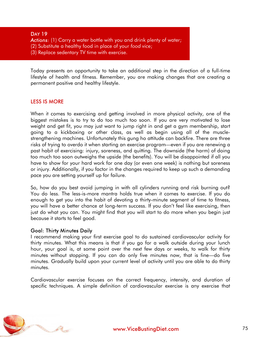**DAY 19** *Actions:* (1) Carry a water bottle with you and drink plenty of water; (2) Substitute a healthy food in place of your *food vice*; (3) Replace sedentary TV time with exercise.

Today presents an opportunity to take an additional step in the direction of a full-time lifestyle of health and fitness. Remember, you are making changes that are creating a permanent positive and healthy lifestyle.

### LESS IS MORE

When it comes to exercising and getting involved in more physical activity, one of the biggest mistakes is to try to do too much too soon. If you are very motivated to lose weight and get fit, you may just want to jump right in and get a gym membership, start going to a kickboxing or other class, as well as begin using all of the musclestrengthening machines. Unfortunately this gung ho attitude can backfire. There are three risks of trying to overdo it when starting an exercise program—even if you are renewing a past habit of exercising: injury, soreness, and quitting. The downside (the harm) of doing too much too soon outweighs the upside (the benefits). You will be disappointed if all you have to show for your hard work for one day (or even one week) is nothing but soreness or injury. Additionally, if you factor in the changes required to keep up such a demanding pace you are setting yourself up for failure.

So, how do you best avoid jumping in with all cylinders running and risk burning out? You do less. The less-is-more mantra holds true when it comes to exercise. If you do enough to get you into the habit of devoting a thirty-minute segment of time to fitness, you will have a better chance at long-term success. If you don't feel like exercising, then just do what you can. You might find that you will start to do more when you begin just because it starts to feel good.

### Goal: Thirty Minutes Daily

I recommend making your first exercise goal to do sustained cardiovascular activity for thirty minutes. What this means is that if you go for a walk outside during your lunch hour, your goal is, at some point over the next few days or weeks, to walk for thirty minutes without stopping. If you can do only five minutes now, that is fine—do five minutes. Gradually build upon your current level of activity until you are able to do thirty minutes.

Cardiovascular exercise focuses on the correct frequency, intensity, and duration of specific techniques. A simple definition of cardiovascular exercise is any exercise that

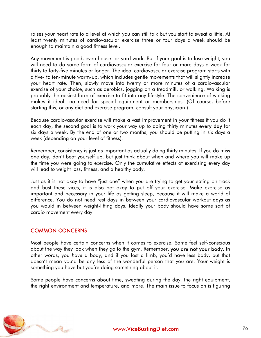raises your heart rate to a level at which you can still talk but you start to sweat a little. At least twenty minutes of cardiovascular exercise three or four days a week should be enough to maintain a good fitness level.

Any movement is good, even house- or yard work. But if your goal is to lose weight, you will need to do some form of cardiovascular exercise for four or more days a week for thirty to forty-five minutes or longer. The ideal cardiovascular exercise program starts with a five- to ten-minute warm-up, which includes gentle movements that will slightly increase your heart rate. Then, slowly move into twenty or more minutes of a cardiovascular exercise of your choice, such as aerobics, jogging on a treadmill, or walking. Walking is probably the easiest form of exercise to fit into any lifestyle. The convenience of walking makes it ideal—no need for special equipment or memberships. (Of course, before starting this, or any diet and exercise program, consult your physician.)

Because cardiovascular exercise will make a vast improvement in your fitness if you do it each day, the second goal is to work your way up to doing thirty minutes every day for six days a week. By the end of one or two months, you should be putting in six days a week (depending on your level of fitness).

Remember, consistency is just as important as actually doing thirty minutes. If you do miss one day, don't beat yourself up, but just think about when and where you will make up the time you were going to exercise. Only the cumulative effects of exercising every day will lead to weight loss, fitness, and a healthy body.

Just as it is not okay to have "just one" when you are trying to get your eating on track and bust these vices, it is also not okay to put off your exercise. Make exercise as important and necessary in your life as getting sleep, because it will make a world of difference. You do not need rest days in between your cardiovascular workout days as you would in between weight-lifting days. Ideally your body should have some sort of cardio movement every day.

# COMMON CONCERNS

Most people have certain concerns when it comes to exercise. Some feel self-conscious about the way they look when they go to the gym. Remember, you are not your body. In other words, you *have* a body, and if you lost a limb, you'd have less body, but that doesn't mean you'd be any less of the wonderful person that you are. Your weight is something you have but you're doing something about it.

Some people have concerns about time, sweating during the day, the right equipment, the right environment and temperature, and more. The main issue to focus on is figuring

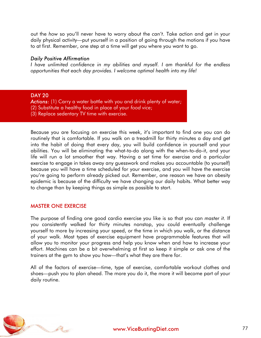out the *how* so you'll never have to worry about the *can't*. Take action and get in your daily physical activity—put yourself in a position of going through the motions if you have to at first. Remember, one step at a time will get you where you want to go.

### *Daily Positive Affirmation*

j

*I have unlimited confidence in my abilities and myself. I am thankful for the endless opportunities that each day provides. I welcome optimal health into my life!* 

DAY 20 *Actions:* (1) Carry a water bottle with you and drink plenty of water; (2) Substitute a healthy food in place of your *food vice*; (3) Replace sedentary TV time with exercise.

Because you are focusing on exercise this week, it's important to find one you can do routinely that is comfortable. If you walk on a treadmill for thirty minutes a day and get into the habit of doing that every day, you will build confidence in yourself and your abilities. You will be eliminating the what-to-do along with the when-to-do-it, and your life will run a lot smoother that way. Having a set time for exercise and a particular exercise to engage in takes away any guesswork and makes you accountable (to yourself) because you will have a time scheduled for your exercise, and you will have the exercise you're going to perform already picked out. Remember, one reason we have an obesity epidemic is because of the difficulty we have changing our daily habits. What better way to change than by keeping things as simple as possible to start.

## MASTER ONE EXERCISE

The purpose of finding one good cardio exercise you like is so that you can *master it.* If you consistently walked for thirty minutes nonstop, you could eventually challenge yourself to more by increasing your speed, or the time in which you walk, or the distance of your walk. Most types of exercise equipment have programmable features that will allow you to monitor your progress and help you know when and how to increase your effort. Machines can be a bit overwhelming at first so keep it simple or ask one of the trainers at the gym to show you how—that's what they are there for.

All of the factors of exercise—time, type of exercise, comfortable workout clothes and shoes—push you to plan ahead. The more you do it, the more it will become part of your daily routine.

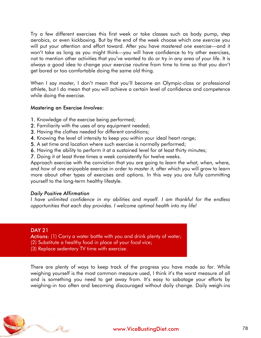Try a few different exercises this first week or take classes such as body pump, step aerobics, or even kickboxing. But by the end of the week choose which *one exercise* you will put your attention and effort toward. After you have *mastered one exercise*—and it won't take as long as you might think—you will have confidence to try other exercises, not to mention other activities that you've wanted to do or try in *any area of your life*. It is always a good idea to change your exercise routine from time to time so that you don't get bored or too comfortable doing the same old thing.

When I say *master,* I don't mean that you'll become an Olympic-class or professional athlete, but I do mean that you will achieve a certain level of confidence and competence while doing the exercise.

### Mastering an Exercise *Involves*:

- 1. Knowledge of the exercise being performed;
- 2. Familiarity with the uses of any equipment needed;
- 3. Having the clothes needed for different conditions;
- 4. Knowing the level of intensity to keep you within your ideal heart range;
- 5. A set time and location where such exercise is normally performed;
- 6. Having the ability to perform it at a sustained level for at least thirty minutes;
- 7. Doing it at least three times a week consistently for twelve weeks.

Approach exercise with the conviction that you are going to *learn the what, when, where, and how* of one enjoyable exercise in order to *master it,* after which you will grow to learn more about other types of exercises and options. In this way you are fully committing yourself to the long-term healthy lifestyle.

## *Daily Positive Affirmation*

*I have unlimited confidence in my abilities and myself. I am thankful for the endless opportunities that each day provides. I welcome optimal health into my life!* 

### DAY 21

i<br>I

*Actions:* (1) Carry a water bottle with you and drink plenty of water;

- (2) Substitute a healthy food in place of your *food vice*;
- (3) Replace sedentary TV time with exercise.

There are plenty of ways to keep track of the progress you have made so far. While weighing yourself is the most common measure used, I think it's the worst measure of all and is something you need to get away from. It's easy to sabotage your efforts by weighing-in too often and becoming discouraged without daily change. Daily weigh-ins

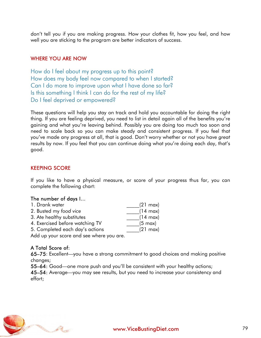don't tell you if you are making progress. How your clothes fit, how you feel, and how well you are sticking to the program are better indicators of success.

# WHERE YOU ARE NOW

How do I feel about my progress up to this point? How does my body feel now compared to when I started? Can I do more to improve upon what I have done so far? Is this something I think I can do for the rest of my life? Do I feel deprived or empowered?

These questions will help you stay on track and hold you accountable for doing the right thing. If you are feeling deprived, you need to list in detail again all of the benefits you're gaining and what you're leaving behind. Possibly you are doing too much too soon and need to scale back so you can make steady and consistent progress. If you feel that you've made any progress at all, that is good. Don't worry whether or not you have *great* results by now. If you feel that you can continue doing what you're doing each day, that's good.

### KEEPING SCORE

If you like to have a physical measure, or score of your progress thus far, you can complete the following chart:

### The number of days I...

| 1. Drank water                  | $(21 \text{ max})$ |
|---------------------------------|--------------------|
| 2. Busted my food vice          | $(14 \text{ max})$ |
| 3. Ate healthy substitutes      | $(14 \text{ max})$ |
| 4. Exercised before watching TV | $(5 \text{ max})$  |
| 5. Completed each day's actions | $(21 \text{ max})$ |
|                                 |                    |

Add up your score and see where you are.

## A Total Score of:

65–75: Excellent—you have a strong commitment to good choices and making positive changes;

55–64: Good—one more push and you'll be consistent with your healthy actions;

45–54: Average—you may see results, but you need to increase your consistency and effort;

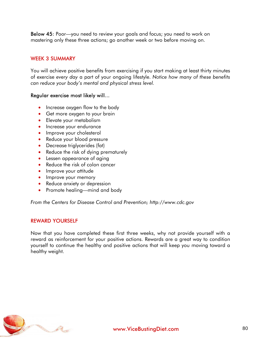Below 45: Poor—you need to review your goals and focus; you need to work on mastering only these three actions; go another week or two before moving on.

# WEEK 3 SUMMARY

You will achieve positive benefits from exercising if you start making at least thirty minutes of exercise *every day* a part of your ongoing lifestyle. *Notice how many of these benefits can reduce your body's mental and physical stress level.*

### Regular exercise most likely will...

- Increase oxygen flow to the body
- Get more oxygen to your brain
- Elevate your metabolism
- Increase your endurance
- Improve your cholesterol
- Reduce your blood pressure
- Decrease triglycerides (fat)
- Reduce the risk of dying prematurely
- Lessen appearance of aging
- Reduce the risk of colon cancer
- Improve your attitude
- Improve your memory
- Reduce anxiety or depression
- Promote healing—mind and body

*From the Centers for Disease Control and Prevention; http://www.cdc.gov* 

## REWARD YOURSELF

Now that you have completed these first three weeks, why not provide yourself with a reward as reinforcement for your positive actions. Rewards are a great way to condition yourself to continue the healthy and positive actions that will keep you moving toward a healthy weight.

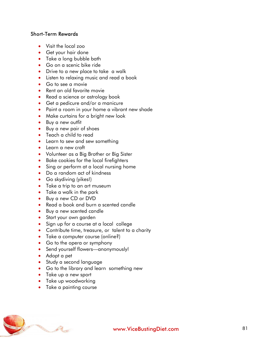### Short-Term Rewards

- Visit the local zoo
- Get your hair done
- Take a long bubble bath
- Go on a scenic bike ride
- Drive to a new place to take a walk
- Listen to relaxing music and read a book
- Go to see a movie
- Rent an old favorite movie
- Read a science or astrology book
- Get a pedicure and/or a manicure
- Paint a room in your home a vibrant new shade
- Make curtains for a bright new look
- Buy a new outfit
- Buy a new pair of shoes
- Teach a child to read
- Learn to sew and sew something
- Learn a new craft
- Volunteer as a Big Brother or Big Sister
- Bake cookies for the local firefighters
- Sing or perform at a local nursing home
- Do a random act of kindness
- Go skydiving (yikes!)
- Take a trip to an art museum
- Take a walk in the park
- Buy a new CD or DVD
- Read a book and burn a scented candle
- Buy a new scented candle
- Start your own garden
- Sign up for a course at a local college
- Contribute time, treasure, or talent to a charity
- Take a computer course (online?)
- Go to the opera or symphony
- Send yourself flowers—anonymously!
- Adopt a pet
- Study a second language
- Go to the library and learn something new
- Take up a new sport
- Take up woodworking
- Take a painting course

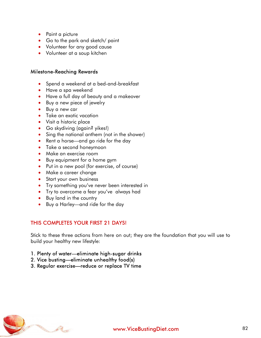- Paint a picture
- Go to the park and sketch/ paint
- Volunteer for any good cause
- Volunteer at a soup kitchen

### Milestone-Reaching Rewards

- Spend a weekend at a bed-and-breakfast
- Have a spa weekend
- Have a full day of beauty and a makeover
- Buy a new piece of jewelry
- Buy a new car
- Take an exotic vacation
- Visit a historic place
- Go skydiving (again? yikes!)
- Sing the national anthem (not in the shower)
- Rent a horse—and go ride for the day
- Take a second honeymoon
- Make an exercise room
- Buy equipment for a home gym
- Put in a new pool (for exercise, of course)
- Make a career change
- Start your own business
- Try something you've never been interested in
- Try to overcome a fear you've always had
- Buy land in the country
- Buy a Harley—and ride for the day

# THIS COMPLETES YOUR FIRST 21 DAYS!

Stick to these three actions from here on out; they are the foundation that you will use to build your healthy new lifestyle:

- 1. Plenty of water—eliminate high-sugar drinks
- 2. Vice busting—eliminate unhealthy food(s)
- 3. Regular exercise—reduce or replace TV time

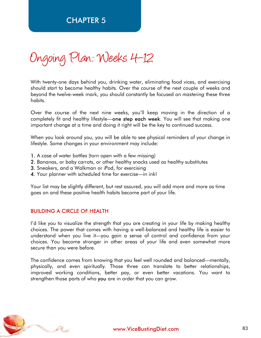# CHAPTER 5

Ongoing Plan: Weeks 4–12

With twenty-one days behind you, drinking water, eliminating food vices, and exercising should start to become healthy habits. Over the course of the next couple of weeks and beyond the twelve-week mark, you should constantly be focused on *mastering* these three habits.

Over the course of the next nine weeks, you'll keep moving in the direction of a completely fit and healthy lifestyle—one step each week. You will see that making one important change at a time and doing it right will be the key to continued success.

When you look around you, you will be able to see physical reminders of your change in lifestyle. Some changes in your environment may include:

- 1. A case of water bottles (torn open with a few missing)
- 2. Bananas, or baby carrots, or other healthy snacks used as healthy substitutes
- 3. Sneakers, and a Walkman or iPod, for exercising
- 4. Your planner with scheduled time for exercise—in ink!

Your list may be slightly different, but rest assured, you will add more and more as time goes on and these positive health habits become part of your life.

# BUILDING A CIRCLE OF HEALTH

I'd like you to visualize the strength that you are creating in your life by making healthy choices. The power that comes with having a well-balanced and healthy life is easier to understand when you live it—you gain a sense of control and confidence from your choices. You become stronger in other areas of your life and even somewhat more secure than you were before.

The confidence comes from knowing that you feel well rounded and balanced—mentally, physically, and even spiritually. Those three can translate to better relationships, improved working conditions, better pay, or even better vacations. You want to strengthen those parts of who you are in order that you can grow.

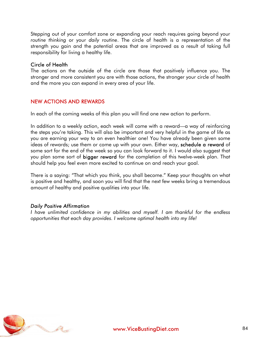Stepping out of your comfort zone or expanding your reach requires going beyond your *routine thinking* or your *daily routine*. The circle of health is a representation of the strength you gain and the potential areas that are improved as a result of taking full responsibility for living a healthy life.

### Circle of Health

The actions on the outside of the circle are those that positively influence you. The stronger and more consistent you are with those actions, the stronger your circle of health and the more you can expand in every area of your life.

# NEW ACTIONS AND REWARDS

In each of the coming weeks of this plan you will find one new action to perform.

In addition to a weekly action, each week will come with a reward—a way of reinforcing the steps you're taking. This will also be important and very helpful in the game of life as you are earning your way to an even healthier one! You have already been given some ideas of rewards; use them or come up with your own. Either way, schedule a reward of some sort for the end of the week so you can look forward to it. I would also suggest that you plan some sort of bigger reward for the completion of this twelve-week plan. That should help you feel even more excited to continue on and reach your goal.

There is a saying: "That which you think, you shall become." Keep your thoughts on what is positive and healthy, and soon you will find that the next few weeks bring a tremendous amount of healthy and positive qualities into your life.

## *Daily Positive Affirmation*

*I have unlimited confidence in my abilities and myself. I am thankful for the endless opportunities that each day provides. I welcome optimal health into my life!* 

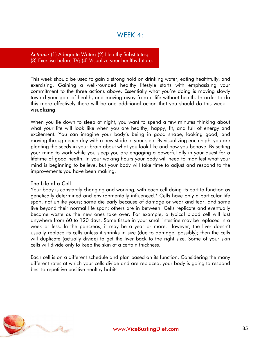# WEEK 4:

Actions: (1) Adequate Water; (2) Healthy Substitutes; (3) Exercise before TV; (4) Visualize your healthy future.

This week should be used to gain a strong hold on drinking water, eating healthfully, and exercising. Gaining a well-rounded healthy lifestyle starts with emphasizing your commitment to the three actions above. Essentially what you're doing is moving slowly toward your goal of health, and moving away from a life without health. In order to do this more effectively there will be one additional action that you should do this week visualizing.

When you lie down to sleep at night, you want to spend a few minutes thinking about what your life will look like when you are healthy, happy, fit, and full of energy and excitement. You can imagine your body's being in good shape, looking good, and moving through each day with a new stride in your step. By visualizing each night you are planting the seeds in your brain about what you look like and how you behave. By setting your mind to work while you sleep you are engaging a powerful ally in your quest for a lifetime of good health. In your waking hours your body will need to manifest what your mind is beginning to believe, but your body will take time to adjust and respond to the improvements you have been making.

## The Life of a Cell

Your body is constantly changing and working, with each cell doing its part to function as genetically determined and environmentally influenced.\* Cells have only a particular life span, not unlike yours; some die early because of damage or wear and tear, and some live beyond their normal life span; others are in between. Cells replicate and eventually become waste as the new ones take over. For example, a typical blood cell will last anywhere from 60 to 120 days. Some tissue in your small intestine may be replaced in a week or less. In the pancreas, it may be a year or more. However, the liver doesn't usually replace its cells unless it shrinks in size (due to damage, possibly); then the cells will duplicate (actually divide) to get the liver back to the right size. Some of your skin cells will divide only to keep the skin at a certain thickness.

Each cell is on a different schedule and plan based on its function. Considering the many different rates at which your cells divide and are replaced, your body is going to respond best to repetitive positive healthy habits.

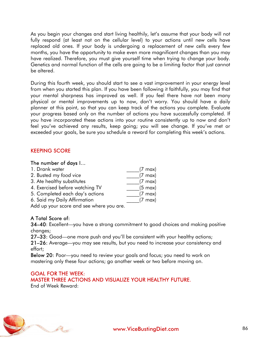As you begin your changes and start living healthily, let's assume that your body will not fully respond (at least not on the cellular level) to your actions until new cells have replaced old ones. If your body is undergoing a replacement of new cells every few months, you have the opportunity to make even more magnificent changes than you may have realized. Therefore, you must give yourself time when trying to change your body. Genetics and normal function of the cells are going to be a limiting factor that just cannot be altered.

During this fourth week, you should start to see a vast improvement in your energy level from when you started this plan. If you have been following it faithfully, you may find that your mental sharpness has improved as well. If you feel there have not been many physical or mental improvements up to now, don't worry. You should have a daily planner at this point, so that you can keep track of the actions you complete. Evaluate your progress based only on the number of actions you have successfully completed. If you have incorporated these actions into your routine consistently up to now and don't feel you've achieved any results, keep going; you will see change. If you've met or exceeded your goals, be sure you schedule a reward for completing this week's actions.

# KEEPING SCORE

## The number of days I...

| 1. Drank water                           | $(7 \text{ max})$ |
|------------------------------------------|-------------------|
| 2. Busted my food vice                   | $(7 \text{ max})$ |
| 3. Ate healthy substitutes               | $(7 \text{ max})$ |
| 4. Exercised before watching TV          | $(5 \text{ max})$ |
| 5. Completed each day's actions          | $(7 \text{ max})$ |
| 6. Said my Daily Affirmation             | $(7 \text{ max})$ |
| Add up your score and see where you are. |                   |
|                                          |                   |

# A Total Score of:

34–40: Excellent—you have a strong commitment to good choices and making positive changes;

27–33: Good—one more push and you'll be consistent with your healthy actions; 21–26: Average—you may see results, but you need to increase your consistency and effort;

Below 20: Poor—you need to review your goals and focus; you need to work on mastering only these four actions; go another week or two before moving on.

# GOAL FOR THE WEEK: MASTER THREE ACTIONS AND VISUALIZE YOUR HEALTHY FUTURE.

End of Week Reward:

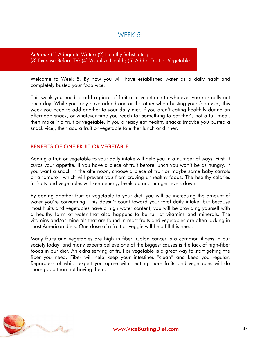# WEEK 5:

#### Actions: (1) Adequate Water; (2) Healthy Substitutes; (3) Exercise Before TV; (4) Visualize Health; (5) Add a Fruit or Vegetable.

Welcome to Week 5. By now you will have established water as a daily habit and completely busted your *food vice*.

This week you need to add a piece of fruit or a vegetable to whatever you normally eat each day. While you may have added one or the other when busting your *food vice,* this week you need to add another to your daily diet. If you aren't eating healthily during an afternoon snack, or whatever time you reach for something to eat that's not a full meal, then make it a fruit or vegetable. If you already eat healthy snacks (maybe you busted a snack vice), then add a fruit or vegetable to either lunch or dinner.

## BENEFITS OF ONE FRUIT OR VEGETABLE

Adding a fruit or vegetable to your daily intake will help you in a number of ways. First, it curbs your appetite. If you have a piece of fruit before lunch you won't be as hungry. If you want a snack in the afternoon, choose a piece of fruit or maybe some baby carrots or a tomato—which will prevent you from craving unhealthy foods. The healthy calories in fruits and vegetables will keep energy levels up and hunger levels down.

By adding another fruit or vegetable to your diet, you will be increasing the amount of water you're consuming. This doesn't count toward your total daily intake, but because most fruits and vegetables have a high water content, you will be providing yourself with a healthy form of water that also happens to be full of vitamins and minerals. The vitamins and/or minerals that are found in most fruits and vegetables are often lacking in most American diets. One dose of a fruit or veggie will help fill this need.

Many fruits and vegetables are high in fiber. Colon cancer is a common illness in our society today, and many experts believe one of the biggest causes is the lack of high-fiber foods in our diet. An extra serving of fruit or vegetable is a great way to start getting the fiber you need. Fiber will help keep your intestines "clean" and keep you regular. Regardless of which expert you agree with—eating more fruits and vegetables will do more good than not having them.

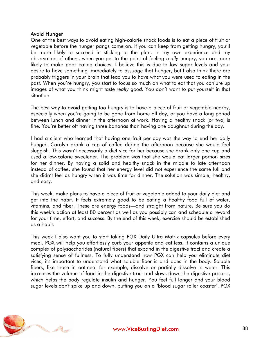### Avoid Hunger

One of the best ways to avoid eating high-calorie snack foods is to eat a piece of fruit or vegetable before the hunger pangs come on. If you can keep from getting hungry, you'll be more likely to succeed in sticking to the plan. In my own experience and my observation of others, when you get to the point of feeling *really* hungry, you are more likely to make poor eating choices. I believe this is due to low sugar levels and your desire to have something immediately to assuage that hunger, but I also think there are probably triggers in your brain that lead you to have what you were used to eating in the past. When you're hungry, you start to focus so much on what to eat that you conjure up images of what you think might taste *really good.* You don't want to put yourself in that situation.

The best way to avoid getting too hungry is to have a piece of fruit or vegetable nearby, especially when you're going to be gone from home all day, or you have a long period between lunch and dinner in the afternoon at work. Having a healthy snack (or two) is fine. You're better off having three bananas than having one doughnut during the day.

I had a client who learned that having one fruit per day was the way to end her daily hunger. Carolyn drank a cup of coffee during the afternoon because she would feel sluggish. This wasn't necessarily a diet vice for her because she drank only one cup and used a low-calorie sweetener. The problem was that she would eat larger portion sizes for her dinner. By having a solid and healthy snack in the middle to late afternoon instead of coffee, she found that her energy level did not experience the same lull *and* she didn't feel as hungry when it was time for dinner. The solution was simple, healthy, and easy.

This week, make plans to have a piece of fruit or vegetable added to your daily diet and get into the habit. It feels extremely good to be eating a healthy food full of water, vitamins, and fiber. These are energy foods—and straight from nature. Be sure you do this week's action at least 80 percent as well as you possibly can and schedule a reward for your time, effort, and success. By the end of this week, exercise should be established as a habit.

This week I also want you to start taking PGX Daily Ultra Matrix capsules before every meal. PGX will help you effortlessly curb your appetite and eat less. It contains a unique complex of polysaccharides (natural fibers) that expand in the digestive tract and create a satisfying sense of fullness. To fully understand how PGX can help you eliminate diet vices, it's important to understand what soluble fiber is and does in the body. Soluble fibers, like those in oatmeal for example, dissolve or partially dissolve in water. This increases the volume of food in the digestive tract and slows down the digestive process, which helps the body regulate insulin and hunger. You feel full longer and your blood sugar levels don't spike up and down, putting you on a "blood sugar roller coaster". PGX

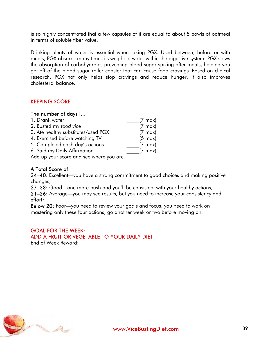is so highly concentrated that a few capsules of it are equal to about 5 bowls of oatmeal in terms of soluble fiber value.

Drinking plenty of water is essential when taking PGX. Used between, before or with meals, PGX absorbs many times its weight in water within the digestive system. PGX slows the absorption of carbohydrates preventing blood sugar spiking after meals, helping you get off of the blood sugar roller coaster that can cause food cravings. Based on clinical research, PGX not only helps stop cravings and reduce hunger, it also improves cholesterol balance.

# KEEPING SCORE

### The number of days I...

| 1. Drank water                           | $(7 \text{ max})$ |
|------------------------------------------|-------------------|
| 2. Busted my food vice                   | $(7 \text{ max})$ |
| 3. Ate healthy substitutes/used PGX      | $(7 \text{ max})$ |
| 4. Exercised before watching TV          | $(5 \text{ max})$ |
| 5. Completed each day's actions          | $(7 \text{ max})$ |
| 6. Said my Daily Affirmation             | $(7 \text{ max})$ |
| Add up your score and see where you are. |                   |

## A Total Score of:

34–40: Excellent—you have a strong commitment to good choices and making positive changes;

27–33: Good—one more push and you'll be consistent with your healthy actions;

21–26: Average—you may see results, but you need to increase your consistency and effort;

Below 20: Poor—you need to review your goals and focus; you need to work on mastering only these four actions; go another week or two before moving on.

# GOAL FOR THE WEEK: ADD A FRUIT OR VEGETABLE TO YOUR DAILY DIET.

End of Week Reward:

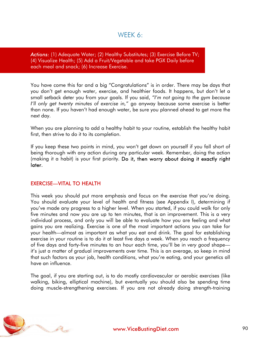# WEEK 6:

 *Actions:* (1) Adequate Water; (2) Healthy Substitutes; (3) Exercise Before TV; (4) Visualize Health; (5) Add a Fruit/Vegetable and take PGX Daily before each meal and snack; (6) Increase Exercise.

You have come this far and a big "Congratulations" is in order. There may be days that you don't get enough water, exercise, and healthier foods. It happens, but don't let a small setback deter you from your goals. If you said, *"I'm not going to the gym because I'll only get twenty minutes of exercise in,"* go anyway because some exercise is better than none. If you haven't had enough water, be sure you planned ahead to get more the next day.

When you are planning to add a healthy habit to your routine, establish the healthy habit first, then strive to do it to its completion.

If you keep these two points in mind, you won't get down on yourself if you fall short of being thorough with any action during any particular week. Remember, doing the action (making it a habit) is your first priority. Do it, then worry about doing it exactly right later.

## EXERCISE—VITAL TO HEALTH

This week you should put more emphasis and focus on the exercise that you're doing. You should evaluate your level of health and fitness (see Appendix I), determining if you've made any progress to a higher level. When you started, if you could walk for only five minutes and now you are up to ten minutes, that is an improvement. This is a very individual process, and only you will be able to evaluate how you are feeling and what gains you are realizing. Exercise is one of the most important actions you can take for your health—almost as important as what you eat and drink. The goal for establishing exercise in your routine is to do it at least five days a week. When you reach a frequency of five days and forty-five minutes to an hour each time, you'll be in *very good* shape it's just a matter of gradual improvements over time. This is an average, so keep in mind that such factors as your job, health conditions, what you're eating, and your genetics all have an influence.

The goal, if you are starting out, is to do mostly cardiovascular or aerobic exercises (like walking, biking, elliptical machine), but eventually you should also be spending time doing muscle-strengthening exercises. If you are not already doing strength-training

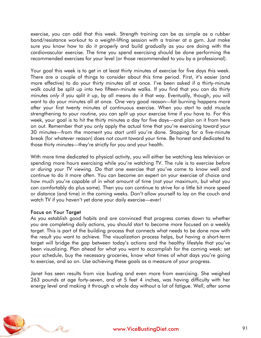exercise, you can add that this week. Strength training can be as simple as a rubber band/resistance workout to a weight-lifting session with a trainer at a gym. Just make sure you know how to do it properly and build gradually as you are doing with the cardiovascular exercise. The time you spend exercising should be done performing the recommended exercises for your level (or those recommended to you by a professional).

Your goal this week is to get in at least thirty minutes of exercise for five days this week. There are a couple of things to consider about this time period. First, it's easier (and more effective) to do your thirty minutes all at once. I've been asked if a thirty-minute walk could be split up into two fifteen-minute walks. If you find that you can do thirty minutes *only* if you split it up, by all means do it that way. Eventually, though, you will want to do your minutes all at once. One very good reason—fat burning happens more after your first twenty minutes of continuous exercise. When you start to add muscle strengthening to your routine, you can split up your exercise time if you have to. For this week, your goal is to hit the thirty minutes a day for five days—and plan on it from here on out. Remember that you only apply the actual time that you're exercising toward your 30 minutes—from the moment you start until you're done. Stopping for a five-minute break (for whatever reason) does not count toward your time. Be honest and dedicated to those thirty minutes—they're strictly for you and your health.

With more time dedicated to physical activity, you will either be watching less television or spending more hours exercising while you're watching TV. The rule is to *exercise before or during your TV viewing*. Do that one exercise that you've come to know well and continue to do it more often. You can become an expert on your exercise of choice and how much you're capable of in what amount of time (not your maximum, but what you can comfortably do plus some). Then you can continue to strive for a little bit more speed or distance (and time) in the coming weeks. Don't allow yourself to lay on the couch and watch TV if you haven't yet done your daily exercise—ever!

### Focus on Your Target

As you establish good habits and are convinced that progress comes down to whether you are completing daily actions, you should start to become more focused on a weekly target. This is part of the building process that connects what needs to be done now with the result you want to achieve. The visualization process helps, but having a short-term target will bridge the gap between today's actions and the healthy lifestyle that you've been visualizing. Plan ahead for what you want to accomplish for the coming week: set your schedule, buy the necessary groceries, know what times of what days you're going to exercise, and so on. Use achieving these goals as a measure of your progress.

Janet has seen results from vice busting and even more from exercising. She weighed 263 pounds at age forty-seven, and at 5 feet 4 inches, was having difficulty with her energy level and making it through a whole day without a lot of fatigue. Well, after some

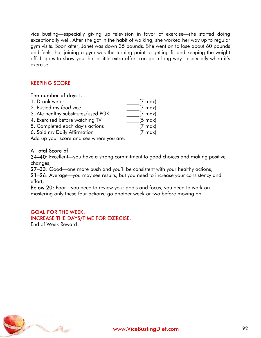vice busting—especially giving up television in favor of exercise—she started doing exceptionally well. After she got in the habit of walking, she worked her way up to regular gym visits. Soon after, Janet was down 35 pounds. She went on to lose about 60 pounds and feels that joining a gym was the turning point to getting fit and keeping the weight off. It goes to show you that a little extra effort can go a long way—especially when it's exercise.

# KEEPING SCORE

### The number of days I...

1. Drank water  $(7 \text{ max})$ 2. Busted my *food vice* \_\_\_\_\_(7 max) 3. Ate healthy substitutes/used PGX  $(7 \text{ max})$ 4. Exercised before watching TV  $(5 \text{ max})$ 5. Completed each day's actions [7 max] 6. Said my Daily Affirmation \_\_\_\_\_(7 max) Add up your score and see where you are.

# A Total Score of:

34–40: Excellent—you have a strong commitment to good choices and making positive changes;

27–33: Good—one more push and you'll be consistent with your healthy actions;

21–26: Average—you may see results, but you need to increase your consistency and effort;

Below 20: Poor—you need to review your goals and focus; you need to work on mastering only these four actions; go another week or two before moving on.

### GOAL FOR THE WEEK: INCREASE THE DAYS/TIME FOR EXERCISE.

End of Week Reward:

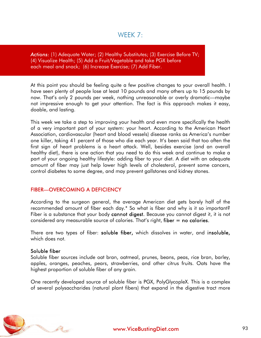# WEEK 7:

*Actions:* (1) Adequate Water; (2) Healthy Substitutes; (3) Exercise Before TV; (4) Visualize Health; (5) Add a Fruit/Vegetable and take PGX before each meal and snack; (6) Increase Exercise; (7) Add Fiber.

At this point you should be feeling quite a few positive changes to your overall health. I have seen plenty of people lose at least 10 pounds and many others up to 15 pounds by now. That's only 2 pounds per week, nothing unreasonable or overly dramatic—maybe not impressive enough to get your attention. The fact is this approach makes it easy, doable, and lasting.

This week we take a step to improving your health and even more specifically the health of a very important part of your system: your heart. According to the American Heart Association, cardiovascular (heart and blood vessels) disease ranks as America's number one killer, taking 41 percent of those who die each year. It's been said that too often the first sign of heart problems is a heart attack. Well, besides exercise (and an overall healthy diet), there is one action that you need to do this week and continue to make a part of your ongoing healthy lifestyle: adding fiber to your diet. A diet with an adequate amount of fiber may just help lower high levels of cholesterol, prevent some cancers, control diabetes to some degree, and may prevent gallstones and kidney stones.

## FIBER—OVERCOMING A DEFICIENCY

According to the surgeon general, the average American diet gets barely half of the recommended amount of fiber each day.\* So what is fiber and why is it so important? Fiber is a substance that your body cannot digest. Because you cannot digest it, it is not considered any measurable source of calories. That's right, fiber = no calories.

There are two types of fiber: soluble fiber, which dissolves in water, and insoluble, which does not.

### Soluble fiber

Soluble fiber sources include oat bran, oatmeal, prunes, beans, peas, rice bran, barley, apples, oranges, peaches, pears, strawberries, and other citrus fruits. Oats have the highest proportion of soluble fiber of any grain.

One recently developed source of soluble fiber is PGX, PolyGlycopleX. This is a complex of several polysaccharides (natural plant fibers) that expand in the digestive tract more

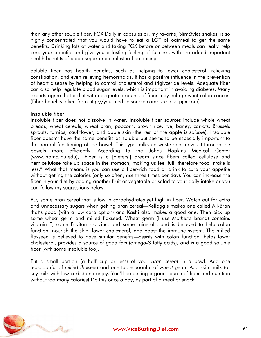than any other souble fiber. PGX Daily in capsules or, my favorite, SlimStyles shakes, is so highly concentrated that you would have to eat a LOT of oatmeal to get the same benefits. Drinking lots of water and taking PGX before or between meals can really help curb your appetite and give you a lasting feeling of fullness, with the added important health benefits of blood sugar and cholesterol balancing.

Soluble fiber has health benefits, such as helping to lower cholesterol, relieving constipation, and even relieving hemorrhoids. It has a positive influence in the prevention of heart disease by helping to control cholesterol and triglyceride levels. Adequate fiber can also help regulate blood sugar levels, which is important in avoiding diabetes. Many experts agree that a diet with adequate amounts of fiber may help prevent colon cancer. (Fiber benefits taken from http://yourmedicalsource.com; see also pgx.com)

### Insoluble fiber

Insoluble fiber does not dissolve in water. Insoluble fiber sources include whole wheat breads, wheat cereals, wheat bran, popcorn, brown rice, rye, barley, carrots, Brussels sprouts, turnips, cauliflower, and apple skin (the rest of the apple is *soluble*). Insoluble fiber doesn't have the same benefits as soluble but seems to be especially important to the normal functioning of the bowel. This type bulks up waste and moves it through the bowels more efficiently. According to the Johns Hopkins Medical Center (www.jhbmc.jhu.edu), "Fiber is a [dieters'] dream since fibers called cellulose and hemicellulose take up space in the stomach, making us feel full, therefore food intake is less." What that means is you can use a fiber-rich food or drink to curb your appetite without getting the calories (only so often, not three times per day). You can increase the fiber in your diet by adding another fruit or vegetable or salad to your daily intake or you can follow my suggestions below.

Buy some bran cereal that is low in carbohydrates yet high in fiber. Watch out for extra and unnecessary sugars when getting bran cereal—Kellogg's makes one called All-Bran that's good (with a low carb option) and Kashi also makes a good one. Then pick up some wheat germ and milled flaxseed. Wheat germ (I use *Mother's* brand) contains vitamin E, some B vitamins, zinc, and some minerals, and is believed to help colon function, nourish the skin, lower cholesterol, and boost the immune system. The milled flaxseed is believed to have similar benefits—assists with colon function, helps lower cholesterol, provides a source of *good* fats (omega-3 fatty acids), and is a good soluble fiber (with some insoluble too).

Put a small portion (a half cup or less) of your *bran cereal* in a bowl. Add one teaspoonful of *milled flaxseed* and one tablespoonful of *wheat germ*. Add skim milk (or soy milk with low carbs) and enjoy. You'll be getting a good source of fiber and nutrition without too many calories! Do this once a day, as part of a meal or snack.

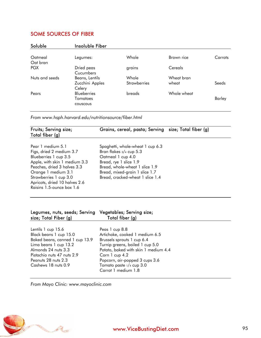### SOME SOURCES OF FIBER

| Soluble             | <b>Insoluble Fiber</b>                            |                              |                     |         |
|---------------------|---------------------------------------------------|------------------------------|---------------------|---------|
| Oatmeal<br>Oat bran | Legumes:                                          | Whole                        | Brown rice          | Carrots |
| <b>PGX</b>          | Dried peas<br>Cucumbers                           | grains                       | Cereals             |         |
| Nuts and seeds      | Beans, Lentils<br>Zucchini Apples<br>Celery       | Whole<br><b>Strawberries</b> | Wheat bran<br>wheat | Seeds   |
| Pears               | <b>Blueberries</b><br>Tomatoes<br><b>COUSCOUS</b> | breads                       | Whole wheat         | Barley  |

*From www.hsph.harvard.edu/nutritionsource/fiber.html* 

| Fruits; Serving size;<br>Total fiber (g)                                                                                                                                                                                                              | Grains, cereal, pasta; Serving size; Total fiber (g)                                                                                                                                                               |  |
|-------------------------------------------------------------------------------------------------------------------------------------------------------------------------------------------------------------------------------------------------------|--------------------------------------------------------------------------------------------------------------------------------------------------------------------------------------------------------------------|--|
| Pear 1 medium 5.1<br>Figs, dried 2 medium 3.7<br>Blueberries 1 cup 3.5<br>Apple, with skin 1 medium 3.3<br>Peaches, dried 3 halves 3.3<br>Orange 1 medium 3.1<br>Strawberries 1 cup 3.0<br>Apricots, dried 10 halves 2.6<br>Raisins 1.5-ounce box 1.6 | Spaghetti, whole-wheat 1 cup 6.3<br>Bran flakes 3/4 cup 5.3<br>Oatmeal 1 cup 4.0<br>Bread, rye 1 slice 1.9<br>Bread, whole-wheat 1 slice 1.9<br>Bread, mixed-grain 1 slice 1.7<br>Bread, cracked-wheat 1 slice 1.4 |  |

#### Legumes, nuts, seeds; Serving Vegetables; Serving size; size; Total Fiber (g) Total fiber (g)

Lentils 1 cup 15.6 Peas 1 cup 8.8 Baked beans, canned 1 cup 13.9 Lima beans 1 cup 13.2 Turnip greens, boiled 1 cup 5.0 Pistachio nuts 47 nuts 2.9 Corn 1 cup 4.2<br>Peanuts 28 nuts 2.3 Popcorn, air-po Peanuts 28 nuts 2.3 Popcorn, air-popped 3 cups 3.6<br>Cashews 18 nuts 0.9 Tomato paste 1/4 cup 3.0

Black beans 1 cup 15.0 <br>Baked beans, canned 1 cup 13.9 Brussels sprouts 1 cup 6.4 Potato, baked with skin 1 medium 4.4 Tomato paste  $\frac{1}{4}$  cup 3.0 Carrot 1 medium 1.8

*From Mayo Clinic: www.mayoclinic.com* 

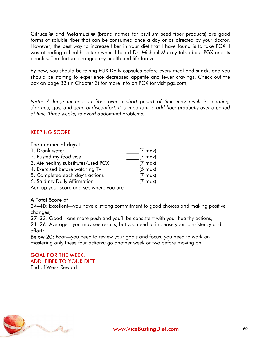Citrucel® and Metamucil® (brand names for psyllium seed fiber products) are good forms of soluble fiber that can be consumed once a day or as directed by your doctor. However, the best way to increase fiber in your diet that I have found is to take PGX. I was attending a health lecture when I heard Dr. Michael Murray talk about PGX and its benefits. That lecture changed my health and life forever!

By now, you should be taking PGX Daily capsules before every meal and snack, and you should be starting to experience decreased appetite and fewer cravings. Check out the box on page 32 (in Chapter 3) for more info on PGX (or visit pgx.com)

*Note: A large increase in fiber over a short period of time may result in bloating, diarrhea, gas, and general discomfort. It is important to add fiber gradually over a period of time (three weeks) to avoid abdominal problems.* 

# KEEPING SCORE

# The number of days I...

1. Drank water  $(7 \text{ max})$ 2. Busted my *food vice* \_\_\_\_\_(7 max) 3. Ate healthy substitutes/used PGX  $(7 \text{ max})$ 4. Exercised before watching TV  $(5 \text{ max})$ 5. Completed each day's actions [7 max] 6. Said my Daily Affirmation \_\_\_\_\_(7 max)

Add up your score and see where you are.

# A Total Score of:

34–40: Excellent—you have a strong commitment to good choices and making positive changes;

27–33: Good—one more push and you'll be consistent with your healthy actions;

21–26: Average—you may see results, but you need to increase your consistency and effort;

Below 20: Poor—you need to review your goals and focus; you need to work on mastering only these four actions; go another week or two before moving on.

# GOAL FOR THE WEEK: ADD FIBER TO YOUR DIET.

End of Week Reward:

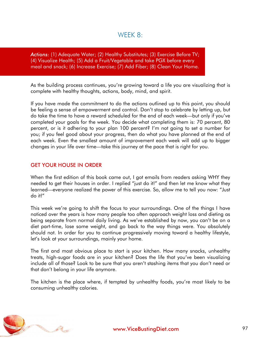# WEEK 8:

*Actions:* (1) Adequate Water; (2) Healthy Substitutes; (3) Exercise Before TV; (4) Visualize Health; (5) Add a Fruit/Vegetable and take PGX before every meal and snack; (6) Increase Exercise; (7) Add Fiber; (8) Clean Your Home.

As the building process continues, you're growing toward a life you are visualizing that is complete with healthy thoughts, actions, body, mind, and spirit.

If you have made the commitment to do the actions outlined up to this point, you should be feeling a sense of empowerment and control. Don't stop to celebrate by letting up, but do take the time to have a reward scheduled for the end of each week—but only if you've completed your goals for the week. You decide what completing them is: 70 percent, 80 percent, or is it adhering to your plan 100 percent? I'm not going to set a number for you; if you feel good about your progress, then do what you have planned at the end of each week. Even the smallest amount of improvement each week will add up to bigger changes in your life over time—take this journey at the pace that is right for you.

## GET YOUR HOUSE IN ORDER

When the first edition of this book came out, I got emails from readers asking WHY they needed to get their houses in order. I replied "just do it!" and then let me know what they learned—everyone realized the power of this exercise. So, allow me to tell you now: "Just do it!"

This week we're going to shift the focus to your surroundings. One of the things I have noticed over the years is how many people too often approach weight loss and dieting as being separate from normal daily living. As we've established by now, you can't be on a diet part-time, lose some weight, and go back to the way things were. You absolutely should not. In order for you to continue progressively moving toward a healthy lifestyle, let's look at your surroundings, mainly your home.

The first and most obvious place to start is your kitchen. How many snacks, unhealthy treats, high-sugar foods are in your kitchen? Does the life that you've been visualizing include all of those? Look to be sure that you aren't stashing items that you don't need or that don't belong in your life anymore.

The kitchen is the place where, if tempted by unhealthy foods, you're most likely to be consuming unhealthy calories.

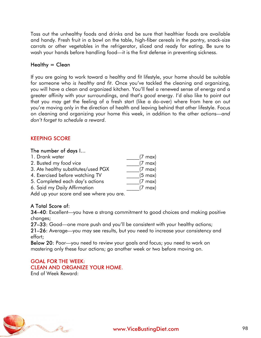Toss out the unhealthy foods and drinks and be sure that healthier foods are available and handy. Fresh fruit in a bowl on the table, high-fiber cereals in the pantry, snack-size carrots or other vegetables in the refrigerator, sliced and ready for eating. Be sure to wash your hands before handling food—it is the first defense in preventing sickness.

#### $Healthy = Clean$

If you are going to work toward a healthy and fit lifestyle, your home should be suitable for someone who *is healthy and fit*. Once you've tackled the cleaning and organizing, you will have a clean and organized kitchen. You'll feel a renewed sense of energy and a greater affinity with your surroundings, and that's *good* energy. I'd also like to point out that you may get the feeling of a fresh start (like a do-over) where from here on out you're moving only in the direction of health and leaving behind that other lifestyle. Focus on cleaning and organizing your home this week, in addition to the other actions—*and don't forget to schedule a reward*.

#### KEEPING SCORE

#### The number of days I...

| 1. Drank water                           | $(7 \text{ max})$ |
|------------------------------------------|-------------------|
| 2. Busted my food vice                   | $(7 \text{ max})$ |
| 3. Ate healthy substitutes/used PGX      | $(7 \text{ max})$ |
| 4. Exercised before watching TV          | $(5 \text{ max})$ |
| 5. Completed each day's actions          | $(7 \text{ max})$ |
| 6. Said my Daily Affirmation             | $(7 \text{ max})$ |
| Add up your score and see where you are. |                   |

#### A Total Score of:

34–40: Excellent—you have a strong commitment to good choices and making positive changes;

27–33: Good—one more push and you'll be consistent with your healthy actions;

21–26: Average—you may see results, but you need to increase your consistency and effort;

Below 20: Poor—you need to review your goals and focus; you need to work on mastering only these four actions; go another week or two before moving on.

# GOAL FOR THE WEEK: CLEAN AND ORGANIZE YOUR HOME.

End of Week Reward:

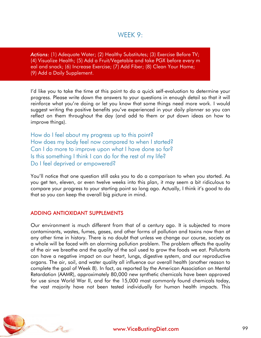# WEEK 9:

*Actions:* (1) Adequate Water; (2) Healthy Substitutes; (3) Exercise Before TV; (4) Visualize Health; (5) Add a Fruit/Vegetable and take PGX before every m eal and snack; (6) Increase Exercise; (7) Add Fiber; (8) Clean Your Home; (9) Add a Daily Supplement.

I'd like you to take the time at this point to do a quick self-evaluation to determine your progress. Please write down the answers to your questions in enough detail so that it will reinforce what you're doing or let you know that some things need more work. I would suggest writing the positive benefits you've experienced in your daily planner so you can reflect on them throughout the day (and add to them or put down ideas on how to improve things).

How do I feel about my progress up to this point? How does my body feel now compared to when I started? Can I do more to improve upon what I have done so far? Is this something I think I can do for the rest of my life? Do I feel deprived or empowered?

You'll notice that one question still asks you to do a comparison to when you started. As you get ten, eleven, or even twelve weeks into this plan, it may seem a bit ridiculous to compare your progress to your starting point so long ago. Actually, I think it's good to do that so you can keep the overall big picture in mind.

#### ADDING ANTIOXIDANT SUPPLEMENTS

Our environment is much different from that of a century ago. It is subjected to more contaminants, wastes, fumes, gases, and other forms of pollution and toxins now than at any other time in history. There is no doubt that unless we change our course, society as a whole will be faced with an alarming pollution problem. The problem affects the quality of the air we breathe and the quality of the soil used to grow the foods we eat. Pollutants can have a negative impact on our heart, lungs, digestive system, and our reproductive organs. The air, soil, and water quality all influence our overall health (another reason to complete the goal of Week 8). In fact, as reported by the American Association on Mental Retardation (AAMR), approximately 80,000 new synthetic chemicals have been approved for use since World War II, and for the 15,000 most commonly found chemicals today, the vast majority have not been tested individually for human health impacts. This

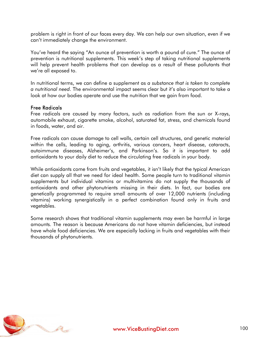problem is right in front of our faces every day. We can help our own situation, even if we can't immediately change the environment.

You've heard the saying "An ounce of prevention is worth a pound of cure." The ounce of prevention is nutritional supplements. This week's step of taking nutritional supplements will help prevent health problems that can develop as a result of these pollutants that we're all exposed to.

In nutritional terms, we can define a supplement as *a substance that is taken to complete a nutritional need*. The environmental impact seems clear but it's also important to take a look at how our bodies operate and use the nutrition that we gain from food.

#### Free Radicals

Free radicals are caused by many factors, such as radiation from the sun or X-rays, automobile exhaust, cigarette smoke, alcohol, saturated fat, stress, and chemicals found in foods, water, and air.

Free radicals can cause damage to cell walls, certain cell structures, and genetic material within the cells, leading to aging, arthritis, various cancers, heart disease, cataracts, autoimmune diseases, Alzheimer's, and Parkinson's. So it is important to add antioxidants to your daily diet to reduce the circulating free radicals in your body.

While antioxidants come from fruits and vegetables, it isn't likely that the typical American diet can supply all that we need for ideal health. Some people turn to traditional vitamin supplements but individual vitamins or multivitamins do not supply the thousands of antioxidants and other phytonutrients missing in their diets. In fact, our bodies are genetically programmed to require small amounts of over 12,000 nutrients (including vitamins) working synergistically in a perfect combination found only in fruits and vegetables.

Some research shows that traditional vitamin supplements may even be harmful in large amounts. The reason is because Americans do not have vitamin deficiencies, but instead have whole food deficiencies. We are especially lacking in fruits and vegetables with their thousands of phytonutrients.

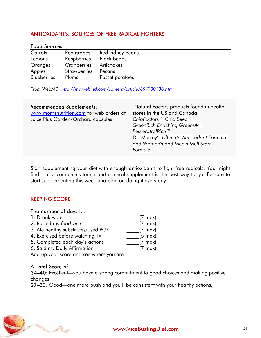#### ANTIOXIDANTS: SOURCES OF FREE RADICAL FIGHTERS

#### Food Sources

| Carrots            | Red grapes   | Red kidney beans   |
|--------------------|--------------|--------------------|
| Lemons             | Raspberries  | <b>Black beans</b> |
| Oranges            | Cranberries  | Artichokes         |
| Apples             | Strawberries | Pecans             |
| <b>Blueberries</b> | Plums        | Russet potatoes    |

*From WebMD: http://my.webmd.com/content/article/89/100138.htm*

| <b>Recommended Supplements:</b><br>www.momsnutrition.com for web orders of<br>Juice Plus Garden/Orchard capsules<br>Formula | Natural Factors products found in health<br>stores in the US and Canada:<br>ChiaFactors <sup>™</sup> Chia Seed<br>GreenRich Enriching Greens®<br>ResveratrolRich™<br>Dr. Murray's Ultimate Antioxidant Formula<br>and Women's and Men's MultiStart |
|-----------------------------------------------------------------------------------------------------------------------------|----------------------------------------------------------------------------------------------------------------------------------------------------------------------------------------------------------------------------------------------------|
|-----------------------------------------------------------------------------------------------------------------------------|----------------------------------------------------------------------------------------------------------------------------------------------------------------------------------------------------------------------------------------------------|

Start supplementing your diet with enough antioxidants to fight free radicals. You might find that a complete vitamin *and* mineral supplement is the best way to go. Be sure to start supplementing this week *and* plan on doing it every day.

#### KEEPING SCORE

#### The number of days I...

- 1. Drank water  $(7 \text{ max})$ 2. Busted my *food vice* \_\_\_\_\_(7 max) 3. Ate healthy substitutes/used PGX [7 max]
- 4. Exercised before watching TV (5 max)
- 5. Completed each day's actions [7 max]
- 6. Said my Daily Affirmation \_\_\_\_\_(7 max)

Add up your score and see where you are.

#### A Total Score of:

34–40: Excellent—you have a strong commitment to good choices and making positive changes;

27–33: Good—one more push and you'll be consistent with your healthy actions;



#### www.ViceBustingDiet.com 101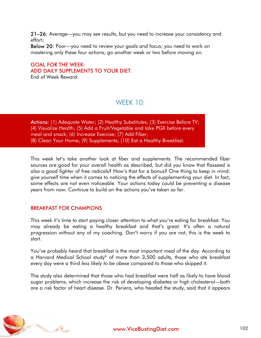21–26: Average—you may see results, but you need to increase your consistency and effort;

Below 20: Poor—you need to review your goals and focus; you need to work on mastering only these four actions; go another week or two before moving on.

#### GOAL FOR THE WEEK: ADD DAILY SUPPLEMENTS TO YOUR DIET.

End of Week Reward:

# WEEK 10:

*Actions:* (1) Adequate Water; (2) Healthy Substitutes; (3) Exercise Before TV; (4) Visualize Health; (5) Add a Fruit/Vegetable and take PGX before every meal and snack; (6) Increase Exercise; (7) Add Fiber; (8) Clean Your Home; (9) Supplements; (10) Eat a Healthy Breakfast.

This week let's take another look at fiber and supplements. The recommended fiber sources are good for your overall health as described, but did you know that flaxseed is also a good *fighter* of free radicals? How's that for a bonus? One thing to keep in mind: *give yourself time* when it comes to noticing the effects of supplementing your diet. In fact, some effects are not even noticeable. Your actions today could be preventing a disease years from now. Continue to build on the actions you've taken so far.

#### BREAKFAST FOR CHAMPIONS

This week it's time to start paying closer attention to what you're eating for breakfast. You may already be eating a healthy breakfast and that's great. It's often a natural progression without any of my coaching. Don't worry if you are not, this is the week to start.

You've probably heard that breakfast is the most important meal of the day. According to a Harvard Medical School study\* of more than 3,500 adults, those who ate breakfast every day were a third *less likely to be obese* compared to those who skipped it.

The study also determined that those who had breakfast were half as likely to have blood sugar problems, which increase the risk of developing diabetes or high cholesterol—both are a risk factor of heart disease. Dr. Periera, who headed the study, said that it appears

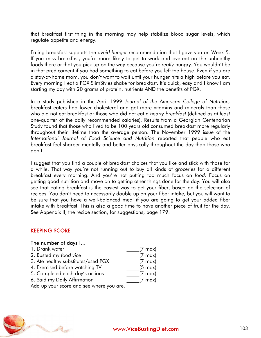that breakfast first thing in the morning may help stabilize blood sugar levels, which regulate appetite and energy.

Eating breakfast supports the *avoid hunger* recommendation that I gave you on Week 5. If you miss breakfast, you're more likely to get to work and overeat on the unhealthy foods there or that you pick up on the way because you're *really* hungry. You wouldn't be in that predicament if you had something to eat before you left the house. Even if you are a stay-at-home mom, you don't want to wait until your hunger hits a high before you eat. Every morning I eat a PGX SlimStyles shake for breakfast. It's quick, easy and I know I am starting my day with 20 grams of protein, nutrients AND the benefits of PGX.

In a study published in the April 1999 *Journal of the American College of Nutrition,* breakfast eaters had lower cholesterol and got more vitamins and minerals than those who did not eat breakfast or those who did not eat a *hearty breakfast* (defined as *at least* one-quarter of the daily recommended calories). Results from a Georgian Centenarian Study found that those who lived to be 100 years old consumed breakfast more regularly throughout their lifetime than the average person. The November 1999 issue of the *International Journal of Food Science and Nutrition* reported that people who eat breakfast feel sharper mentally and better physically throughout the day than those who don't.

I suggest that you find a couple of breakfast choices that you like and stick with those for a while. That way you're not running out to buy all kinds of groceries for a different breakfast every morning. And you're not putting too much focus on *food.* Focus on getting good nutrition and move on to getting other things done for the day. You will also see that eating breakfast is the easiest way to get your fiber, based on the selection of recipes. You don't need to necessarily double up on your fiber intake, but you will want to be sure that you have a well-balanced meal if you are going to get your added fiber intake with breakfast. This is also a good time to have another piece of fruit for the day. See Appendix II, the recipe section, for suggestions, page 179.

#### KEEPING SCORE

#### The number of days I...

- 1. Drank water  $(7 \text{ max})$ 2. Busted my *food vice* \_\_\_\_\_(7 max)
- 3. Ate healthy substitutes/used PGX  $(7 \text{ max})$
- 4. Exercised before watching TV  $(5 \text{ max})$
- 5. Completed each day's actions [7 max]
- 6. Said my Daily Affirmation \_\_\_\_\_(7 max)
	-
- Add up your score and see where you are.

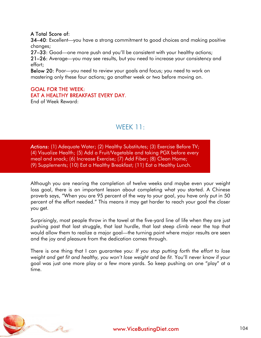#### A Total Score of:

34–40: Excellent—you have a strong commitment to good choices and making positive changes;

27–33: Good—one more push and you'll be consistent with your healthy actions;

21–26: Average—you may see results, but you need to increase your consistency and effort;

Below 20: Poor—you need to review your goals and focus; you need to work on mastering only these four actions; go another week or two before moving on.

#### GOAL FOR THE WEEK: EAT A HEALTHY BREAKFAST EVERY DAY.

End of Week Reward:

# WFFK  $11:$

*Actions:* (1) Adequate Water; (2) Healthy Substitutes; (3) Exercise Before TV; (4) Visualize Health; (5) Add a Fruit/Vegetable and taking PGX before every meal and snack; (6) Increase Exercise; (7) Add Fiber; (8) Clean Home; (9) Supplements; (10) Eat a Healthy Breakfast; (11) Eat a Healthy Lunch.

Although you are nearing the completion of twelve weeks and maybe even your weight loss goal, there is an important lesson about completing what you started. A Chinese proverb says, "When you are 95 percent of the way to your goal, you have only put in 50 percent of the effort needed." This means it may get harder to reach your goal the closer you get.

Surprisingly, most people throw in the towel at the five-yard line of life when they are just pushing past that last struggle, that last hurdle, that last steep climb near the top that would allow them to realize a major goal—the turning point where major results are seen and the joy and pleasure from the dedication comes through.

There is one thing that I can guarantee you: *If you stop putting forth the effort to lose weight and get fit and healthy, you won't lose weight and be fit.* You'll never know if your goal was just one more play or a few more yards. So keep pushing on one "play" at a time.

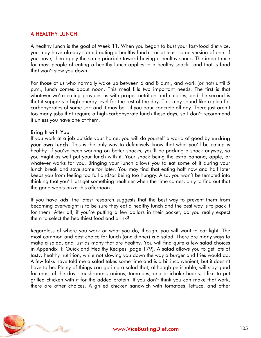#### A HEALTHY LUNCH

A healthy lunch is the goal of Week 11. When you began to bust your fast-food diet vice, you may have already started eating a healthy lunch—or at least some version of one. If you have, then apply the same principle toward having a healthy snack. The importance for most people of eating a healthy lunch applies to a healthy snack—and that is food that won't slow you down.

For those of us who normally wake up between 6 and 8 a.m., and work (or not) until 5 p.m., lunch comes about noon. This meal fills two important needs. The first is that whatever we're eating provides us with proper nutrition and calories, and the second is that it supports a high energy level for the rest of the day. This may sound like a plea for carbohydrates of some sort and it may be—if you pour concrete all day. There just aren't too many jobs that require a high-carbohydrate lunch these days, so I don't recommend it unless you have one of them.

#### Bring It with You

If you work at a job outside your home, you will do yourself a world of good by **packing** your own lunch. This is the only way to definitively know that what you'll be eating is healthy. If you've been working on better snacks, you'll be packing a snack anyway, so you might as well put your lunch with it. Your snack being the extra banana, apple, or whatever works for you. Bringing your lunch allows you to eat some of it during your lunch break and save some for later. You may find that eating half now and half later keeps you from feeling too full and/or being too hungry. Also, you won't be tempted into thinking that you'll just get something healthier when the time comes, only to find out that the gang wants pizza this afternoon.

If you have kids, the latest research suggests that the best way to prevent them from becoming overweight is to be sure they eat a healthy lunch and the best way is to pack it for them. After all, if you're putting a few dollars in their pocket, do you really expect them to select the healthiest food and drink?

Regardless of where you work or what you do, though, you will want to eat light. The most common and best choice for lunch (and dinner) is a salad. There are many ways to make a salad, and just as many that are healthy. You will find quite a few salad choices in Appendix II: Quick and Healthy Recipes (page 179). A salad allows you to get lots of tasty, healthy nutrition, while not slowing you down the way a burger and fries would do. A few folks have told me a salad takes some time and is a bit inconvenient, but it doesn't have to be. Plenty of things can go into a salad that, although perishable, will stay good for most of the day—mushrooms, onions, tomatoes, and artichoke hearts. I like to put grilled chicken with it for the added protein. If you don't think you can make that work, there are other choices. A grilled chicken sandwich with tomatoes, lettuce, and other



#### www.ViceBustingDiet.com 105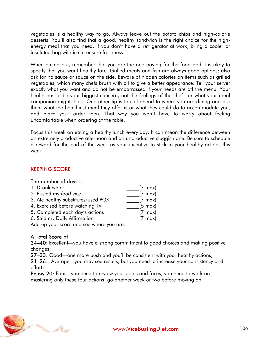vegetables is a healthy way to go. Always leave out the potato chips and high-calorie desserts. You'll also find that a good, healthy sandwich is the right choice for the highenergy meal that you need. If you don't have a refrigerator at work, bring a cooler or insulated bag with ice to ensure freshness.

When eating out, remember that you are the one paying for the food and it is okay to specify that you want healthy fare. Grilled meats and fish are always good options; also ask for no sauce or sauce on the side. Beware of hidden calories on items such as grilled vegetables, which many chefs brush with oil to give a better appearance. Tell your server exactly what you want and do not be embarrassed if your needs are off the menu. Your health has to be your biggest concern, not the feelings of the chef—or what your meal companion might think. One other tip is to call ahead to where you are dining and ask them what the healthiest meal they offer is or what they could do to accommodate you, and place your order then. That way you won't have to worry about feeling uncomfortable when ordering at the table.

Focus this week on eating a healthy lunch every day. It can mean the difference between an extremely productive afternoon and an unproductive sluggish one. Be sure to schedule a reward for the end of the week as your incentive to stick to your healthy actions this week.

#### KEEPING SCORE

#### The number of days I...

| 1. Drank water                          | $(7 \text{ max})$ |
|-----------------------------------------|-------------------|
| 2. Busted my food vice                  | $(7 \text{ max})$ |
| 3. Ate healthy substitutes/used PGX     | $(7 \text{ max})$ |
| 4. Exercised before watching TV         | $(5 \text{ max})$ |
| 5. Completed each day's actions         | $(7 \text{ max})$ |
| 6. Said my Daily Affirmation            | $(7 \text{ max})$ |
| Add up your score and see where you are |                   |

Add up your score and see where you are.

#### A Total Score of:

34–40: Excellent—you have a strong commitment to good choices and making positive changes;

27–33: Good—one more push and you'll be consistent with your healthy actions;

21–26: Average—you may see results, but you need to increase your consistency and effort;

Below 20: Poor—you need to review your goals and focus; you need to work on mastering only these four actions; go another week or two before moving on.

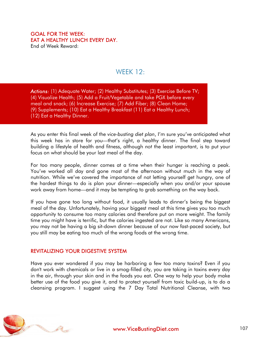#### GOAL FOR THE WEEK: EAT A HEALTHY LUNCH EVERY DAY. End of Week Reward:

# WFFK 12.

*Actions:* (1) Adequate Water; (2) Healthy Substitutes; (3) Exercise Before TV; (4) Visualize Health; (5) Add a Fruit/Vegetable and take PGX before every meal and snack; (6) Increase Exercise; (7) Add Fiber; (8) Clean Home; (9) Supplements; (10) Eat a Healthy Breakfast (11) Eat a Healthy Lunch; (12) Eat a Healthy Dinner.

As you enter this final week of the *vice-busting diet plan*, I'm sure you've anticipated what this week has in store for you—that's right, a healthy dinner. The final step toward building a lifestyle of health and fitness, although *not* the least important, is to put your focus on what should be your last meal of the day.

For too many people, dinner comes at a time when their hunger is reaching a peak. You've worked all day and gone most of the afternoon without much in the way of nutrition. While we've covered the importance of not letting yourself get hungry, one of the hardest things to do is plan your dinner—especially when you and/or your spouse work away from home—and it may be tempting to grab something on the way back.

If you have gone too long without food, it usually leads to dinner's being the biggest meal of the day. Unfortunately, having your biggest meal at this time gives you too much opportunity to consume too many calories and therefore put on more weight. The family time you might have is terrific, but the calories ingested are not. Like so many Americans, you may not be having a big sit-down dinner because of our now fast-paced society, but you still may be eating too much of the wrong foods at the wrong time.

#### REVITALIZING YOUR DIGESTIVE SYSTEM

Have you ever wondered if you may be harboring a few too many toxins? Even if you don't work with chemicals or live in a smog-filled city, you are taking in toxins every day in the air, through your skin and in the foods you eat. One way to help your body make better use of the food you give it, and to protect yourself from toxic build-up, is to do a cleansing program. I suggest using the 7 Day Total Nutritional Cleanse, with two

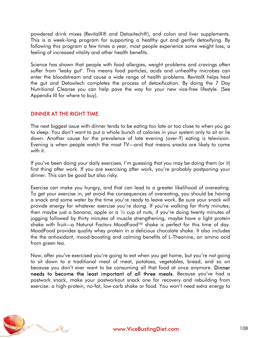powdered drink mixes (RevitalX® and Detoxitech®), and colon and liver supplements. This is a week-long program for supporting a healthy gut and gently detoxifying. By following this program a few times a year, most people experience some weight loss, a feeling of increased vitality and other health benefits.

Science has shown that people with food allergies, weight problems and cravings often suffer from "leaky gut". This means food particles, acids and unhealthy microbes can enter the bloodstream and cause a wide range of health problems. RevitalX helps heal the gut and Detoxitech completes the process of detoxification. By doing the 7 Day Nutritional Cleanse you can help pave the way for your new vice-free lifestyle. (See Appendix III for where to buy).

#### DINNER AT THE RIGHT TIME

The next biggest issue with dinner tends to be *eating too late* or too close to when you go to sleep. You don't want to put a whole bunch of calories in your system only to sit or lie down. Another cause for the prevalence of late evening (over-?) eating is television. Evening is when people watch the most TV—and that means snacks are likely to come with it.

If you've been doing your daily exercises, I'm guessing that you may be doing them (or it) first thing after work. If you are exercising after work, you're probably postponing your dinner. This can be good but also risky.

Exercise can make you hungry, and that can lead to a greater likelihood of overeating. To get your exercise in, yet avoid the consequences of overeating, you should be having a snack and some water by the time you're ready to leave work. Be sure your snack will provide energy for whatever exercise you're doing. If you're walking for thirty minutes, then maybe just a banana, apple or a  $\frac{1}{4}$  cup of nuts; if you're doing twenty minutes of jogging followed by thirty minutes of muscle strengthening, maybe have a light protein shake with fruit—a Natural Factors MoodFood™ shake is perfect for this time of day. MoodFood provides quality whey protein in a delicious chocolate shake. It also includes the the antioxidant, mood-boosting and calming benefits of L-Theanine, an amino acid from green tea.

Now, after you've exercised you're going to eat when you get home, but you're not going to sit down to a traditional meal of meat, potatoes, vegetables, bread, and so on because you don't ever want to be consuming all that food at once anymore. Dinner needs to become the least important of all three meals. Because you've had a postwork snack, make your postworkout snack one for recovery and rebuilding from exercise: a high-protein, no-fat, low-carb shake or food. You won't need extra energy to

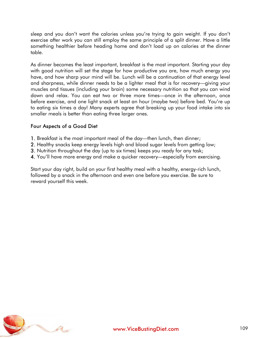sleep and you don't want the calories unless you're trying to gain weight. If you don't exercise after work you can still employ the same principle of a split dinner. Have a little something healthier before heading home and don't load up on calories at the dinner table.

As dinner becomes the least important, breakfast is the most important. Starting your day with good nutrition will set the stage for how productive you are, how much energy you have, and how sharp your mind will be. Lunch will be a continuation of that energy level and sharpness, while dinner needs to be a lighter meal that is for recovery—giving your muscles and tissues (including your brain) some necessary nutrition so that you can wind down and relax. You can eat two or three more times—once in the afternoon, once before exercise, and one light snack at least an hour (maybe two) before bed. You're up to eating six times a day! Many experts agree that breaking up your food intake into six smaller meals is better than eating three larger ones.

#### Four Aspects of a Good Diet

- 1. Breakfast is the most important meal of the day—then lunch, then dinner;
- 2. Healthy snacks keep energy levels high and blood sugar levels from getting low;
- 3. Nutrition throughout the day (up to six times) keeps you ready for any task;
- 4. You'll have more energy and make a quicker recovery—especially from exercising.

Start your day right, build on your first healthy meal with a healthy, energy-rich lunch, followed by a snack in the afternoon and even one before you exercise. Be sure to reward yourself this week.

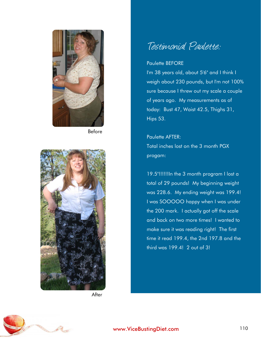

Before



**After** 



#### Paulette BEFORE

I'm 38 years old, about 5'6" and I think I weigh about 230 pounds, but I'm not 100% sure because I threw out my scale a couple of years ago. My measurements as of today: Bust 47, Waist 42.5, Thighs 31, Hips 53.

Paulette AFTER: Total inches lost on the 3 month PGX progam:

19.5"!!!!!!In the 3 month program I lost a total of 29 pounds! My beginning weight was 228.6. My ending weight was 199.4! I was SOOOOO happy when I was under the 200 mark. I actually got off the scale and back on two more times! I wanted to make sure it was reading right! The first time it read 199.4, the 2nd 197.8 and the third was 199.4! 2 out of 3!



#### www.ViceBustingDiet.com 110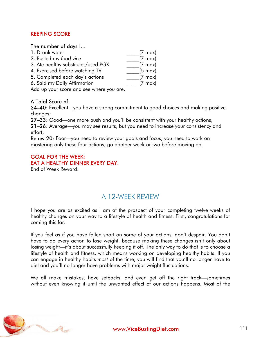#### KEEPING SCORE

#### The number of days I...

| 1. Drank water                      | $(7 \text{ max})$ |
|-------------------------------------|-------------------|
| 2. Busted my food vice              | $(7 \text{ max})$ |
| 3. Ate healthy substitutes/used PGX | $(7 \text{ max})$ |
| 4. Exercised before watching TV     | (5 max)           |
| 5. Completed each day's actions     | $(7 \text{ max})$ |
| 6. Said my Daily Affirmation        | $(7 \text{ max})$ |
|                                     |                   |

Add up your score and see where you are.

#### A Total Score of:

34–40: Excellent—you have a strong commitment to good choices and making positive changes;

27–33: Good—one more push and you'll be consistent with your healthy actions;

21–26: Average—you may see results, but you need to increase your consistency and effort;

Below 20: Poor—you need to review your goals and focus; you need to work on mastering only these four actions; go another week or two before moving on.

# GOAL FOR THE WEEK: EAT A HEALTHY DINNER EVERY DAY.

End of Week Reward:

# A 12-WEEK REVIEW

I hope you are as excited as I am at the prospect of your completing twelve weeks of healthy changes on your way to a lifestyle of health and fitness. First, congratulations for coming this far.

If you feel as if you have fallen short on some of your actions, don't despair. You don't have to do every action to lose weight, because making these changes isn't only about losing weight—it's about successfully keeping it off. The only way to do that is to choose a lifestyle of health and fitness, which means working on developing healthy habits. If you can engage in healthy habits *most* of the time, you will find that you'll no longer have to diet and you'll no longer have problems with major weight fluctuations.

We all make mistakes, have setbacks, and even get off the right track—sometimes without even knowing it until the unwanted effect of our actions happens. Most of the

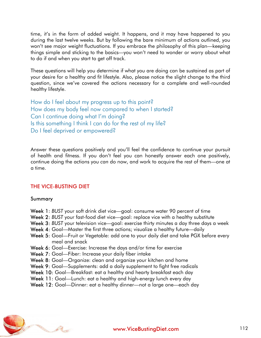time, it's in the form of added weight. It happens, and it may have happened to you during the last twelve weeks. But by following the bare minimum of actions outlined, you won't see major weight fluctuations. If you embrace the philosophy of this plan—keeping things simple and sticking to the basics—you won't need to wonder or worry about what to do if and when you start to get off track.

These questions will help you determine if what you are doing can be sustained as part of your desire for a healthy and fit lifestyle. Also, please notice the slight change to the third question, since we've covered the actions necessary for a complete and well-rounded healthy lifestyle.

How do I feel about my progress up to this point? How does my body feel now compared to when I started? Can I continue doing what I'm doing? Is this something I think I can do for the rest of my life? Do I feel deprived or empowered?

Answer these questions positively and you'll feel the confidence to continue your pursuit of health and fitness. If you don't feel you can honestly answer each one positively, continue doing the actions you *can* do now, and work to acquire the rest of them—one at a time.

#### THE VICE-BUSTING DIET

#### Summary

- Week 1: *BUST* your soft drink diet vice—goal: consume water 90 percent of time
- Week 2: *BUST* your fast-food diet vice—goal: replace vice with a healthy substitute
- Week 3: *BUST* your television vice—goal: exercise thirty minutes a day three days a week
- Week 4: Goal—Master the first three actions; visualize a healthy future—daily
- Week 5: Goal—Fruit or Vegetable: add one to your daily diet and take PGX before every meal and snack
- Week 6: Goal—Exercise: Increase the days and/or time for exercise
- Week 7: Goal—Fiber: Increase your daily fiber intake
- Week 8: Goal—Organize: clean and organize your kitchen and home
- Week 9: Goal—Supplements: add a daily supplement to fight free radicals
- Week 10: Goal—Breakfast: eat a healthy and hearty breakfast each day
- Week 11: Goal—Lunch: eat a healthy and high-energy lunch every day
- Week 12: Goal—Dinner: eat a healthy dinner—not a large one—each day

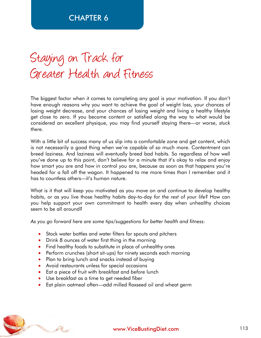# Staying on Track for Greater Health and Fitness

The biggest factor when it comes to completing any goal is your motivation. If you don't have enough reasons why you want to achieve the goal of weight loss, your chances of losing weight decrease, and your chances of losing weight *and* living a healthy lifestyle get close to zero. If you become content or satisfied along the way to what would be considered an excellent physique, you may find yourself staying there—or worse, *stuck there*.

With a little bit of success many of us slip into a comfortable zone and get content, which is not necessarily a good thing when we're capable of so much more. Contentment can breed laziness. And laziness will eventually breed bad habits. So regardless of how well you've done up to this point, don't believe for a minute that it's okay to relax and enjoy how smart you are and how in control you are, because as soon as that happens you're headed for a fall off the wagon. It happened to me more times than I remember and it has to countless others—it's human nature.

What is it that will *keep* you motivated as you move on and continue to develop healthy habits, or as you live those healthy habits day-to-day *for the rest of your life*? How can you help support your own commitment to health every day when unhealthy choices seem to be all around?

*As you go forward here are some tips/suggestions for better health and fitness:* 

- Stock water bottles and water filters for spouts and pitchers
- Drink 8 ounces of water first thing in the morning
- Find healthy foods to substitute in place of unhealthy ones
- Perform crunches (short sit-ups) for ninety seconds each morning
- Plan to bring lunch and snacks instead of buying
- Avoid restaurants unless for special occasions
- Eat a piece of fruit with breakfast and *before* lunch
- Use breakfast as a time to get needed fiber
- Eat plain oatmeal often—add milled flaxseed oil and wheat germ

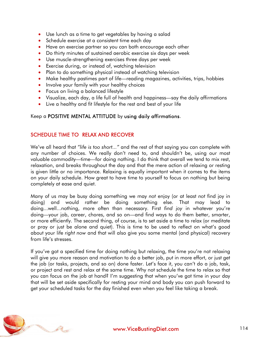- Use lunch as a time to get vegetables by having a salad
- Schedule exercise at a consistent time each day
- Have an exercise partner so you can both encourage each other
- Do thirty minutes of sustained aerobic exercise six days per week
- Use muscle-strengthening exercises three days per week
- Exercise during, or instead of, watching television
- Plan to do something physical instead of watching television
- Make healthy pastimes part of life—reading magazines, activities, trips, hobbies
- Involve your family with your healthy choices
- Focus on living a balanced lifestyle
- Visualize, each day, a life full of health and happiness—say the daily affirmations
- Live a healthy and fit lifestyle for the rest and best of your life

#### Keep a POSITIVE MENTAL ATTITUDE by using daily affirmations.

#### SCHEDULE TIME TO RELAX AND RECOVER

We've all heard that *"life is too short..."* and the rest of that saying you can complete with any number of choices. We really don't need to, and shouldn't be, using our most valuable commodity—time—for doing nothing. I do think that overall we tend to mix rest, relaxation, and breaks throughout the day and that the mere action of relaxing or resting is given little or no importance. Relaxing is equally important when it comes to the items on your daily schedule. How great to have time to yourself to focus on nothing but being completely at ease and quiet.

Many of us may be busy doing something we may *not* enjoy (or at least *not* find joy in doing) and would rather be doing something else. That may lead to doing...well...nothing, more often than necessary. First *find joy* in whatever you're doing—your job, career, chores, and so on—and find ways to do them better, smarter, or more efficiently. The second thing, of course, is to set aside a time to relax (or meditate or pray or just be alone and quiet). This is time to be used to reflect on what's good about your life *right now* and that will also give you some mental (and physical) recovery from life's stresses.

If you've got a specified time for doing nothing but relaxing, the time you're not relaxing will give you more reason and motivation to do a better job, put in more effort, or just get the job (or tasks, projects, and so on) done faster. Let's face it, you can't do a job, task, or project and rest and relax at the same time. Why not schedule the time to relax so that you can focus on the job at hand? I'm suggesting that when you've got time in your day that will be set aside specifically for resting your mind and body you can push forward to get your scheduled tasks for the day finished even when you feel like taking a break.



#### www.ViceBustingDiet.com 114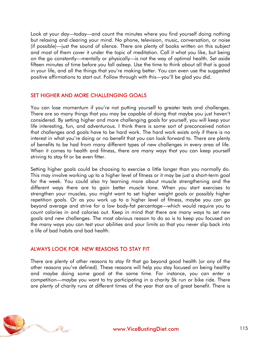Look at your day—today—and count the minutes where you find yourself doing nothing but relaxing and clearing your mind. No phone, television, music, conversation, or noise (if possible)—just the sound of silence. There are plenty of books written on this subject and most of them cover it under the topic of meditation. Call it what you like, but being on the go constantly—mentally or physically—is not the way of optimal health. Set aside fifteen minutes of time before you fall asleep. Use the time to think about all that is good in your life, and all the things that you're making better. You can even use the suggested positive affirmations to start out. Follow through with this—you'll be glad you did.

#### SET HIGHER AND MORE CHALLENGING GOALS

You can lose momentum if you're not putting yourself to greater tests and challenges. There are so many things that you may be capable of doing that maybe you just haven't considered. By setting higher and more challenging goals for yourself, you will keep your life interesting, fun, and adventurous. I think there is some sort of preconceived notion that challenges and goals have to be hard work. The hard work exists only if there is no interest in what you're doing or no benefit that you can look forward to. There are plenty of benefits to be had from many different types of new challenges in every area of life. When it comes to health and fitness, there are many ways that you can keep yourself striving to stay fit or be even fitter.

Setting higher goals could be choosing to exercise a little longer than you normally do. This may involve working up to a higher level of fitness or it may be just a short-term goal for the week. You could also try learning more about muscle strengthening and the different ways there are to gain better muscle tone. When you start exercises to strengthen your muscles, you might want to set higher weight goals or possibly higher repetition goals. Or as you work up to a higher level of fitness, maybe you can go beyond average and strive for a low body-fat percentage—which would require you to count calories in and calories out. Keep in mind that there are many ways to set new goals and new challenges. The most obvious reason to do so is to keep you focused on the many ways you can test your abilities and your limits so that you never slip back into a life of bad habits and bad health.

#### ALWAYS LOOK FOR NEW REASONS TO STAY FIT

There are plenty of other reasons to *stay fit* that go beyond good health (or any of the other reasons you've defined). These reasons will help you stay focused on being healthy and maybe doing some good at the same time. For instance, you can enter a competition—maybe you want to try participating in a charity 5k run or bike ride. There are plenty of charity runs at different times of the year that are of great benefit. There is

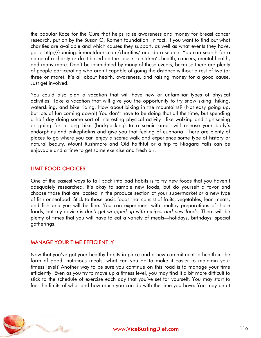the popular Race for the Cure that helps raise awareness and money for breast cancer research, put on by the Susan G. Komen foundation. In fact, if you want to find out what charities are available and which causes they support, as well as what events they have, go to http://running.timeoutdoors.com/charities/ and do a search. You can search for a name of a charity or do it based on the cause—children's health, cancers, mental health, and many more. Don't be intimidated by many of these events, because there are plenty of people participating who aren't capable of going the distance without a rest of two (or three or more). It's all about health, awareness, and raising money for a good cause. Just get involved.

You could also plan a vacation that will have new or unfamiliar types of physical activities. Take a vacation that will give you the opportunity to try snow skiing, hiking, waterskiing, and bike riding. How about biking in the mountains? (Not easy going up, but lots of fun coming down!) You don't have to be doing that all the time, but spending a half day doing some sort of interesting physical activity—like walking and sightseeing or going for a long hike (backpacking) to a scenic area—will release your body's endorphins and enkephalins and give you that feeling of euphoria. There are plenty of places to go where you can enjoy a scenic walk and experience some type of history or natural beauty. Mount Rushmore and Old Faithful or a trip to Niagara Falls can be enjoyable and a time to get some exercise and fresh air.

#### LIMIT FOOD CHOICES

One of the easiest ways to fall back into bad habits is to try new foods that you haven't adequately researched. It's okay to sample new foods, but do yourself a favor and choose those that are located in the produce section of your supermarket *or* a new type of fish or seafood. Stick to those basic foods that consist of fruits, vegetables, lean meats, and fish and you will be fine. You can experiment with healthy preparations of those foods, but my advice is *don't get wrapped up with recipes and new foods.* There will be plenty of times that you will have to eat a variety of meals—holidays, birthdays, special gatherings.

#### MANAGE YOUR TIME EFFICIENTLY

Now that you've got your healthy habits in place and a new commitment to health in the form of good, nutritious meals, what can you do to make it easier to maintain your fitness level? Another way to be sure you continue on this road is to manage your time efficiently. Even as you try to move up a fitness level, you may find it a bit more difficult to stick to the schedule of exercise each day that you've set for yourself. You may start to feel the limits of what and how much you can do with the time you have. You may be at

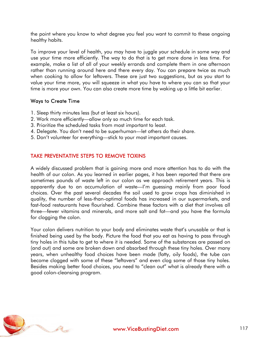the point where you know to what degree you feel you want to commit to these ongoing healthy habits.

To improve your level of health, you may have to juggle your schedule in some way and use your time more efficiently. The way to do that is to get more done in less time. For example, make a list of all of your weekly errands and complete them in one afternoon rather than running around here and there every day. You can prepare twice as much when cooking to allow for leftovers. These are just two suggestions, but as you start to value your time more, you will squeeze in what you have to where you can so that your time is more your own. You can also create more time by waking up a little bit earlier.

#### Ways to Create Time

- 1. Sleep thirty minutes less (but at least six hours).
- 2. Work more efficiently—allow only so much time for each task.
- 3. Prioritize the scheduled tasks from most important to least.
- 4. Delegate. You don't need to be superhuman—let others do their share.
- 5. Don't volunteer for everything—stick to your most important causes.

#### TAKE PREVENTATIVE STEPS TO REMOVE TOXINS

A widely discussed problem that is gaining more and more attention has to do with the health of our colon. As you learned in earlier pages, it has been reported that there are sometimes pounds of waste left in our colon as we approach retirement years. This is apparently due to an accumulation of waste—I'm guessing mainly from poor food choices. Over the past several decades the soil used to grow crops has diminished in quality, the number of less-than-optimal foods has increased in our supermarkets, and fast-food restaurants have flourished. Combine these factors with a diet that involves all three—fewer vitamins and minerals, and more salt and fat—and you have the formula for clogging the colon.

Your colon delivers nutrition to your body and eliminates waste that's unusable or that is finished being used by the body. Picture the food that you eat as having to pass through tiny holes in this tube to get to where it is needed. Some of the substances are passed on (and out) and some are broken down and absorbed through these tiny holes. Over many years, when unhealthy food choices have been made (fatty, oily foods), the tube can become clogged with some of these "leftovers" and even clog some of those tiny holes. Besides making better food choices, you need to "clean out" what is already there with a good colon-cleansing program.

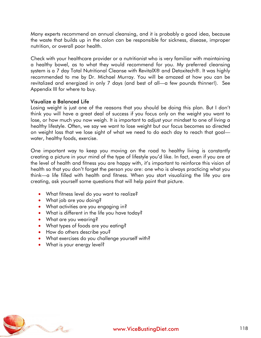Many experts recommend an annual cleansing, and it is probably a good idea, because the waste that builds up in the colon can be responsible for sickness, disease, improper nutrition, or overall poor health.

Check with your healthcare provider or a nutritionist who is very familiar with maintaining a healthy bowel, as to what they would recommend for you. My preferred cleansing system is a 7 day Total Nutritional Cleanse with RevitalX® and Detoxitech®. It was highly recommended to me by Dr. Michael Murray. You will be amazed at how you can be revitalized and energized in only 7 days (and best of all—a few pounds thinner!). See Appendix III for where to buy.

#### Visualize a Balanced Life

Losing weight is just one of the reasons that you should be doing this plan. But I don't think you will have a great deal of success if you focus only on the weight you want to lose, or how much you now weigh. It is important to adjust your mindset to one of *living* a healthy lifestyle. Often, we say we want to lose weight but our focus becomes so directed on weight loss that we lose sight of what we need to do each day to reach that goal water, healthy foods, exercise.

One important way to keep you moving on the road to healthy living is constantly creating a picture in your mind of the type of lifestyle you'd like. In fact, even if you are at the level of health and fitness you are happy with, it's important to reinforce this vision of health so that you don't forget the person *you are*: one who is always practicing what you think—a life filled with health and fitness. When you start visualizing the life you are creating, ask yourself some questions that will help paint that picture.

- What fitness level do you want to realize?
- What job are you doing?
- What activities are you engaging in?
- What is different in the life you have today?
- What are you wearing?
- What types of foods are you eating?
- How do others describe you?
- What exercises do you challenge yourself with?
- What is your energy level?

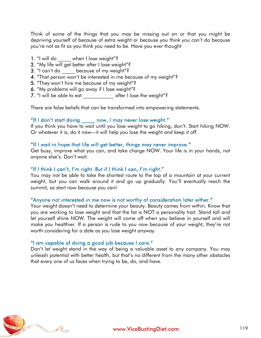Think of some of the things that you may be missing out on or that you might be depriving yourself of because of extra weight or because you *think you can't* do because you're not as fit as you *think* you need to be. Have you ever thought

- 1. "I will do when I lose weight"?
- 2. "My life will get better after I lose weight"?
- 3. "I can't do \_\_\_\_\_ because of my weight"?
- 4. "That person won't be interested in me because of my weight"?
- 5. "They won't hire me because of my weight"?
- 6. "My problems will go away if I lose weight"?
- 7. "I will be able to eat after I lose the weight"?

There are false beliefs that can be transformed into empowering statements.

#### "If I don't start doing \_\_\_\_\_ now, I may never lose weight."

If you think you have to wait until you lose weight to go hiking, don't. Start hiking NOW. Or whatever it is, do it now—it will help you lose the weight *and keep it off.*

#### "If I wait in hope that life will get better, things may never improve."

Get busy, improve what you can, and take charge NOW. Your life is in your hands, not anyone else's. Don't wait.

#### "If I think I can't, I'm right. But if I think I can, I'm right."

You may not be able to take the shortest route to the top of a mountain at your current weight, but you can walk around it and go up gradually. You'll eventually reach the summit, so start now because you can!

#### "Anyone not interested in me now is not worthy of consideration later either."

Your weight doesn't need to determine your beauty. Beauty comes from within. Know that you are working to lose weight and that the fat is NOT a personality trait. Stand tall and let yourself shine NOW. The weight will come off when you believe in yourself and will make you healthier. If a person is rude to you now because of your weight, they're not worth considering for a date as you lose weight anyway.

#### "I am capable of doing a good job because I care."

Don't let weight stand in the way of being a valuable asset to any company. You may unleash potential with better health, but that's no different from the many other obstacles that every one of us faces when trying to be, do, and have.

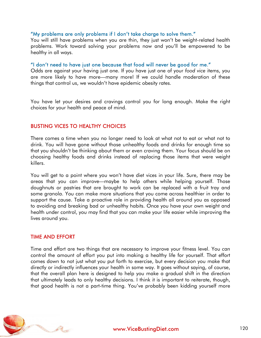#### "My problems are only problems if I don't take charge to solve them."

You will still have problems when you are thin, they just won't be weight-related health problems. Work toward solving your problems now and you'll be empowered to be healthy in all ways.

#### "I don't need to have just one because that food will never be good for me."

Odds are against your having just one. If you have just one of your *food vice* items, you are more likely to have more—many more! If we could handle moderation of these things that control us, we wouldn't have epidemic obesity rates.

You have let your desires and cravings control you for long enough. Make the right choices for your health and peace of mind.

#### BUSTING VICES TO HEALTHY CHOICES

There comes a time when you no longer need to look at what not to eat or what not to drink. You will have gone without those unhealthy foods and drinks for enough time so that you shouldn't be thinking about them or even craving them. Your focus should be on choosing healthy foods and drinks instead of replacing those items that were weight killers.

You will get to a point where you won't have diet vices in your life. Sure, there may be areas that you can improve—maybe to help others while helping yourself. Those doughnuts or pastries that are brought to work can be replaced with a fruit tray and some granola. You can make more situations that you come across healthier in order to support the cause. Take a proactive role in providing health all around you as opposed to avoiding and breaking bad or unhealthy habits. Once you have your own weight and health under control, you may find that you can make your life easier while improving the lives around you.

#### TIME AND EFFORT

Time and effort are two things that are necessary to improve your fitness level. You *can* control the amount of effort you put into making a healthy life for yourself. That effort comes down to not just what you put forth to exercise, but every decision you make that directly or indirectly influences your health in some way. It goes without saying, of course, that the overall plan here is designed to help you make a gradual shift in the direction that ultimately leads to only healthy decisions. I think it is important to reiterate, though, that good health is not a part-time thing. You've probably been kidding yourself more

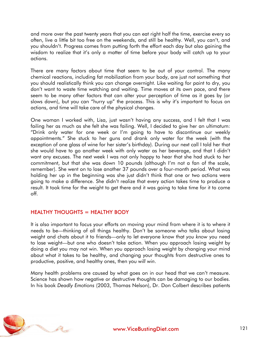and more over the past twenty years that you can eat right half the time, exercise every so often, live a little bit too free on the weekends, and still be healthy. Well, you can't, and you shouldn't. Progress comes from putting forth the effort each day but also gaining the wisdom to realize that it's only a matter of time before your body will catch up to your actions.

There are many factors about time that seem to be out of your control. The many chemical reactions, including fat mobilization from your body, are just not something that you should realistically think you can change overnight. Like waiting for paint to dry, you don't want to waste time watching and waiting. Time moves at its own pace, and there seem to be many other factors that can alter your perception of time as it goes by (or slows down), but you can "hurry up" the process. This is why it's important to focus on actions, and time will take care of the physical changes.

One woman I worked with, Lisa, just wasn't having any success, and I felt that I was failing her as much as she felt she was failing. Well, I decided to give her an ultimatum: "Drink only water for one week or I'm going to have to discontinue our weekly appointments." She stuck to her guns and drank only water for the week (with the exception of one glass of wine for her sister's birthday). During our next call I told her that she would have to go another week with only water as her beverage, and that I didn't want any excuses. The next week I was not only happy to hear that she had stuck to her commitment, but that she was down 10 pounds (although I'm not a fan of the scale, remember). She went on to lose another 37 pounds over a four-month period. What was holding her up in the beginning was she just didn't think that one or two actions were going to make a difference. She didn't realize that every action takes time to produce a result. It took time for the weight to get there and it was going to take time for it to come off.

#### HEALTHY THOUGHTS = HEALTHY BODY

It is also important to focus your efforts on moving your mind from where it is to where it needs to be—thinking of all things healthy. Don't be someone who talks about losing weight and chats about it to friends—only to let everyone know that *you know* you need to lose weight—but one who doesn't take action. When you approach losing weight by doing a diet you may not win. When you approach losing weight by changing your mind about what it takes to be healthy, and changing your thoughts from destructive ones to productive, positive, and healthy ones, then you *will win*.

Many health problems are caused by what goes on in our head that we can't measure. Science has shown how negative or destructive thoughts can be damaging to our bodies. In his book *Deadly Emotions* (2003, Thomas Nelson), Dr. Don Colbert describes patients

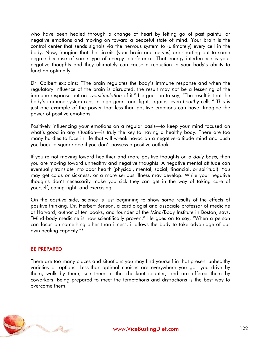who have been healed through a change of heart by letting go of past painful or negative emotions and moving on toward a peaceful state of mind. Your brain is the control center that sends signals via the nervous system to (ultimately) every cell in the body. Now, imagine that the circuits (your brain and nerves) are shorting out to some degree because of some type of energy interference. That energy interference is your negative thoughts and they ultimately can cause a reduction in your body's ability to function optimally.

Dr. Colbert explains: "The brain regulates the body's immune response and when the regulatory influence of the brain is disrupted, the result may *not* be a lessening of the immune response but an *overstimulation* of it." He goes on to say, "The result is that the body's immune system runs in high gear...and fights against even *healthy* cells." This is just one example of the power that less-than-positive emotions can have. Imagine the power of positive emotions.

Positively influencing your emotions on a regular basis—to keep your mind focused on what's good in any situation—is truly the key to having a healthy body. There are too many hurdles to face in life that will wreak havoc on a negative-attitude mind and push you back to square one if you don't possess a positive outlook.

If you're not moving toward healthier and more positive thoughts *on a daily basis,* then you are moving toward unhealthy and negative thoughts. A negative mental attitude can eventually translate into poor health (physical, mental, social, financial, or spiritual). You may get colds or sickness, or a more serious illness may develop. While your negative thoughts don't necessarily make you sick they can get in the way of taking care of yourself, eating right, and exercising.

On the *positive* side, science is just beginning to show some results of the effects of positive thinking. Dr. Herbert Benson, a cardiologist and associate professor of medicine at Harvard, author of ten books, and founder of the Mind/Body Institute in Boston, says, "Mind-body medicine is now scientifically proven." He goes on to say, "When a person can focus on something other than illness, it allows the body to take advantage of our own healing capacity."\*

#### BE PREPARED

There are too many places and situations you may find yourself in that present unhealthy varieties or options. Less-than-optimal choices are everywhere you go—you drive by them, walk by them, see them at the checkout counter, and are offered them by coworkers. Being prepared to meet the temptations and distractions is the best way to overcome them.

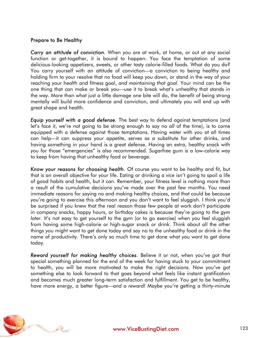#### Prepare to Be Healthy

*Carry an attitude of conviction.* When you are at work, at home, or out at any social function or get-together, it is bound to happen: You face the temptation of some delicious-looking appetizers, sweets, or other tasty calorie-filled foods. What do you do? You carry yourself with an attitude of conviction—a conviction to being healthy and holding firm to your resolve that no food will keep you down, or stand in the way of your reaching your health and fitness goal, *and maintaining that goal.* Your mind can be the one thing that can make or break you—use it to break what's unhealthy that stands in the way. More than what just a little damage one bite will do, the benefit of being strong mentally will build more confidence and conviction, and ultimately you will end up with great shape and health.

*Equip yourself with a good defense.* The best way to defend against temptations (and let's face it, we're not going to be strong enough to say no *all* of the time), is to come equipped with a defense against those temptations. Having water with you at all times can help—it can suppress your appetite, serves as a substitute for other drinks, and having something in your hand is a great defense. Having an extra, healthy snack with you for those "emergencies" is also recommended. Sugarfree gum is a low-calorie way to keep from having that unhealthy food or beverage.

*Know your reasons for choosing health.* Of course you want to be healthy and fit, but that is an overall objective for your life. Eating or drinking a *vice* isn't going to spoil a life of good habits and health, but it can. Remember, your fitness level is nothing more than a result of the cumulative decisions you've made over the past few months. You need immediate reasons for saying no and making healthy choices, and that could be because you're going to exercise this afternoon and you don't want to feel sluggish. I think you'd be surprised if you knew that the real reason those few people at work don't participate in company snacks, happy hours, or birthday cakes is because they're *going to the gym later.* It's not easy to get yourself to the gym (or to go exercise) when you feel sluggish from having some high-calorie or high-sugar snack or drink. Think about all the other things you might want to get done today and say no to the unhealthy food or drink in the name of productivity. There's only so much time to get done what you want to get done today.

*Reward yourself for making healthy choices.* Believe it or not, when you've got that special something planned for the end of the week for having stuck to your commitment to health, you will be more motivated to make the right decisions. Now you've got something else to look forward to that goes beyond what feels like instant gratification and becomes much greater long-term satisfaction and fulfillment. You get to be healthy, have more energy, a better figure—*and a reward!* Maybe you're getting a thirty-minute

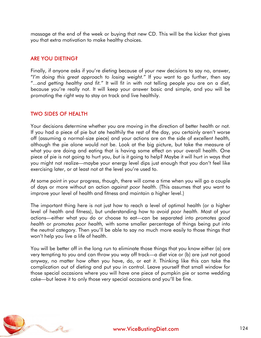massage at the end of the week or buying that new CD. This will be the kicker that gives you that extra motivation to make healthy choices.

#### ARE YOU DIETING?

Finally, if anyone asks if you're *dieting* because of your new decisions to say no, answer, "*I'm doing this great approach to losing weight."* If you want to go further, then say "...*and getting healthy and fit."* It will fit in with not telling people you are on a diet, because you're really not. It will keep your answer basic and simple, and you will be promoting the right way to stay on track and live healthily.

#### TWO SIDES OF HEALTH

Your decisions determine whether you are moving in the direction of better health or not. If you had a piece of pie but ate healthily the rest of the day, you certainly aren't worse off (assuming a normal-size piece) and your actions are on the side of *excellent health,* although the pie alone would not be. Look at the big picture, but take the measure of what you are doing and eating that is having some effect on your overall health. One piece of pie is not going to hurt you, *but* is it going to help? Maybe it will hurt in ways that you might not realize—maybe your energy level dips just enough that you don't feel like exercising later, or at least not at the level you're used to.

At some point in your progress, though, there will come a time when you will go a couple of days or more without an action *against poor health*. (This assumes that you want to improve your level of health and fitness and maintain a higher level.)

The important thing here is not just how to reach a level of optimal health (or a higher level of health and fitness), but understanding how to *avoid poor health.* Most of your actions—either what you do or choose to eat—can be separated into *promotes good health* or *promotes poor health,* with some smaller percentage of things being put into the *neutral* category. Then you'll be able to say no much more easily to those things that won't help you live a life of health.

You will be better off in the long run to eliminate those things that you know either (a) are very tempting to you and can throw you way off track—a diet vice or (b) are just not good anyway, no matter how often you have, do, or eat it. Thinking like this can take the complication out of *dieting* and put you in control. Leave yourself that small window for those special occasions where you will have one piece of pumpkin pie or some wedding cake—but leave it to only those *very* special occasions and you'll be fine.

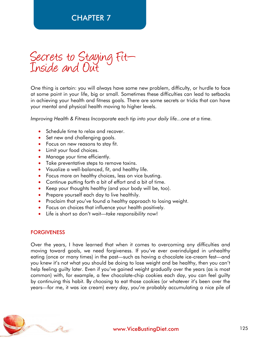# CHAPTER 7

Secrets to Staying Fit— Inside and Out

One thing is certain: you will always have some new problem, difficulty, or hurdle to face at some point in your life, big or small. Sometimes these difficulties can lead to setbacks in achieving your health and fitness goals. There are some secrets or tricks that can have your mental and physical health moving to higher levels.

*Improving Health & Fitness Incorporate each tip into your daily life...one at a time.* 

- Schedule time to relax and recover.
- Set new and challenging goals.
- Focus on new reasons to stay fit.
- Limit your food choices.
- Manage your time efficiently.
- Take preventative steps to remove toxins.
- Visualize a well-balanced, fit, and healthy life.
- Focus more on healthy choices, less on vice busting.
- Continue putting forth a bit of effort and a bit of time.
- Keep your thoughts healthy (and your body will be, too).
- Prepare yourself each day to live healthily.
- Proclaim that you've found a healthy approach to losing weight.
- Focus on choices that influence your health positively.
- Life is short so don't wait—*take responsibility now*!

#### FORGIVENESS

Over the years, I have learned that when it comes to overcoming any difficulties and moving toward goals, we need forgiveness. If you've ever overindulged in unhealthy eating (once or many times) in the past—such as having a chocolate ice-cream fest—and you knew it's not what you should be doing to lose weight and be healthy, then you can't help feeling guilty later. Even if you've gained weight gradually over the years (as is most common) with, for example, a few chocolate-chip cookies each day, you can feel guilty by continuing this habit. By *choosing* to eat those cookies (or whatever it's been over the years—for me, it was ice cream) every day, you're probably accumulating a nice pile of

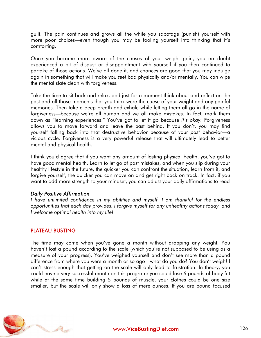guilt. The pain continues and grows all the while you sabotage (punish) yourself with more poor choices—even though you may be fooling yourself into thinking that it's comforting.

Once you became more aware of the causes of your weight gain, you no doubt experienced a bit of disgust or disappointment with yourself if you then continued to partake of those actions. We've all done it, and chances are good that you may indulge again in something that will make you *feel* bad physically and/or mentally. You can wipe the mental slate clean with forgiveness.

Take the time to sit back and relax, and just for a moment think about and reflect on the past and all those moments that you think were the *cause* of your weight and any painful memories. Then take a deep breath and exhale while letting them all go in the name of forgiveness—because we're all human and we all make mistakes. In fact, mark them down as "learning experiences." You've got to let it go because *it's okay.* Forgiveness allows you to move forward and leave the past behind. If you don't, you may find yourself falling back into that destructive behavior because of your *past* behavior—a vicious cycle. Forgiveness is a very powerful release that will ultimately lead to better mental and physical health.

I think you'd agree that if you want any amount of lasting physical health, you've got to have good mental health. Learn to let go of past mistakes, and when you slip during your healthy lifestyle in the future, the quicker you can confront the situation, learn from it, and forgive yourself, the quicker you can move on and get right back on track. In fact, if you want to add more strength to your mindset, you can adjust your daily affirmations to read

#### *Daily Positive Affirmation*

*I have unlimited confidence in my abilities and myself. I am thankful for the endless opportunities that each day provides. I forgive myself for any unhealthy actions today, and I welcome optimal health into my life!* 

#### PLATEAU BUSTING

The time may come when you've gone a month without dropping any weight. You haven't lost a pound according to the scale (which you're not supposed to be using as a measure of your progress). You've weighed yourself and don't see more than a pound difference from where you were a month or so ago—what do you do? You don't weigh! I can't stress enough that getting on the scale will only lead to frustration. In theory, you could have a very successful month on this program: you could lose 6 pounds of body fat while at the same time building 5 pounds of muscle, your clothes could be one size smaller, but the scale will only show a loss of mere ounces. If you are pound focused

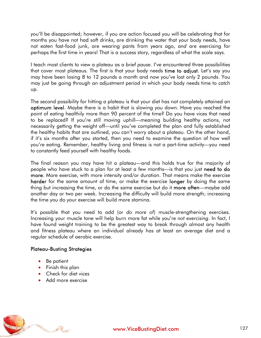you'll be disappointed; however, if you are action focused you will be celebrating that for months you have not had soft drinks, are drinking the water that your body needs, have not eaten fast-food junk, are wearing pants from years ago, *and* are exercising for perhaps the first time in years! That is a success story, regardless of what the scale says.

I teach most clients to view a plateau as a *brief pause*. I've encountered three possibilities that cover most plateaus. The first is that your body needs time to adjust. Let's say you may have been losing 8 to 12 pounds a month and now you've lost only 2 pounds. You may just be going through an adjustment period in which your body needs time to catch up.

The second possibility for hitting a plateau is that your diet has not completely attained an optimum level. Maybe there is a habit that is slowing you down. Have you reached the point of eating healthily more than 90 percent of the time? Do you have vices that need to be replaced? If you're still moving uphill—meaning building healthy actions, not necessarily getting the weight off—until you've completed the plan and fully established the healthy habits that are outlined, you can't worry about a plateau. On the other hand, if it's six months after you started, then you need to examine the question of how well you're eating. Remember, healthy living and fitness is not a part-time activity—you need to constantly feed yourself with healthy foods.

The final reason you may have hit a plateau—and this holds true for the majority of people who have stuck to a plan for at least a few months—is that you just need to do more. More exercise, with more intensity and/or duration. That means make the exercise harder for the same amount of time, or make the exercise longer by doing the same thing but increasing the time, or do the same exercise but do it more often—maybe add another day or two per week. Increasing the difficulty will build more strength; increasing the time you do your exercise will build more stamina.

It's possible that you need to add (or *do more of*) muscle-strengthening exercises. Increasing your muscle tone will help burn more fat while you're *not exercising*. In fact, I have found weight training to be the greatest way to break through almost any health and fitness plateau where an individual already has at least an average diet and a regular schedule of aerobic exercise.

#### Plateau-Busting Strategies

- Be patient
- Finish this plan
- Check for diet vices
- Add more exercise

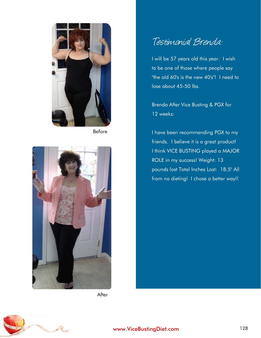

Before



After



# Testimonial Brenda:

I will be 57 years old this year. I wish to be one of those where people say "the old 60's is the new 40's"! I need to lose about 45-50 lbs.

Brenda After Vice Busting & PGX for 12 weeks:

I have been recommending PGX to my friends. I believe it is a great product! I think VICE BUSTING played a MAJOR ROLE in my success! Weight: 13 pounds lost Total Inches Lost: 18.5" All from no dieting! I chose a better way!!

#### www.ViceBustingDiet.com 128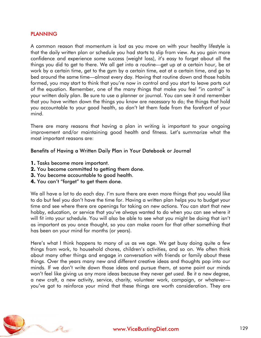#### PLANNING

A common reason that momentum is lost as you move on with your healthy lifestyle is that the daily written plan or schedule you had starts to slip from view. As you gain more confidence and experience *some* success (weight loss), it's easy to forget about all the things you did to get to there. We all get into a routine—get up at a certain hour, be at work by a certain time, get to the gym by a certain time, eat at a certain time, and go to bed around the same time—almost every day. Having that routine down and those habits formed, you may start to think that you're now in control and you start to leave parts out of the equation. Remember, one of the many things that make you feel "in control" is your written daily plan. Be sure to use a planner or journal. You can see it and remember that you have written down the things you know are necessary to do; the things that hold you accountable to your good health, so don't let them fade from the forefront of your mind.

There are many reasons that having a plan in writing is important to your ongoing improvement and/or maintaining good health and fitness. Let's summarize what the most important reasons are:

#### Benefits of Having a Written Daily Plan in Your Datebook or Journal

- **1.** Tasks become more important.
- **2.** You become committed to getting them done.
- **3.** You become accountable to good health.
- **4.** You can't "forget" to get them done.

We all have a lot to do each day. I'm sure there are even more things that you would like to do but feel you don't have the time for. Having a written plan helps you to budget your time and see where there are openings for taking on new actions. You can start that new hobby, education, or service that you've always wanted to do when you can see where it will fit into your schedule. You will also be able to see what you might be doing that isn't as important as you once thought, so you can make room for that other something that has been on your mind for months (or years).

Here's what I think happens to many of us as we age. We get busy doing quite a few things from work, to household chores, children's activities, and so on. We often think about many other things and engage in conversation with friends or family about these things. Over the years many new and different creative ideas and thoughts pop into our minds. If we don't write down those ideas and pursue them, at some point our minds won't feel like giving us any more ideas because they never *get used.* Be it a new degree, a new craft, a new activity, service, charity, volunteer work, campaign, or whatever you've got to reinforce your mind that these things are worth consideration. They are

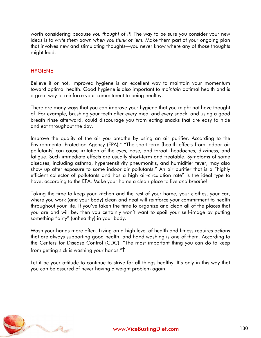worth considering because *you thought of it*! The way to be sure you consider your new ideas is to *write them down when you think of 'em.* Make them part of your ongoing plan that involves new and stimulating thoughts—you never know where any of those thoughts might lead.

#### HYGIENE

Believe it or not, improved hygiene is an excellent way to maintain your momentum toward optimal health. Good hygiene is also important to *maintain* optimal health and is a great way to reinforce your commitment to being healthy.

There are many ways that you can improve your hygiene that you might not have thought of. For example, brushing your teeth after *every* meal and *every* snack, and using a good breath rinse afterward, could discourage you from eating snacks that are easy to hide and eat throughout the day.

Improve the quality of the air you breathe by using an air purifier. According to the Environmental Protection Agency (EPA),\* "The short-term [health effects from indoor air pollutants] can cause irritation of the eyes, nose, and throat, headaches, dizziness, and fatigue. Such immediate effects are usually short-term and treatable. Symptoms of some diseases, including asthma, hypersensitivity pneumonitis, and humidifier fever, may also show up after exposure to some indoor air pollutants." An air purifier that is a "highly efficient collector of pollutants and has a high air-circulation rate" is the ideal type to have, according to the EPA. Make your home a clean place to live *and breathe*!

Taking the time to keep your kitchen and the rest of your home, your clothes, your car, where you work (and your body) clean and neat will reinforce your commitment to health throughout your life. If you've taken the time to organize and clean all of the places that you are and will be, then you certainly won't want to spoil your self-image by putting something "dirty" (unhealthy) in your body.

Wash your hands more often. Living on a high level of health and fitness requires actions that are always supporting good health, and hand washing is one of them. According to the Centers for Disease Control (CDC), "The most important thing you can do to keep from getting sick is washing your hands."<sup>†</sup>

Let it be your attitude to continue to strive for all things healthy. It's only in this way that you can be assured of never having a weight problem again.

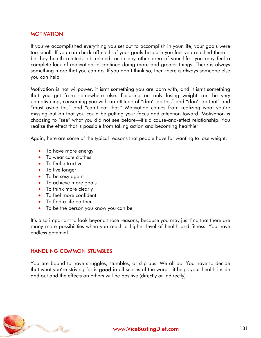#### MOTIVATION

If you've accomplished everything you set out to accomplish in your life, your goals were too small. If you can check off each of your goals because you feel you reached them be they health related, job related, or in any other area of your life—you may feel a complete lack of motivation to continue doing more and greater things. There is always something more that you can do. If you don't think so, then there is *always* someone else you can help.

Motivation is not willpower, it isn't something you are born with, and it isn't something that you get from somewhere else. Focusing on only losing weight can be very unmotivating, consuming you with an attitude of "don't do this" and "don't do that" and "must avoid this" and "can't eat that." Motivation comes from realizing what you're missing out on that you could be putting your focus and attention toward. Motivation is choosing to "see" what you did not see before—it's a cause-and-effect relationship. You realize the effect that is possible from taking action and becoming healthier.

Again, here are some of the typical reasons that people have for wanting to lose weight:

- To have more energy
- To wear cute clothes
- To feel attractive
- To live longer
- To be sexy again
- To achieve more goals
- To think more clearly
- To feel more confident
- To find a life partner
- To be the person you know you can be

It's also important to look beyond those reasons, because you may just find that there are many more possibilities when you reach a higher level of health and fitness. You have endless potential.

#### HANDLING COMMON STUMBLES

You are bound to have struggles, stumbles, or slip-ups. We all do. You have to decide that what you're striving for is good in all senses of the word—it helps your health inside and out and the effects on others will be positive (directly or indirectly).

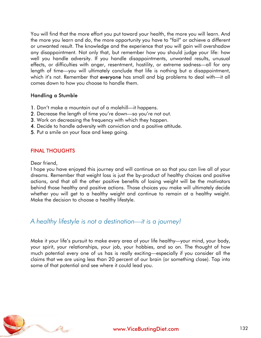You will find that the more effort you put toward your health, the more you will learn. And the more you learn and do, the more opportunity you have to "fail" or achieve a different or unwanted result. The knowledge and the experience that you will gain will overshadow any disappointment. Not only that, but remember how you should judge your life: how well you handle adversity. If you handle disappointments, unwanted results, unusual effects, or difficulties with anger, resentment, hostility, or extreme sadness—all for any length of time—you will ultimately conclude that life is nothing but a disappointment, which it's not. Remember that everyone has small *and* big problems to deal with—it all comes down to how you choose to handle them.

#### Handling a Stumble

- 1. Don't make a mountain out of a molehill—it happens.
- 2. Decrease the length of time you're down—so you're not out.
- 3. Work on decreasing the frequency with which they happen.
- 4. Decide to handle adversity with conviction and a positive attitude.
- 5. Put a smile on your face and keep going.

#### FINAL THOUGHTS

Dear friend,

I hope you have enjoyed this journey and will continue on so that you can live all of your dreams. Remember that weight loss is just the by-product of healthy choices and positive actions, and that all the other positive benefits of losing weight will be the motivators behind those healthy and positive actions. Those choices you make will ultimately decide whether you will get to a healthy weight and continue to remain at a healthy weight. Make the decision to choose a healthy lifestyle.

# *A healthy lifestyle is not a destination—it is a journey!*

Make it your life's pursuit to make every area of your life healthy—your mind, your body, your spirit, your relationships, your job, your hobbies, and so on. The thought of how much potential every one of us has is really exciting—especially if you consider all the claims that we are using less than 20 percent of our brain (or something close). Tap into some of that potential and see where it could lead you.

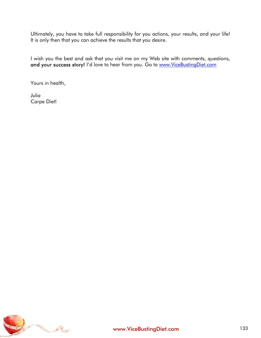Ultimately, you have to take full responsibility for you actions, your results, and your life! It is only then that you can achieve the results that you desire.

I wish you the best and ask that you visit me on my Web site with comments, questions, and your success story! I'd love to hear from you. Go to www.ViceBustingDiet.com

Yours in health,

*Julia*  Carpe Diet!

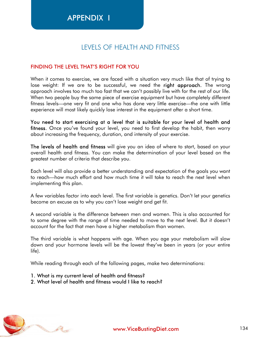APPENDIX I

# LEVELS OF HEALTH AND FITNESS

#### FINDING THE LEVEL THAT'S RIGHT FOR YOU

When it comes to exercise, we are faced with a situation very much like that of trying to lose weight: If we are to be successful, we need the right approach. The wrong approach involves too much too fast that we can't possibly live with for the rest of our life. When two people buy the same piece of exercise equipment but have completely different fitness levels—one very fit and one who has done very little exercise—the one with little experience will most likely quickly lose interest in the equipment after a short time.

You need to start exercising at a level that is suitable for your level of health and fitness. Once you've found your level, you need to first develop the habit, then worry about increasing the frequency, duration, and intensity of your exercise.

The levels of health and fitness will give you an idea of where to start, based on your overall health and fitness. You can make the determination of your level based on the greatest number of criteria that describe you.

Each level will also provide a better understanding and expectation of the goals you want to reach—how much effort and how much time it will take to reach the next level when implementing this plan.

A few variables factor into each level. The first variable is genetics. Don't let your genetics become an excuse as to why you can't lose weight and get fit.

A second variable is the difference between men and women. This is also accounted for to some degree with the range of time needed to move to the next level. But it doesn't account for the fact that men have a higher metabolism than women.

The third variable is what happens with age. When you age your metabolism will slow down and your hormone levels will be the lowest they've been in years (or your entire life).

While reading through each of the following pages, make two determinations:

- 1. What is my current level of health and fitness?
- 2. What level of health and fitness would I like to reach?

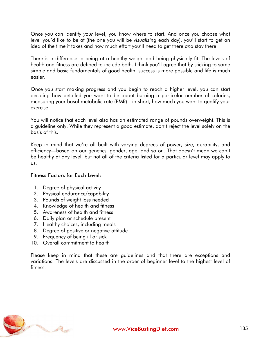Once you can identify *your* level, you know where to start. And once you choose what level you'd like to be at (the one you will be *visualizing* each day), you'll start to get an idea of the time it takes and how much effort you'll need to get there *and* stay there.

There is a difference in being at a healthy weight and being physically fit. The levels of health and fitness are defined to include both. I think you'll agree that by sticking to some simple and basic fundamentals of good health, success is more possible and life is much easier.

Once you start making progress and you begin to reach a higher level, you can start deciding how detailed you want to be about burning a particular number of calories, measuring your basal metabolic rate (BMR)—in short, how much you want to qualify your exercise.

You will notice that each level also has an estimated range of pounds overweight. This is a guideline only. While they represent a good estimate, don't reject the level solely on the basis of this.

Keep in mind that we're all built with varying degrees of power, size, durability, and efficiency—based on our genetics, gender, age, and so on. That doesn't mean we can't be healthy at any level, but not all of the criteria listed for a particular level may apply to us.

#### Fitness Factors for Each Level:

- 1. Degree of physical activity
- 2. Physical endurance/capability
- 3. Pounds of weight loss needed
- 4. Knowledge of health and fitness
- 5. Awareness of health and fitness
- 6. Daily plan or schedule present
- 7. Healthy choices, including meals
- 8. Degree of positive or negative attitude
- 9. Frequency of being ill or sick
- 10. Overall commitment to health

Please keep in mind that these are guidelines and that there are exceptions and variations. The levels are discussed in the order of beginner level to the highest level of fitness.

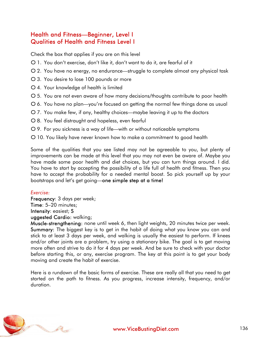# Health and Fitness—Beginner, Level I Qualities of Health and Fitness Level I

Check the box that applies if you are on this level

- o1. You don't exercise, don't like it, don't want to do it, are fearful of it
- o2. You have no energy, no endurance—struggle to complete almost any physical task
- o3. You desire to lose 100 pounds or more
- o4. Your knowledge of health is limited
- o5. You are not even aware of how many decisions/thoughts contribute to poor health
- O 6. You have no plan—you're focused on getting the normal few things done as usual
- o7. You make few, if any, healthy choices—maybe leaving it up to the doctors
- O 8. You feel distraught and hopeless, even fearful
- O 9. For you sickness is a way of life—with or without noticeable symptoms
- o10. You likely have never known how to make a commitment to good health

Some of the qualities that you see listed may not be agreeable to you, but plenty of improvements can be made at this level that you may not even be aware of. Maybe you have made some poor health and diet choices, but you can turn things around. I did. You have to start by accepting the possibility of a life full of health and fitness. Then you have to accept the probability for a needed mental boost. So pick yourself up by your bootstraps and let's get going—one simple step at a time!

#### *Exercise:*

Frequency: 3 days per week; Time: 5–20 minutes; Intensity: easiest; S uggested Cardio: walking;

Muscle-strengthening: none until week 6, then light weights, 20 minutes twice per week. Summary: The biggest key is to get in the habit of doing what you know you can and stick to at least 3 days per week, and walking is usually the easiest to perform. If knees and/or other joints are a problem, try using a stationary bike. The goal is to get moving more often and strive to do it for 4 days per week. And be sure to check with your doctor before starting this, or any, exercise program. The key at this point is to get your body moving and create the habit of exercise.

Here is a rundown of the basic forms of exercise. These are really all that you need to get started on the path to fitness. As you progress, increase intensity, frequency, and/or duration.

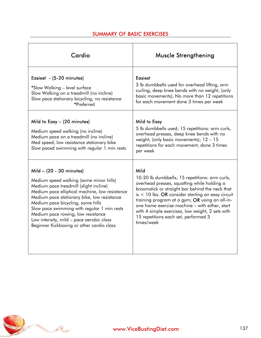# SUMMARY OF *BASIC* EXERCISES

| Cardio                                                                                                                                                                                                     | <b>Muscle Strengthening</b>                                                                                                                                                                                          |
|------------------------------------------------------------------------------------------------------------------------------------------------------------------------------------------------------------|----------------------------------------------------------------------------------------------------------------------------------------------------------------------------------------------------------------------|
| Easiest - (5-20 minutes)                                                                                                                                                                                   | <b>Easiest</b>                                                                                                                                                                                                       |
| *Slow Walking – level surface                                                                                                                                                                              | 3 lb dumbbells used for overhead lifting, arm                                                                                                                                                                        |
| Slow Walking on a treadmill (no incline)                                                                                                                                                                   | curling, deep knee bends with no weight, (only                                                                                                                                                                       |
| Slow pace stationary bicycling, no resistance                                                                                                                                                              | basic movements); No more than 12 repetitions                                                                                                                                                                        |
| *Preferred                                                                                                                                                                                                 | for each movement done 3 times per week                                                                                                                                                                              |
| Mild to Easy $-$ (20 minutes)<br>Medium speed walking (no incline)<br>Medium pace on a treadmill (no incline)<br>Med speed, low resistance stationary bike<br>Slow paced swimming with regular 1 min rests | Mild to Easy<br>5 lb dumbbells used; 15 repetitions: arm curls,<br>overhead presses, deep knee bends with no<br>weight, (only basic movements); $12 - 15$<br>repetitions for each movement, done 3 times<br>per week |
| Mild - (20 - 30 minutes)                                                                                                                                                                                   | Mild                                                                                                                                                                                                                 |
| Medium speed walking (some minor hills)                                                                                                                                                                    | 10-20 lb dumbbells; 15 repetitions: arm curls,                                                                                                                                                                       |
| Medium pace treadmill (slight incline)                                                                                                                                                                     | overhead presses, squatting while holding a                                                                                                                                                                          |
| Medium pace elliptical machine, low resistance                                                                                                                                                             | broomstick or straight bar behind the neck that                                                                                                                                                                      |
| Medium pace stationary bike, low resistance                                                                                                                                                                | $is < 10$ lbs. OR consider starting an easy circuit                                                                                                                                                                  |
| Medium pace bicycling, some hills                                                                                                                                                                          | training program at a gym; OR using an all-in-                                                                                                                                                                       |
| Slow pace swimming with regular 1 min rests                                                                                                                                                                | one home exercise machine - with either, start                                                                                                                                                                       |
| Medium pace rowing, low resistance                                                                                                                                                                         | with 4 simple exercises, low weight, 2 sets with                                                                                                                                                                     |
| Low intensity, mild - pace aerobic class                                                                                                                                                                   | 15 repetitions each set, performed 3                                                                                                                                                                                 |
| Beginner Kickboxing or other cardio class                                                                                                                                                                  | times/week                                                                                                                                                                                                           |

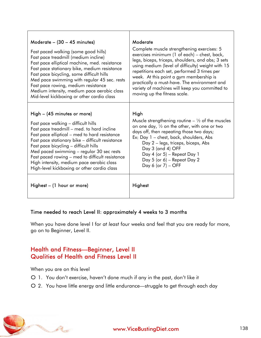| Moderate $- (30 - 45 \text{ minutes})$           | Moderate                                                    |
|--------------------------------------------------|-------------------------------------------------------------|
| Fast paced walking (some good hills)             | Complete muscle strengthening exercises: 5                  |
| Fast pace treadmill (medium incline)             | exercises minimum (1 of each) - chest, back,                |
| Fast pace elliptical machine, med. resistance    | legs, biceps, triceps, shoulders, and abs; 3 sets           |
| Fast pace stationary bike, medium resistance     | using medium (level of difficulty) weight with 15           |
| Fast pace bicycling, some difficult hills        | repetitions each set, performed 3 times per                 |
| Med pace swimming with regular 45 sec. rests     | week. At this point a gym membership is                     |
| Fast pace rowing, medium resistance              | practically a must-have. The environment and                |
| Medium intensity, medium pace aerobic class      | variety of machines will keep you committed to              |
| Mid-level kickboxing or other cardio class       | moving up the fitness scale.                                |
| $High - (45 minutes or more)$                    | High                                                        |
| Fast pace walking – difficult hills              | Muscle strengthening routine $- \frac{1}{2}$ of the muscles |
| Fast pace treadmill – med. to hard incline       | on one day, $\frac{1}{2}$ on the other, with one or two     |
| Fast pace elliptical – med to hard resistance    | days off, then repeating those two days;                    |
| Fast pace stationary bike - difficult resistance | Ex: Day 1 – chest, back, shoulders, Abs                     |
| Fast pace bicycling - difficult hills            | Day 2 - legs, triceps, biceps, Abs                          |
| Med paced swimming - regular 30 sec rests        | Day 3 (and 4) OFF                                           |
| Fast paced rowing – med to difficult resistance  | Day 4 (or 5) - Repeat Day 1                                 |
| High intensity, medium pace aerobic class        | Day 5 (or $6$ ) – Repeat Day 2                              |
| High-level kickboxing or other cardio class      | Day 6 (or $7$ ) – OFF                                       |
| Highest - (1 hour or more)                       | <b>Highest</b>                                              |

#### Time needed to reach Level II: approximately 4 weeks to 3 months

When you have done level I for *at least* four weeks and feel that you are ready for more, go on to Beginner, Level II.

# Health and Fitness—Beginner, Level II Qualities of Health and Fitness Level II

When you are on this level

- o 1. You don't exercise, haven't done much if any in the past, don't like it
- o 2. You have little energy and little endurance—struggle to get through each day

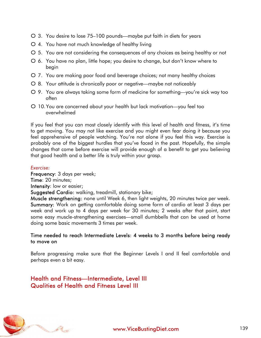- o 3. You desire to lose 75–100 pounds—maybe put faith in diets for years
- o 4. You have not much knowledge of healthy living
- o 5. You are not considering the consequences of any choices as being healthy or not
- o 6. You have no plan, little hope; you desire to change, but don't know where to begin
- o 7. You are making poor food and beverage choices; not many healthy choices
- o 8. Your attitude is chronically poor or negative—maybe not noticeably
- o 9. You are always taking some form of medicine for something—you're sick way too often
- o 10. You are concerned about your health but lack motivation—you feel too overwhelmed

If you feel that you can most closely identify with this level of health and fitness, it's time to get moving. You may not like exercise and you might even fear doing it because you feel apprehensive of people watching. You're not alone if you feel this way. Exercise is probably one of the biggest hurdles that you've faced in the past. Hopefully, the simple changes that come before exercise will provide enough of a benefit to get you believing that good health and a better life is truly within your grasp.

#### *Exercise:*

Frequency: 3 days per week; Time: 20 minutes;

Intensity: low or easier;

Suggested Cardio: walking, treadmill, stationary bike;

Muscle strengthening: none until Week 6, then light weights, 20 minutes twice per week. Summary: Work on getting comfortable doing some form of cardio at least 3 days per week and work up to 4 days per week for 30 minutes; 2 weeks after that point, start some easy muscle-strengthening exercises—small dumbbells that can be used at home doing some basic movements 3 times per week.

#### Time needed to reach Intermediate Levels: 4 weeks to 3 months before being ready to move on

Before progressing make sure that the Beginner Levels I and II feel comfortable and perhaps even a bit easy.

Health and Fitness—Intermediate, Level III Qualities of Health and Fitness Level III

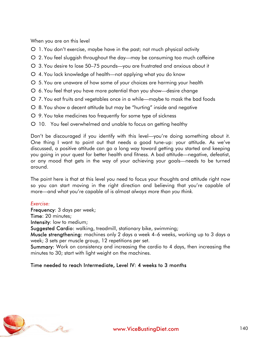When you are on this level

- o 1. You don't exercise, maybe have in the past; not much physical activity
- o 2. You feel sluggish throughout the day—may be consuming too much caffeine
- o 3. You desire to lose 50–75 pounds—you are frustrated and anxious about it
- o 4. You lack knowledge of health—not applying what you do know
- o 5. You are unaware of how some of your choices are harming your health
- o 6. You feel that you have more potential than you show—desire change
- o 7. You eat fruits and vegetables once in a while—maybe to mask the bad foods
- o 8. You show a decent attitude but may be "hurting" inside and negative
- o 9. You take medicines too frequently for some type of sickness
- o 10. You feel overwhelmed and unable to focus on getting healthy

Don't be discouraged if you identify with this level—you're doing something about it. One thing I want to point out that needs a good tune-up: your attitude. As we've discussed, a positive attitude can go a long way toward getting you started and keeping you going in your quest for better health and fitness. A bad attitude—negative, defeatist, or any mood that gets in the way of your achieving your goals—needs to be turned around.

The point here is that at this level you need to focus your thoughts and attitude right now so you can start moving in the right direction and believing that you're capable of more—and what you're capable of is almost *always more than you think.*

#### *Exercise:*

Frequency: 3 days per week;

Time: 20 minutes;

Intensity: low to medium;

Suggested Cardio: walking, treadmill, stationary bike, swimming;

Muscle strengthening: machines only 2 days a week 4–6 weeks, working up to 3 days a week; 3 sets per muscle group, 12 repetitions per set.

Summary: Work on consistency and increasing the cardio to 4 days, then increasing the minutes to 30; start with light weight on the machines.

#### Time needed to reach Intermediate, Level IV: 4 weeks to 3 months

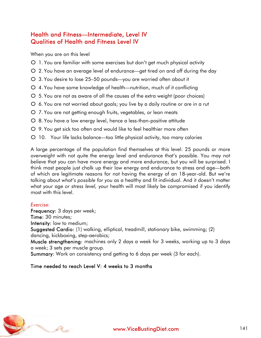# Health and Fitness—Intermediate, Level IV Qualities of Health and Fitness Level IV

When you are on this level

- o 1. You are familiar with some exercises but don't get much physical activity
- o 2. You have an average level of endurance—get tired on and off during the day
- o 3. You desire to lose 25–50 pounds—you are worried often about it
- o 4. You have some knowledge of health—nutrition, much of it conflicting
- o 5. You are not as aware of all the causes of the extra weight (poor choices)
- o 6. You are not worried about goals; you live by a daily routine or are in a rut
- o 7. You are not getting enough fruits, vegetables, or lean meats
- o 8. You have a low energy level, hence a less-than-positive attitude
- o 9. You get sick too often and would like to feel healthier more often
- o 10. Your life lacks balance—too little physical activity, too many calories

A large percentage of the population find themselves at this level: 25 pounds or more overweight with not quite the energy level and endurance that's possible. You may not *believe* that you can have more energy and more endurance, but you will be surprised. I think most people just chalk up their low energy and endurance to stress and age—both of which are legitimate reasons for not having the energy of an 18-year-old. But we're talking about *what's possible for you* as a healthy and fit individual. And it doesn't matter what your age *or stress level,* your health will most likely be compromised if you identify most with this level.

#### *Exercise:*

Frequency: 3 days per week; Time: 30 minutes; Intensity: low to medium; Suggested Cardio: (1) walking, elliptical, treadmill, stationary bike, swimming; (2) dancing, kickboxing, step-aerobics; Muscle strengthening: machines only 2 days a week for 3 weeks, working up to 3 days a week; 3 sets per muscle group.

Summary: Work on consistency and getting to 6 days per week (3 for each).

#### Time needed to reach Level V: 4 weeks to 3 months

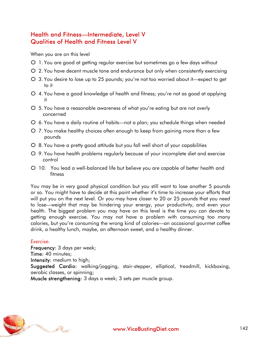# Health and Fitness—Intermediate, Level V Qualities of Health and Fitness Level V

When you are on this level

- o 1. You are good at getting regular exercise but sometimes go a few days without
- o 2. You have decent muscle tone and endurance but only when consistently exercising
- o 3. You desire to lose up to 25 pounds; you're not too worried about it—expect to get to it
- o 4. You have a good knowledge of health and fitness; you're not as good at applying it
- o 5. You have a reasonable awareness of what you're eating but are not overly concerned
- o 6. You have a daily routine of habits—not a plan; you schedule things when needed
- o 7. You make healthy choices often enough to keep from gaining more than a few pounds
- o 8. You have a pretty good attitude but you fall well short of your capabilities
- o 9. You have health problems regularly because of your incomplete diet and exercise control
- o 10. You lead a well-balanced life but believe you are capable of better health and fitness

You may be in very good physical condition but you still want to lose another 5 pounds or so. You might have to decide at this point whether it's time to increase your efforts that will put you on the next level. Or you may have closer to 20 or 25 pounds that you *need* to lose—weight that may be hindering your energy, your productivity, and even your health. The biggest problem you may have on this level is the time you can devote to getting enough exercise. You may not have a problem with consuming too many calories, but you're consuming the wrong kind of calories—an occasional gourmet coffee drink, a healthy lunch, maybe, an afternoon sweet, and a healthy dinner.

#### *Exercise:*

Frequency: 3 days per week; **Time: 40 minutes;** Intensity: medium to high; Suggested Cardio: walking/jogging, stair-stepper, elliptical, treadmill, kickboxing, aerobic classes, or spinning; Muscle strengthening: 3 days a week; 3 sets per muscle group.

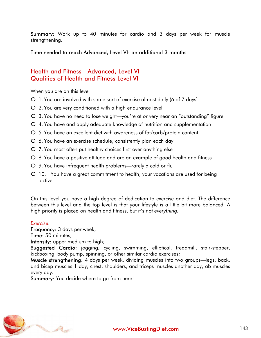Summary: Work up to 40 minutes for cardio and 3 days per week for muscle strengthening.

#### Time needed to reach Advanced, Level VI: an additional 3 months

## Health and Fitness—Advanced, Level VI Qualities of Health and Fitness Level VI

When you are on this level

- o 1. You are involved with some sort of exercise almost daily (6 of 7 days)
- o 2. You are very conditioned with a high endurance level
- o 3. You have no need to lose weight—you're at or very near an "outstanding" figure
- o 4. You have and apply adequate knowledge of nutrition and supplementation
- o 5. You have an excellent diet with awareness of fat/carb/protein content
- o 6. You have an exercise schedule; consistently plan each day
- o 7. You most often put healthy choices first over anything else
- o 8. You have a positive attitude and are an example of good health and fitness
- o 9. You have infrequent health problems—rarely a cold or flu
- o 10. You have a great commitment to health; your vacations are used for being active

On this level you have a high degree of dedication to exercise and diet. The difference between this level and the top level is that your lifestyle is a little bit more balanced. A high priority is placed on health and fitness, but it's not *everything.*

#### *Exercise:*

Frequency: 3 days per week;

Time: 50 minutes;

Intensity: upper medium to high;

Suggested Cardio: jogging, cycling, swimming, elliptical, treadmill, stair-stepper, kickboxing, body pump, spinning, or other similar cardio exercises;

Muscle strengthening: 4 days per week, dividing muscles into two groups—legs, back, and bicep muscles 1 day; chest, shoulders, and triceps muscles another day; ab muscles every day.

Summary: You decide where to go from here!

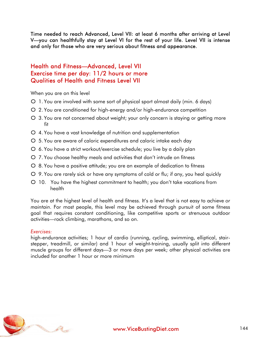Time needed to reach Advanced, Level VII: at least 6 months after arriving at Level V—you can healthfully stay at Level VI for the rest of your life. Level VII is intense and only for those who are very serious about fitness and appearance.

## Health and Fitness—Advanced, Level VII Exercise time per day: 11/2 hours or more Qualities of Health and Fitness Level VII

When you are on this level

- o 1. You are involved with some sort of physical sport almost daily (min. 6 days)
- o 2. You are conditioned for high-energy and/or high-endurance competition
- o 3. You are not concerned about weight; your only concern is staying or getting more fit
- o 4. You have a vast knowledge of nutrition and supplementation
- o 5. You are aware of caloric expenditures and caloric intake each day
- o 6. You have a strict workout/exercise schedule; you live by a daily plan
- o 7. You choose healthy meals and activities that don't intrude on fitness
- o 8. You have a positive attitude; you are an example of dedication to fitness
- o 9. You are rarely sick or have any symptoms of cold or flu; if any, you heal quickly
- o 10. You have the highest commitment to health; you don't take vacations from health

You are at the highest level of health and fitness. It's a level that is not easy to achieve *or maintain*. For most people, this level may be achieved through pursuit of some fitness goal that requires constant conditioning, like competitive sports or strenuous outdoor activities—rock climbing, marathons, and so on.

#### *Exercises:*

high-endurance activities; 1 hour of cardio (running, cycling, swimming, elliptical, stairstepper, treadmill, or similar) and 1 hour of weight-training, usually split into different muscle groups for different days—3 or more days per week; other physical activities are included for another 1 hour or more minimum

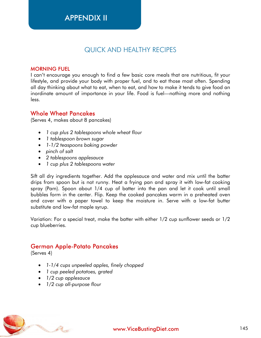APPENDIX II

# QUICK AND HEALTHY RECIPES

#### MORNING FUEL

I can't encourage you enough to find a few basic core meals that are nutritious, fit your lifestyle, and provide your body with proper fuel, and to eat those most often. Spending all day thinking about what to eat, when to eat, and how to make it tends to give food an inordinate amount of importance in your life. Food is fuel—nothing more and nothing less.

#### Whole Wheat Pancakes

(Serves 4, makes about 8 pancakes)

- *1 cup plus 2 tablespoons whole wheat flour*
- *1 tablespoon brown sugar*
- *1-1/2 teaspoons baking powder*
- *pinch of salt*
- *2 tablespoons applesauce*
- *1 cup plus 2 tablespoons water*

Sift all dry ingredients together. Add the applesauce and water and mix until the batter drips from spoon but is not runny. Heat a frying pan and spray it with low-fat cooking spray (Pam). Spoon about 1/4 cup of batter into the pan and let it cook until small bubbles form in the center. Flip. Keep the cooked pancakes warm in a preheated oven and cover with a paper towel to keep the moisture in. Serve with a low-fat butter substitute and low-fat maple syrup.

Variation: For a special treat, make the batter with either 1/2 cup sunflower seeds or 1/2 cup blueberries.

# German Apple-Potato Pancakes

(Serves 4)

- *1-1/4 cups unpeeled apples, finely chopped*
- *1 cup peeled potatoes, grated*
- *1/2 cup applesauce*
- *1/2 cup all-purpose flour*

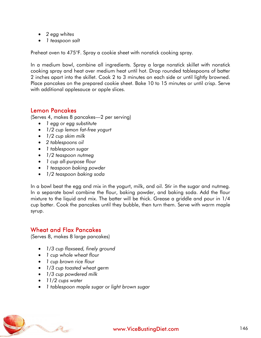- *2 egg whites*
- *1 teaspoon salt*

Preheat oven to 475°F. Spray a cookie sheet with nonstick cooking spray.

In a medium bowl, combine all ingredients. Spray a large nonstick skillet with nonstick cooking spray and heat over medium heat until hot. Drop rounded tablespoons of batter 2 inches apart into the skillet. Cook 2 to 3 minutes on each side or until lightly browned. Place pancakes on the prepared cookie sheet. Bake 10 to 15 minutes or until crisp. Serve with additional applesauce or apple slices.

### Lemon Pancakes

(Serves 4, makes 8 pancakes—2 per serving)

- *1 egg or egg substitute*
- *1/2 cup lemon fat-free yogurt*
- *1/2 cup skim milk*
- *2 tablespoons oil*
- *1 tablespoon sugar*
- *1/2 teaspoon nutmeg*
- *1 cup all-purpose flour*
- *1 teaspoon baking powder*
- *1/2 teaspoon baking soda*

In a bowl beat the egg and mix in the yogurt, milk, and oil. Stir in the sugar and nutmeg. In a separate bowl combine the flour, baking powder, and baking soda. Add the flour mixture to the liquid and mix. The batter will be thick. Grease a griddle and pour in 1/4 cup batter. Cook the pancakes until they bubble, then turn them. Serve with warm maple syrup.

### Wheat and Flax Pancakes

(Serves 8, makes 8 large pancakes)

- *1/3 cup flaxseed, finely ground*
- *1 cup whole wheat flour*
- *1 cup brown rice flour*
- *1/3 cup toasted wheat germ*
- *1/3 cup powdered milk*
- *11/2 cups water*
- *1 tablespoon maple sugar or light brown sugar*

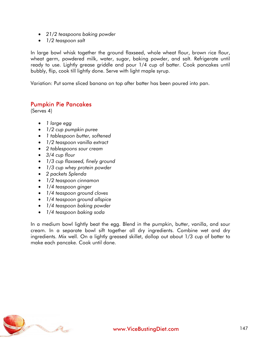- *21/2 teaspoons baking powder*
- *1/2 teaspoon salt*

In large bowl whisk together the ground flaxseed, whole wheat flour, brown rice flour, wheat germ, powdered milk, water, sugar, baking powder, and salt. Refrigerate until ready to use. Lightly grease griddle and pour 1/4 cup of batter. Cook pancakes until bubbly, flip, cook till lightly done. Serve with light maple syrup.

Variation: Put some sliced banana on top after batter has been poured into pan.

#### Pumpkin Pie Pancakes

(Serves 4)

- *1 large egg*
- *1/2 cup pumpkin puree*
- *1 tablespoon butter, softened*
- *1/2 teaspoon vanilla extract*
- *2 tablespoons sour cream*
- *3/4 cup flour*
- *1/3 cup flaxseed, finely ground*
- *1/3 cup whey protein powder*
- *2 packets Splenda*
- *1/2 teaspoon cinnamon*
- *1/4 teaspoon ginger*
- *1/4 teaspoon ground cloves*
- *1/4 teaspoon ground allspice*
- *1/4 teaspoon baking powder*
- *1/4 teaspoon baking soda*

In a medium bowl lightly beat the egg. Blend in the pumpkin, butter, vanilla, and sour cream. In a separate bowl sift together all dry ingredients. Combine wet and dry ingredients. Mix well. On a lightly greased skillet, dollop out about 1/3 cup of batter to make each pancake. Cook until done.

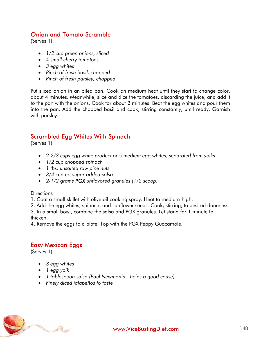# Onion and Tomato Scramble

(Serves 1)

- *1/2 cup green onions, sliced*
- *4 small cherry tomatoes*
- *3 egg whites*
- *Pinch of fresh basil, chopped*
- *Pinch of fresh parsley, chopped*

Put sliced onion in an oiled pan. Cook on medium heat until they start to change color, about 4 minutes. Meanwhile, slice and dice the tomatoes, discarding the juice, and add it to the pan with the onions. Cook for about 2 minutes. Beat the egg whites and pour them into the pan. Add the chopped basil and cook, stirring constantly, until ready. Garnish with parsley.

## Scrambled Egg Whites With Spinach

(Serves 1)

- *2-2/3 cups egg white product or 5 medium egg whites, separated from yolks*
- *1/2 cup chopped spinach*
- *1 tbs. unsalted raw pine nuts*
- *3/4 cup no-sugar-added salsa*
- *2-1/2 grams PGX unflavored granules (1/2 scoop)*

#### **Directions**

1. Coat a small skillet with olive oil cooking spray. Heat to medium-high.

2. Add the egg whites, spinach, and sunflower seeds. Cook, stirring, to desired doneness.

3. In a small bowl, combine the salsa and PGX granules. Let stand for 1 minute to thicken.

4. Remove the eggs to a plate. Top with the PGX Peppy Guacamole.

# Easy Mexican Eggs

(Serves 1)

- *3 egg whites*
- *1 egg yolk*
- *1 tablespoon salsa (Paul Newman's—helps a good cause)*
- *Finely diced jalapeños to taste*

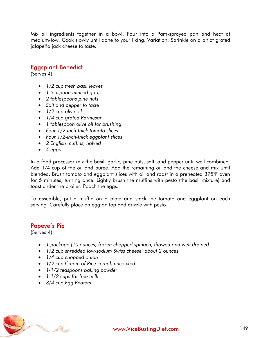Mix all ingredients together in a bowl. Pour into a Pam-sprayed pan and heat at medium-low. Cook slowly until done to your liking. Variation: Sprinkle on a bit of grated jalapeño jack cheese to taste.

## Eggsplant Benedict

(Serves 4)

- *1/2 cup fresh basil leaves*
- *1 teaspoon minced garlic*
- *2 tablespoons pine nuts*
- *Salt and pepper to taste*
- *1/2 cup olive oil*
- *1/4 cup grated Parmesan*
- *1 tablespoon olive oil for brushing*
- *Four 1/2-inch-thick tomato slices*
- *Four 1/2-inch-thick eggplant slices*
- *2 English muffins, halved*
- *4 eggs*

In a food processor mix the basil, garlic, pine nuts, salt, and pepper until well combined. Add 1/4 cup of the oil and puree. Add the remaining oil and the cheese and mix until blended. Brush tomato and eggplant slices with oil and roast in a preheated 375°F oven for 5 minutes, turning once. Lightly brush the muffins with pesto (the basil mixture) and toast under the broiler. Poach the eggs.

To assemble, put a muffin on a plate and stack the tomato and eggplant on each serving. Carefully place an egg on top and drizzle with pesto.

### Popeye's Pie

(Serves 4)

- *1 package (10 ounces) frozen chopped spinach, thawed and well drained*
- *1/2 cup shredded low-sodium Swiss cheese, about 2 ounces*
- *1/4 cup chopped onion*
- *1/2 cup Cream of Rice cereal, uncooked*
- *1-1/2 teaspoons baking powder*
- *1-1/2 cups fat-free milk*
- *3/4 cup Egg Beaters*

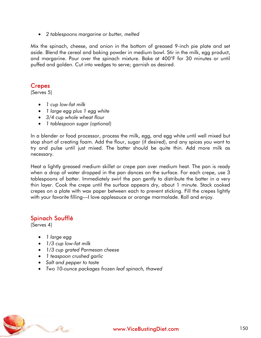• *2 tablespoons margarine or butter, melted* 

Mix the spinach, cheese, and onion in the bottom of greased 9-inch pie plate and set aside. Blend the cereal and baking powder in medium bowl. Stir in the milk, egg product, and margarine. Pour over the spinach mixture. Bake at 400°F for 30 minutes or until puffed and golden. Cut into wedges to serve; garnish as desired.

### **Crepes**

(Serves 5)

- *1 cup low-fat milk*
- *1 large egg plus 1 egg white*
- *3/4 cup whole wheat flour*
- *1 tablespoon sugar (optional)*

In a blender or food processor, process the milk, egg, and egg white until well mixed but stop short of creating foam. Add the flour, sugar (if desired), and any spices you want to try and pulse until just mixed. The batter should be quite thin. Add more milk as necessary.

Heat a lightly greased medium skillet or crepe pan over medium heat. The pan is ready when a drop of water dropped in the pan dances on the surface. For each crepe, use 3 tablespoons of batter. Immediately swirl the pan gently to distribute the batter in a very thin layer. Cook the crepe until the surface appears dry, about 1 minute. Stack cooked crepes on a plate with wax paper between each to prevent sticking. Fill the crepes lightly with your favorite filling—I love applesauce or orange marmalade. Roll and enjoy.

### Spinach Soufflé

(Serves 4)

- *1 large egg*
- *1/3 cup low-fat milk*
- *1/3 cup grated Parmesan cheese*
- *1 teaspoon crushed garlic*
- *Salt and pepper to taste*
- *Two 10-ounce packages frozen leaf spinach, thawed*

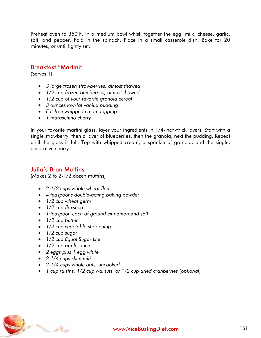Preheat oven to 350°F. In a medium bowl whisk together the egg, milk, cheese, garlic, salt, and pepper. Fold in the spinach. Place in a small casserole dish. Bake for 20 minutes, or until lightly set.

### Breakfast "Martini"

(Serves 1)

- *3 large frozen strawberries, almost thawed*
- *1/2 cup frozen blueberries, almost thawed*
- *1/2 cup of your favorite granola cereal*
- *3 ounces low-fat vanilla pudding*
- *Fat-free whipped cream topping*
- *1 maraschino cherry*

In your favorite martini glass, layer your ingredients in 1/4-inch-thick layers. Start with a single strawberry, then a layer of blueberries, then the granola, next the pudding. Repeat until the glass is full. Top with whipped cream, a sprinkle of granola, and the single, decorative cherry.

#### Julia's Bran Muffins

(Makes 2 to 2-1/2 dozen muffins)

- *2-1/2 cups whole wheat flour*
- *4 teaspoons double-acting baking powder*
- *1/2 cup wheat germ*
- *1/2 cup flaxseed*
- *1 teaspoon each of ground cinnamon and salt*
- *1/2 cup butter*
- *1/4 cup vegetable shortening*
- *1/2 cup sugar*
- *1/2 cup Equal Sugar Lite*
- *1/2 cup applesauce*
- *2 eggs plus 1 egg white*
- *2-1/4 cups skim milk*
- *2-1/4 cups whole oats, uncooked*
- *1 cup raisins, 1/2 cup walnuts, or 1/2 cup dried cranberries (optional)*

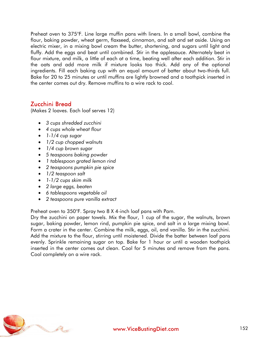Preheat oven to 375°F. Line large muffin pans with liners. In a small bowl, combine the flour, baking powder, wheat germ, flaxseed, cinnamon, and salt and set aside. Using an electric mixer, in a mixing bowl cream the butter, shortening, and sugars until light and fluffy. Add the eggs and beat until combined. Stir in the applesauce. Alternately beat in flour mixture, and milk, a little of each at a time, beating well after each addition. Stir in the oats and add more milk if mixture looks too thick. Add any of the optional ingredients. Fill each baking cup with an equal amount of batter about two-thirds full. Bake for 20 to 25 minutes or until muffins are lightly browned and a toothpick inserted in the center comes out dry. Remove muffins to a wire rack to cool.

## Zucchini Bread

(Makes 2 loaves. Each loaf serves 12)

- *3 cups shredded zucchini*
- *4 cups whole wheat flour*
- *1-1/4 cup sugar*
- *1/2 cup chopped walnuts*
- *1/4 cup brown sugar*
- *5 teaspoons baking powder*
- *1 tablespoon grated lemon rind*
- *2 teaspoons pumpkin pie spice*
- *1/2 teaspoon salt*
- *1-1/2 cups skim milk*
- *2 large eggs, beaten*
- *6 tablespoons vegetable oil*
- *2 teaspoons pure vanilla extract*

Preheat oven to 350°F. Spray two 8 X 4-inch loaf pans with Pam.

Dry the zucchini on paper towels. Mix the flour, 1 cup of the sugar, the walnuts, brown sugar, baking powder, lemon rind, pumpkin pie spice, and salt in a large mixing bowl. Form a crater in the center. Combine the milk, eggs, oil, and vanilla. Stir in the zucchini. Add the mixture to the flour, stirring until moistened. Divide the batter between loaf pans evenly. Sprinkle remaining sugar on top. Bake for 1 hour or until a wooden toothpick inserted in the center comes out clean. Cool for 5 minutes and remove from the pans. Cool completely on a wire rack.

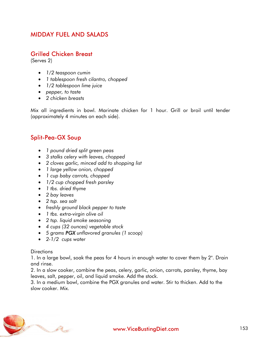# MIDDAY FUEL AND SALADS

## Grilled Chicken Breast

(Serves 2)

- *1/2 teaspoon cumin*
- *1 tablespoon fresh cilantro, chopped*
- *1/2 tablespoon lime juice*
- *pepper, to taste*
- *2 chicken breasts*

Mix all ingredients in bowl. Marinate chicken for 1 hour. Grill or broil until tender (approximately 4 minutes on each side).

## Split-Pea-GX Soup

- *1 pound dried split green peas*
- *3 stalks celery with leaves, chopped*
- *2 cloves garlic, minced add to shopping list*
- *1 large yellow onion, chopped*
- *1 cup baby carrots, chopped*
- *1/2 cup chopped fresh parsley*
- *1 tbs. dried thyme*
- *2 bay leaves*
- *2 tsp. sea salt*
- *freshly ground black pepper to taste*
- *1 tbs. extra-virgin olive oil*
- *2 tsp. liquid smoke seasoning*
- *4 cups (32 ounces) vegetable stock*
- *5 grams PGX unflavored granules (1 scoop)*
- *2-1/2 cups water*

#### **Directions**

1. In a large bowl, soak the peas for 4 hours in enough water to cover them by 2". Drain and rinse.

2. In a slow cooker, combine the peas, celery, garlic, onion, carrots, parsley, thyme, bay leaves, salt, pepper, oil, and liquid smoke. Add the stock.

3. In a medium bowl, combine the PGX granules and water. Stir to thicken. Add to the slow cooker. Mix.

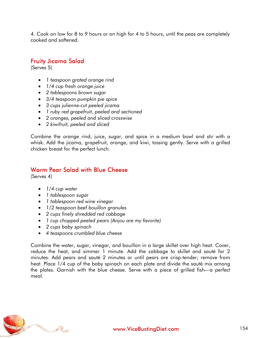4. Cook on low for 8 to 9 hours or on high for 4 to 5 hours, until the peas are completely cooked and softened.

### Fruity Jicama Salad

(Serves 5)

- *1 teaspoon grated orange rind*
- *1/4 cup fresh orange juice*
- *2 tablespoons brown sugar*
- *3/4 teaspoon pumpkin pie spice*
- *3 cups julienne-cut peeled jicama*
- *1 ruby red grapefruit, peeled and sectioned*
- *2 oranges, peeled and sliced crosswise*
- *2 kiwifruit, peeled and sliced*

Combine the orange rind, juice, sugar, and spice in a medium bowl and stir with a whisk. Add the jicama, grapefruit, orange, and kiwi, tossing gently. Serve with a grilled chicken breast for the perfect lunch.

#### Warm Pear Salad with Blue Cheese

(Serves 4)

- *1/4 cup water*
- *1 tablespoon sugar*
- *1 tablespoon red wine vinegar*
- *1/2 teaspoon beef bouillon granules*
- *2 cups finely shredded red cabbage*
- *1 cup chopped peeled pears (Anjou are my favorite)*
- *2 cups baby spinach*
- *4 teaspoons crumbled blue cheese*

Combine the water, sugar, vinegar, and bouillon in a large skillet over high heat. Cover, reduce the heat, and simmer 1 minute. Add the cabbage to skillet and sauté for 2 minutes. Add pears and sauté 2 minutes or until pears are crisp-tender; remove from heat. Place 1/4 cup of the baby spinach on each plate and divide the sauté mix among the plates. Garnish with the blue cheese. Serve with a piece of grilled fish—a perfect meal.

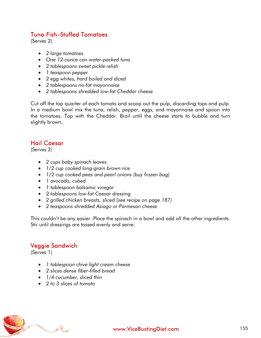# Tuna Fish–Stuffed Tomatoes

(Serves 2)

- *2 large tomatoes*
- *One 12-ounce can water-packed tuna*
- *2 tablespoons sweet pickle relish*
- *1 teaspoon pepper*
- *2 egg whites, hard boiled and diced*
- *2 tablespoons no-fat mayonnaise*
- *2 tablespoons shredded low-fat Cheddar cheese*

Cut off the top quarter of each tomato and scoop out the pulp, discarding tops and pulp. In a medium bowl mix the tuna, relish, pepper, eggs, and mayonnaise and spoon into the tomatoes. Top with the Cheddar. Broil until the cheese starts to bubble and turn slightly brown.

#### Hail Caesar

(Serves 2)

- *2 cups baby spinach leaves*
- *1/2 cup cooked long-grain brown rice*
- *1/2 cup cooked peas and pearl onions (buy frozen bag)*
- *1 avocado, cubed*
- *1 tablespoon balsamic vinegar*
- *2 tablespoons low-fat Caesar dressing*
- *2 grilled chicken breasts, sliced (see recipe on page 187)*
- *2 teaspoons shredded Asiago or Parmesan cheese*

This couldn't be any easier. Place the spinach in a bowl and add all the other ingredients. Stir until dressings are tossed evenly and serve.

### Veggie Sandwich

(Serves 1)

- *1 tablespoon chive light cream cheese*
- *2 slices dense fiber-filled bread*
- *1/4 cucumber, sliced thin*
- *2 to 3 slices of tomato*

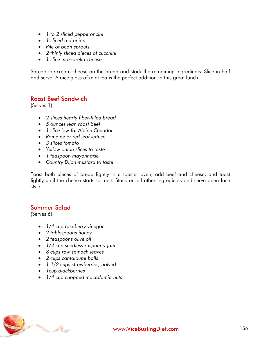- *1 to 2 sliced pepperoncini*
- *1 sliced red onion*
- *Pile of bean sprouts*
- *2 thinly sliced pieces of zucchini*
- *1 slice mozzarella cheese*

Spread the cream cheese on the bread and stack the remaining ingredients. Slice in half and serve. A nice glass of mint tea is the perfect addition to this great lunch.

#### Roast Beef Sandwich

(Serves 1)

- *2 slices hearty fiber-filled bread*
- *5 ounces lean roast beef*
- *1 slice low-fat Alpine Cheddar*
- *Romaine or red leaf lettuce*
- *3 slices tomato*
- *Yellow onion slices to taste*
- *1 teaspoon mayonnaise*
- *Country Dijon mustard to taste*

Toast both pieces of bread lightly in a toaster oven, add beef and cheese, and toast lightly until the cheese starts to melt. Stack on all other ingredients and serve open-face style.

# Summer Salad

(Serves 6)

- *1/4 cup raspberry vinegar*
- *2 tablespoons honey*
- *2 teaspoons olive oil*
- *1/4 cup seedless raspberry jam*
- *8 cups raw spinach leaves*
- *2 cups cantaloupe balls*
- *1-1/2 cups strawberries, halved*
- *1cup blackberries*
- *1/4 cup chopped macadamia nuts*

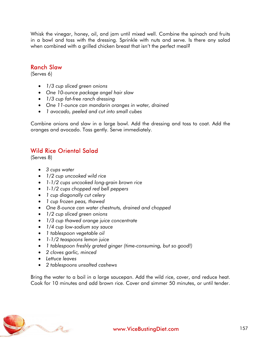Whisk the vinegar, honey, oil, and jam until mixed well. Combine the spinach and fruits in a bowl and toss with the dressing. Sprinkle with nuts and serve. Is there any salad when combined with a grilled chicken breast that isn't the perfect meal?

# Ranch Slaw

(Serves 6)

- *1/3 cup sliced green onions*
- *One 10-ounce package angel hair slaw*
- *1/3 cup fat-free ranch dressing*
- *One 11-ounce can mandarin oranges in water, drained*
- *1 avocado, peeled and cut into small cubes*

Combine onions and slaw in a large bowl. Add the dressing and toss to coat. Add the oranges and avocado. Toss gently. Serve immediately.

# Wild Rice Oriental Salad

(Serves 8)

- *3 cups water*
- *1/2 cup uncooked wild rice*
- *1-1/2 cups uncooked long-grain brown rice*
- *1-1/2 cups chopped red bell peppers*
- *1 cup diagonally cut celery*
- *1 cup frozen peas, thawed*
- *One 8-ounce can water chestnuts, drained and chopped*
- *1/2 cup sliced green onions*
- *1/3 cup thawed orange juice concentrate*
- *1/4 cup low-sodium soy sauce*
- *1 tablespoon vegetable oil*
- *1-1/2 teaspoons lemon juice*
- *1 tablespoon freshly grated ginger (time-consuming, but so good!)*
- *2 cloves garlic, minced*
- *Lettuce leaves*
- *2 tablespoons unsalted cashews*

Bring the water to a boil in a large saucepan. Add the wild rice, cover, and reduce heat. Cook for 10 minutes and add brown rice. Cover and simmer 50 minutes, or until tender.

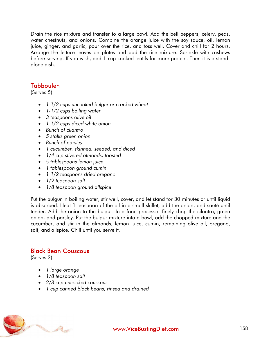Drain the rice mixture and transfer to a large bowl. Add the bell peppers, celery, peas, water chestnuts, and onions. Combine the orange juice with the soy sauce, oil, lemon juice, ginger, and garlic, pour over the rice, and toss well. Cover and chill for 2 hours. Arrange the lettuce leaves on plates and add the rice mixture. Sprinkle with cashews before serving. If you wish, add 1 cup cooked lentils for more protein. Then it is a standalone dish.

# Tabbouleh

(Serves 5)

- *1-1/2 cups uncooked bulgur or cracked wheat*
- *1-1/2 cups boiling water*
- *3 teaspoons olive oil*
- *1-1/2 cups diced white onion*
- *Bunch of cilantro*
- *5 stalks green onion*
- *Bunch of parsley*
- *1 cucumber, skinned, seeded, and diced*
- *1/4 cup slivered almonds, toasted*
- *5 tablespoons lemon juice*
- *1 tablespoon ground cumin*
- *1-1/2 teaspoons dried oregano*
- *1/2 teaspoon salt*
- *1/8 teaspoon ground allspice*

Put the bulgur in boiling water, stir well, cover, and let stand for 30 minutes or until liquid is absorbed. Heat 1 teaspoon of the oil in a small skillet, add the onion, and sauté until tender. Add the onion to the bulgur. In a food processor finely chop the cilantro, green onion, and parsley. Put the bulgur mixture into a bowl, add the chopped mixture and the cucumber, and stir in the almonds, lemon juice, cumin, remaining olive oil, oregano, salt, and allspice. Chill until you serve it.

### Black Bean Couscous

(Serves 2)

- *1 large orange*
- *1/8 teaspoon salt*
- *2/3 cup uncooked couscous*
- *1 cup canned black beans, rinsed and drained*

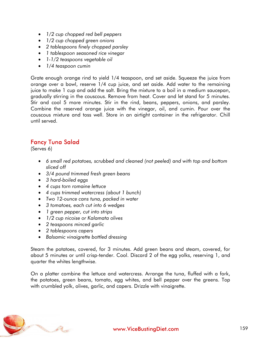- *1/2 cup chopped red bell peppers*
- *1/2 cup chopped green onions*
- *2 tablespoons finely chopped parsley*
- *1 tablespoon seasoned rice vinegar*
- *1-1/2 teaspoons vegetable oil*
- *1/4 teaspoon cumin*

Grate enough orange rind to yield 1/4 teaspoon, and set aside. Squeeze the juice from orange over a bowl, reserve 1/4 cup juice, and set aside. Add water to the remaining juice to make 1 cup and add the salt. Bring the mixture to a boil in a medium saucepan, gradually stirring in the couscous. Remove from heat. Cover and let stand for 5 minutes. Stir and cool 5 more minutes. Stir in the rind, beans, peppers, onions, and parsley. Combine the reserved orange juice with the vinegar, oil, and cumin. Pour over the couscous mixture and toss well. Store in an airtight container in the refrigerator. Chill until served.

## Fancy Tuna Salad

(Serves 6)

- *6 small red potatoes, scrubbed and cleaned (not peeled) and with top and bottom sliced off*
- *3/4 pound trimmed fresh green beans*
- *3 hard-boiled eggs*
- *4 cups torn romaine lettuce*
- *4 cups trimmed watercress (about 1 bunch)*
- *Two 12-ounce cans tuna, packed in water*
- *3 tomatoes, each cut into 6 wedges*
- *1 green pepper, cut into strips*
- *1/2 cup nicoise or Kalamata olives*
- *2 teaspoons minced garlic*
- *2 tablespoons capers*
- *Balsamic vinaigrette bottled dressing*

Steam the potatoes, covered, for 3 minutes. Add green beans and steam, covered, for about 5 minutes or until crisp-tender. Cool. Discard 2 of the egg yolks, reserving 1, and quarter the whites lengthwise.

On a platter combine the lettuce and watercress. Arrange the tuna, fluffed with a fork, the potatoes, green beans, tomato, egg whites, and bell pepper over the greens. Top with crumbled yolk, olives, garlic, and capers. Drizzle with vinaigrette.

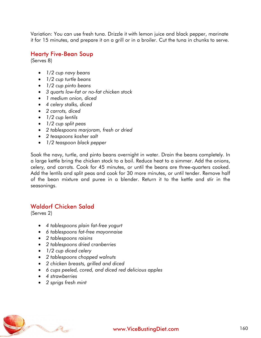Variation: You can use fresh tuna. Drizzle it with lemon juice and black pepper, marinate it for 15 minutes, and prepare it on a grill or in a broiler. Cut the tuna in chunks to serve.

#### Hearty Five-Bean Soup

(Serves 8)

- *1/2 cup navy beans*
- *1/2 cup turtle beans*
- *1/2 cup pinto beans*
- *3 quarts low-fat or no-fat chicken stock*
- *1 medium onion, diced*
- *4 celery stalks, diced*
- *2 carrots, diced*
- *1/2 cup lentils*
- *1/2 cup split peas*
- *2 tablespoons marjoram, fresh or dried*
- *2 teaspoons kosher salt*
- *1/2 teaspoon black pepper*

Soak the navy, turtle, and pinto beans overnight in water. Drain the beans completely. In a large kettle bring the chicken stock to a boil. Reduce heat to a simmer. Add the onions, celery, and carrots. Cook for 45 minutes, or until the beans are three-quarters cooked. Add the lentils and split peas and cook for 30 more minutes, or until tender. Remove half of the bean mixture and puree in a blender. Return it to the kettle and stir in the seasonings.

# Waldorf Chicken Salad

(Serves 2)

- *4 tablespoons plain fat-free yogurt*
- *6 tablespoons fat-free mayonnaise*
- *2 tablespoons raisins*
- *2 tablespoons dried cranberries*
- *1/2 cup diced celery*
- *2 tablespoons chopped walnuts*
- *2 chicken breasts, grilled and diced*
- *6 cups peeled, cored, and diced red delicious apples*
- *4 strawberries*
- *2 sprigs fresh mint*

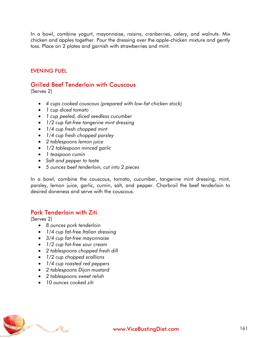In a bowl, combine yogurt, mayonnaise, raisins, cranberries, celery, and walnuts. Mix chicken and apples together. Pour the dressing over the apple-chicken mixture and gently toss. Place on 2 plates and garnish with strawberries and mint.

#### EVENING FUEL

### Grilled Beef Tenderloin with Couscous

(Serves 2)

- *4 cups cooked couscous (prepared with low-fat chicken stock)*
- *1 cup diced tomato*
- *1 cup peeled, diced seedless cucumber*
- *1/2 cup fat-free tangerine mint dressing*
- *1/4 cup fresh chopped mint*
- *1/4 cup fresh chopped parsley*
- *2 tablespoons lemon juice*
- *1/2 tablespoon minced garlic*
- *1 teaspoon cumin*
- *Salt and pepper to taste*
- *5 ounces beef tenderloin, cut into 2 pieces*

In a bowl, combine the couscous, tomato, cucumber, tangerine mint dressing, mint, parsley, lemon juice, garlic, cumin, salt, and pepper. Charbroil the beef tenderloin to desired doneness and serve with the couscous.

#### Pork Tenderloin with Ziti

(Serves 2)

- *8 ounces pork tenderloin*
- *1/4 cup fat-free Italian dressing*
- *3/4 cup fat-free mayonnaise*
- *1/2 cup fat-free sour cream*
- *2 tablespoons chopped fresh dill*
- *1/2 cup chopped scallions*
- *1/4 cup roasted red peppers*
- *2 tablespoons Dijon mustard*
- *2 tablespoons sweet relish*
- *10 ounces cooked ziti*

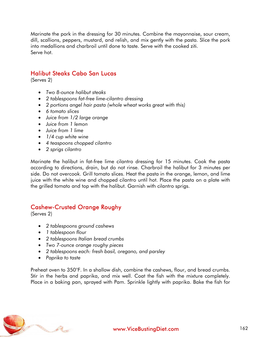Marinate the pork in the dressing for 30 minutes. Combine the mayonnaise, sour cream, dill, scallions, peppers, mustard, and relish, and mix gently with the pasta. Slice the pork into medallions and charbroil until done to taste. Serve with the cooked ziti. Serve hot.

## Halibut Steaks Cabo San Lucas

(Serves 2)

- *Two 8-ounce halibut steaks*
- *2 tablespoons fat-free lime-cilantro dressing*
- *2 portions angel hair pasta (whole wheat works great with this)*
- *6 tomato slices*
- *Juice from 1/2 large orange*
- *Juice from 1 lemon*
- *Juice from 1 lime*
- *1/4 cup white wine*
- *4 teaspoons chopped cilantro*
- *2 sprigs cilantro*

Marinate the halibut in fat-free lime cilantro dressing for 15 minutes. Cook the pasta according to directions, drain, but do not rinse. Charbroil the halibut for 3 minutes per side. Do not overcook. Grill tomato slices. Heat the pasta in the orange, lemon, and lime juice with the white wine and chopped cilantro until hot. Place the pasta on a plate with the grilled tomato and top with the halibut. Garnish with cilantro sprigs.

# Cashew-Crusted Orange Roughy

(Serves 2)

- *2 tablespoons ground cashews*
- *1 tablespoon flour*
- *2 tablespoons Italian bread crumbs*
- *Two 7-ounce orange roughy pieces*
- *2 tablespoons each: fresh basil, oregano, and parsley*
- *Paprika to taste*

Preheat oven to 350°F. In a shallow dish, combine the cashews, flour, and bread crumbs. Stir in the herbs and paprika, and mix well. Coat the fish with the mixture completely. Place in a baking pan, sprayed with Pam. Sprinkle lightly with paprika. Bake the fish for

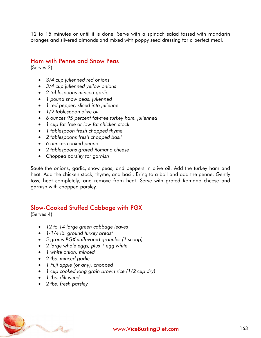12 to 15 minutes or until it is done. Serve with a spinach salad tossed with mandarin oranges and slivered almonds and mixed with poppy seed dressing for a perfect meal.

### Ham with Penne and Snow Peas

(Serves 2)

- *3/4 cup julienned red onions*
- *3/4 cup julienned yellow onions*
- *2 tablespoons minced garlic*
- *1 pound snow peas, julienned*
- *1 red pepper, sliced into julienne*
- *1/2 tablespoon olive oil*
- *6 ounces 95 percent fat-free turkey ham, julienned*
- *1 cup fat-free or low-fat chicken stock*
- *1 tablespoon fresh chopped thyme*
- *2 tablespoons fresh chopped basil*
- *6 ounces cooked penne*
- *2 tablespoons grated Romano cheese*
- *Chopped parsley for garnish*

Sauté the onions, garlic, snow peas, and peppers in olive oil. Add the turkey ham and heat. Add the chicken stock, thyme, and basil. Bring to a boil and add the penne. Gently toss, heat completely, and remove from heat. Serve with grated Romano cheese and garnish with chopped parsley.

# Slow-Cooked Stuffed Cabbage with PGX

(Serves 4)

- *12 to 14 large green cabbage leaves*
- *1-1/4 lb. ground turkey breast*
- *5 grams PGX unflavored granules (1 scoop)*
- *2 large whole eggs, plus 1 egg white*
- *1 white onion, minced*
- *2 tbs. minced garlic*
- *1 Fuji apple (or any), chopped*
- *1 cup cooked long grain brown rice (1/2 cup dry)*
- *1 tbs. dill weed*
- *2 tbs. fresh parsley*

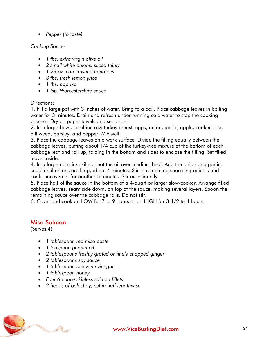• *Pepper (to taste)* 

#### *Cooking Sauce:*

- *1 tbs. extra virgin olive oil*
- *2 small white onions, sliced thinly*
- *1 28-oz. can crushed tomatoes*
- *3 tbs. fresh lemon juice*
- *1 tbs. paprika*
- *1 tsp. Worcestershire sauce*

#### Directions:

1. Fill a large pot with 3 inches of water. Bring to a boil. Place cabbage leaves in boiling water for 3 minutes. Drain and refresh under running cold water to stop the cooking process. Dry on paper towels and set aside.

2. In a large bowl, combine raw turkey breast, eggs, onion, garlic, apple, cooked rice, dill weed, parsley, and pepper. Mix well.

3. Place the cabbage leaves on a work surface. Divide the filling equally between the cabbage leaves, putting about 1/4 cup of the turkey-rice mixture at the bottom of each cabbage leaf and roll up, folding in the bottom and sides to enclose the filling. Set filled leaves aside.

4. In a large nonstick skillet, heat the oil over medium heat. Add the onion and garlic; sauté until onions are limp, about 4 minutes. Stir in remaining sauce ingredients and cook, uncovered, for another 5 minutes. Stir occasionally.

5. Place half of the sauce in the bottom of a 4-quart or larger slow-cooker. Arrange filled cabbage leaves, seam side down, on top of the sauce, making several layers. Spoon the remaining sauce over the cabbage rolls. Do not stir.

6. Cover and cook on LOW for 7 to 9 hours or on HIGH for 3-1/2 to 4 hours.

### Miso Salmon

(Serves 4)

- *1 tablespoon red miso paste*
- *1 teaspoon peanut oil*
- *2 tablespoons freshly grated or finely chopped ginger*
- *2 tablespoons soy sauce*
- *1 tablespoon rice wine vinegar*
- *1 tablespoon honey*
- *Four 6-ounce skinless salmon fillets*
- *2 heads of bok choy, cut in half lengthwise*

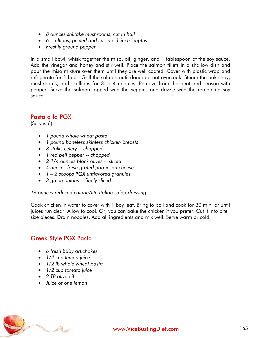- *8 ounces shiitake mushrooms, cut in half*
- *6 scallions, peeled and cut into 1-inch lengths*
- *Freshly ground pepper*

In a small bowl, whisk together the miso, oil, ginger, and 1 tablespoon of the soy sauce. Add the vinegar and honey and stir well. Place the salmon fillets in a shallow dish and pour the miso mixture over them until they are well coated. Cover with plastic wrap and refrigerate for 1 hour. Grill the salmon until done; do not overcook. Steam the bok choy, mushrooms, and scallions for 3 to 4 minutes. Remove from the heat and season with pepper. Serve the salmon topped with the veggies and drizzle with the remaining soy sauce.

# Pasta a la PGX

(Serves 6)

- *1 pound whole wheat pasta*
- *1 pound boneless skinless chicken breasts*
- *3 stalks celery -- chopped*
- *1 red bell pepper -- chopped*
- *2-1/4 ounces black olives -- sliced*
- *4 ounces fresh grated parmesan cheese*
- *1 2 scoops PGX unflavored granules*
- *3 green onions -- finely sliced*

*16 ounces reduced calorie/lite Italian salad dressing* 

Cook chicken in water to cover with 1 bay leaf. Bring to boil and cook for 30 min. or until juices run clear. Allow to cool. Or, you can bake the chicken if you prefer. Cut it into bite size pieces. Drain noodles. Add all ingredients and mix well. Serve warm or cold.

# Greek Style PGX Pasta

- *6 fresh baby artichokes*
- *1/4 cup lemon juice*
- *1/2 lb whole wheat pasta*
- *1/2 cup tomato juice*
- *2 TB olive oil*
- *Juice of one lemon*

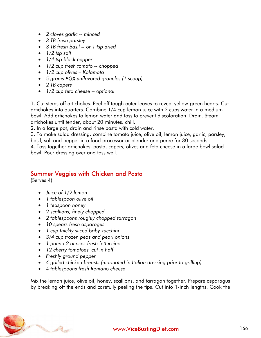- *2 cloves garlic -- minced*
- *3 TB fresh parsley*
- *3 TB fresh basil -- or 1 tsp dried*
- *1/2 tsp salt*
- *1/4 tsp black pepper*
- *1/2 cup fresh tomato -- chopped*
- *1/2 cup olives Kalamata*
- *5 grams PGX unflavored granules (1 scoop)*
- *2 TB capers*
- *1/2 cup feta cheese -- optional*

1. Cut stems off artichokes. Peel off tough outer leaves to reveal yellow-green hearts. Cut artichokes into quarters. Combine 1/4 cup lemon juice with 2 cups water in a medium bowl. Add artichokes to lemon water and toss to prevent discoloration. Drain. Steam artichokes until tender, about 20 minutes. chill.

2. In a large pot, drain and rinse pasta with cold water.

3. To make salad dressing: combine tomato juice, olive oil, lemon juice, garlic, parsley, basil, salt and pepper in a food processor or blender and puree for 30 seconds. 4. Toss together artichokes, pasta, capers, olives and feta cheese in a large bowl salad bowl. Pour dressing over and toss well.

# Summer Veggies with Chicken and Pasta

(Serves 4)

- *Juice of 1/2 lemon*
- *1 tablespoon olive oil*
- *1 teaspoon honey*
- *2 scallions, finely chopped*
- *2 tablespoons roughly chopped tarragon*
- *10 spears fresh asparagus*
- *1 cup thickly sliced baby zucchini*
- *3/4 cup frozen peas and pearl onions*
- *1 pound 2 ounces fresh fettuccine*
- *12 cherry tomatoes, cut in half*
- *Freshly ground pepper*
- *4 grilled chicken breasts (marinated in Italian dressing prior to grilling)*
- *4 tablespoons fresh Romano cheese*

Mix the lemon juice, olive oil, honey, scallions, and tarragon together. Prepare asparagus by breaking off the ends and carefully peeling the tips. Cut into 1-inch lengths. Cook the

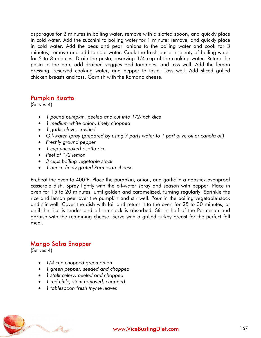asparagus for 2 minutes in boiling water, remove with a slotted spoon, and quickly place in cold water. Add the zucchini to boiling water for 1 minute; remove, and quickly place in cold water. Add the peas and pearl onions to the boiling water and cook for 3 minutes; remove and add to cold water. Cook the fresh pasta in plenty of boiling water for 2 to 3 minutes. Drain the pasta, reserving 1/4 cup of the cooking water. Return the pasta to the pan, add drained veggies and tomatoes, and toss well. Add the lemon dressing, reserved cooking water, and pepper to taste. Toss well. Add sliced grilled chicken breasts and toss. Garnish with the Romano cheese.

### Pumpkin Risotto

(Serves 4)

- *1 pound pumpkin, peeled and cut into 1/2-inch dice*
- *1 medium white onion, finely chopped*
- *1 garlic clove, crushed*
- *Oil-water spray (prepared by using 7 parts water to 1 part olive oil or canola oil)*
- *Freshly ground pepper*
- *1 cup uncooked risotto rice*
- *Peel of 1/2 lemon*
- *3 cups boiling vegetable stock*
- *1 ounce finely grated Parmesan cheese*

Preheat the oven to 400°F. Place the pumpkin, onion, and garlic in a nonstick ovenproof casserole dish. Spray lightly with the oil-water spray and season with pepper. Place in oven for 15 to 20 minutes, until golden and caramelized, turning regularly. Sprinkle the rice and lemon peel over the pumpkin and stir well. Pour in the boiling vegetable stock and stir well. Cover the dish with foil and return it to the oven for 25 to 30 minutes, or until the rice is tender and all the stock is absorbed. Stir in half of the Parmesan and garnish with the remaining cheese. Serve with a grilled turkey breast for the perfect fall meal.

#### Mango Salsa Snapper

(Serves 4)

- *1/4 cup chopped green onion*
- *1 green pepper, seeded and chopped*
- *1 stalk celery, peeled and chopped*
- *1 red chile, stem removed, chopped*
- *1 tablespoon fresh thyme leaves*

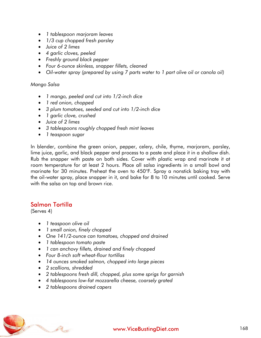- *1 tablespoon marjoram leaves*
- *1/3 cup chopped fresh parsley*
- *Juice of 2 limes*
- *4 garlic cloves, peeled*
- *Freshly ground black pepper*
- *Four 6-ounce skinless, snapper fillets, cleaned*
- *Oil-water spray (prepared by using 7 parts water to 1 part olive oil or canola oil)*

#### *Mango Salsa*

- *1 mango, peeled and cut into 1/2-inch dice*
- *1 red onion, chopped*
- *3 plum tomatoes, seeded and cut into 1/2-inch dice*
- *1 garlic clove, crushed*
- *Juice of 2 limes*
- *3 tablespoons roughly chopped fresh mint leaves*
- *1 teaspoon sugar*

In blender, combine the green onion, pepper, celery, chile, thyme, marjoram, parsley, lime juice, garlic, and black pepper and process to a paste and place it in a shallow dish. Rub the snapper with paste on both sides. Cover with plastic wrap and marinate it at room temperature for at least 2 hours. Place all salsa ingredients in a small bowl and marinate for 30 minutes. Preheat the oven to 450°F. Spray a nonstick baking tray with the oil-water spray, place snapper in it, and bake for 8 to 10 minutes until cooked. Serve with the salsa on top and brown rice.

### Salmon Tortilla

(Serves 4)

- *1 teaspoon olive oil*
- *1 small onion, finely chopped*
- *One 141/2-ounce can tomatoes, chopped and drained*
- *1 tablespoon tomato paste*
- *1 can anchovy fillets, drained and finely chopped*
- *Four 8-inch soft wheat-flour tortillas*
- *14 ounces smoked salmon, chopped into large pieces*
- *2 scallions, shredded*
- *2 tablespoons fresh dill, chopped, plus some sprigs for garnish*
- *4 tablespoons low-fat mozzarella cheese, coarsely grated*
- *2 tablespoons drained capers*

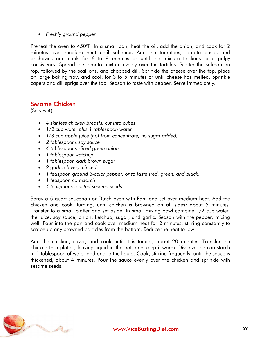• *Freshly ground pepper* 

Preheat the oven to 450°F. In a small pan, heat the oil, add the onion, and cook for 2 minutes over medium heat until softened. Add the tomatoes, tomato paste, and anchovies and cook for 6 to 8 minutes or until the mixture thickens to a pulpy consistency. Spread the tomato mixture evenly over the tortillas. Scatter the salmon on top, followed by the scallions, and chopped dill. Sprinkle the cheese over the top, place on large baking tray, and cook for 3 to 5 minutes or until cheese has melted. Sprinkle capers and dill sprigs over the top. Season to taste with pepper. Serve immediately.

### Sesame Chicken

(Serves 4)

- *4 skinless chicken breasts, cut into cubes*
- *1/2 cup water plus 1 tablespoon water*
- *1/3 cup apple juice (not from concentrate; no sugar added)*
- *2 tablespoons soy sauce*
- *4 tablespoons sliced green onion*
- *1 tablespoon ketchup*
- *1 tablespoon dark brown sugar*
- *2 garlic cloves, minced*
- *1 teaspoon ground 3-color pepper, or to taste (red, green, and black)*
- *1 teaspoon cornstarch*
- *4 teaspoons toasted sesame seeds*

Spray a 5-quart saucepan or Dutch oven with Pam and set over medium heat. Add the chicken and cook, turning, until chicken is browned on all sides; about 5 minutes. Transfer to a small platter and set aside. In small mixing bowl combine 1/2 cup water, the juice, soy sauce, onion, ketchup, sugar, and garlic. Season with the pepper, mixing well. Pour into the pan and cook over medium heat for 2 minutes, stirring constantly to scrape up any browned particles from the bottom. Reduce the heat to low.

Add the chicken; cover, and cook until it is tender; about 20 minutes. Transfer the chicken to a platter, leaving liquid in the pot, and keep it warm. Dissolve the cornstarch in 1 tablespoon of water and add to the liquid. Cook, stirring frequently, until the sauce is thickened, about 4 minutes. Pour the sauce evenly over the chicken and sprinkle with sesame seeds.

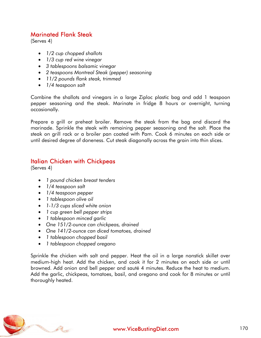## Marinated Flank Steak

(Serves 4)

- *1/2 cup chopped shallots*
- *1/3 cup red wine vinegar*
- *3 tablespoons balsamic vinegar*
- *2 teaspoons Montreal Steak (pepper) seasoning*
- *11/2 pounds flank steak, trimmed*
- *1/4 teaspoon salt*

Combine the shallots and vinegars in a large Ziploc plastic bag and add 1 teaspoon pepper seasoning and the steak. Marinate in fridge 8 hours or overnight, turning occasionally.

Prepare a grill or preheat broiler. Remove the steak from the bag and discard the marinade. Sprinkle the steak with remaining pepper seasoning and the salt. Place the steak on grill rack or a broiler pan coated with Pam. Cook 6 minutes on each side or until desired degree of doneness. Cut steak diagonally across the grain into thin slices.

### Italian Chicken with Chickpeas

(Serves 4)

- *1 pound chicken breast tenders*
- *1/4 teaspoon salt*
- *1/4 teaspoon pepper*
- *1 tablespoon olive oil*
- *1-1/3 cups sliced white onion*
- *1 cup green bell pepper strips*
- *1 tablespoon minced garlic*
- *One 151/2-ounce can chickpeas, drained*
- *One 141/2-ounce can diced tomatoes, drained*
- *1 tablespoon chopped basil*
- *1 tablespoon chopped oregano*

Sprinkle the chicken with salt and pepper. Heat the oil in a large nonstick skillet over medium-high heat. Add the chicken, and cook it for 2 minutes on each side or until browned. Add onion and bell pepper and sauté 4 minutes. Reduce the heat to medium. Add the garlic, chickpeas, tomatoes, basil, and oregano and cook for 8 minutes or until thoroughly heated.

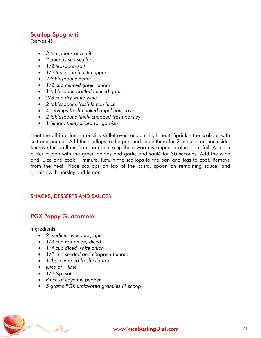# Scallop Spaghetti

(Serves 4)

- *3 teaspoons olive oil*
- *2 pounds sea scallops*
- *1/2 teaspoon salt*
- *1/2 teaspoon black pepper*
- *2 tablespoons butter*
- *1/2 cup minced green onions*
- *1 tablespoon bottled minced garlic*
- *2/3 cup dry white wine*
- *2 tablespoons fresh lemon juice*
- *4 servings fresh-cooked angel hair pasta*
- *2 tablespoons finely chopped fresh parsley*
- *1 lemon, thinly sliced for garnish*

Heat the oil in a large nonstick skillet over medium-high heat. Sprinkle the scallops with salt and pepper. Add the scallops to the pan and sauté them for 2 minutes on each side. Remove the scallops from pan and keep them warm wrapped in aluminum foil. Add the butter to pan with the green onions and garlic and sauté for 30 seconds. Add the wine and juice and cook 1 minute. Return the scallops to the pan and toss to coat. Remove from the heat. Place scallops on top of the pasta, spoon on remaining sauce, and garnish with parsley and lemon.

### SNACKS, DESSERTS AND SAUCES

# PGX Peppy Guacamole

Ingredients:

- *2 medium avocados, ripe*
- *1/4 cup red onion, diced*
- *1/4 cup diced white onion*
- *1/2 cup seeded and chopped tomato*
- *1 tbs. chopped fresh cilantro*
- *juice of 1 lime*
- *1/2 tsp. salt*
- *Pinch of cayenne pepper*
- *5 grams PGX unflavored granules (1 scoop)*

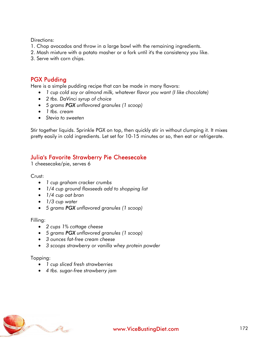Directions:

- 1. Chop avocados and throw in a large bowl with the remaining ingredients.
- 2. Mash mixture with a potato masher or a fork until it's the consistency you like.
- 3. Serve with corn chips.

## PGX Pudding

Here is a simple pudding recipe that can be made in many flavors:

- *1 cup cold soy or almond milk, whatever flavor you want (I like chocolate)*
- *2 tbs. DaVinci syrup of choice*
- *5 grams PGX unflavored granules (1 scoop)*
- *1 tbs. cream*
- *Stevia to sweeten*

Stir together liquids. Sprinkle PGX on top, then quickly stir in without clumping it. It mixes pretty easily in cold ingredients. Let set for 10-15 minutes or so, then eat or refrigerate.

## Julia's Favorite Strawberry Pie Cheesecake

1 cheesecake/pie, serves 6

### Crust:

- *1 cup graham cracker crumbs*
- *1/4 cup ground flaxseeds add to shopping list*
- *1/4 cup oat bran*
- *1/3 cup water*
- *5 grams PGX unflavored granules (1 scoop)*

#### Filling:

- *2 cups 1% cottage cheese*
- *5 grams PGX unflavored granules (1 scoop)*
- *3 ounces fat-free cream cheese*
- *3 scoops strawberry or vanilla whey protein powder*

### Topping:

- *1 cup sliced fresh strawberries*
- *4 tbs. sugar-free strawberry jam*

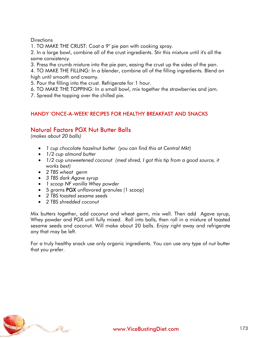**Directions** 

1. TO MAKE THE CRUST: Coat a 9" pie pan with cooking spray.

2. In a large bowl, combine all of the crust ingredients. Stir this mixture until it's all the same consistency.

3. Press the crumb mixture into the pie pan, easing the crust up the sides of the pan.

4. TO MAKE THE FILLING: In a blender, combine all of the filling ingredients. Blend on high until smooth and creamy.

5. Pour the filling into the crust. Refrigerate for 1 hour.

6. TO MAKE THE TOPPING: In a small bowl, mix together the strawberries and jam.

7. Spread the topping over the chilled pie.

### HANDY 'ONCE-A-WEEK' RECIPES FOR HEALTHY BREAKFAST AND SNACKS

## Natural Factors PGX Nut Butter Balls

*(makes about 20 balls)* 

- *1 cup chocolate hazelnut butter (you can find this at Central Mkt)*
- *1/2 cup almond butter*
- 1/2 cup unsweetened coconut (med shred, I got this tip from a good source, it *works best)*
- *2 TBS wheat germ*
- *3 TBS dark Agave syrup*
- *1 scoop NF vanilla Whey powder*
- 5 grams PGX unflavored granules (1 scoop)
- *2 TBS toasted sesame seeds*
- *2 TBS shredded coconut*

Mix butters together, add coconut and wheat germ, mix well. Then add Agave syrup, Whey powder and PGX until fully mixed. Roll into balls, then roll in a mixture of toasted sesame seeds and coconut. Will make about 20 balls. Enjoy right away and refrigerate any that may be left.

For a truly healthy snack use only organic ingredients. You can use any type of nut butter that you prefer.

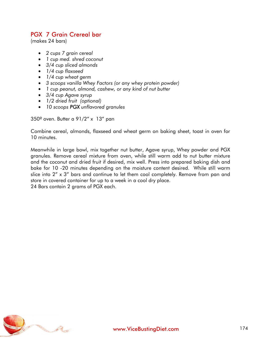# PGX 7 Grain Crereal bar

(makes 24 bars)

- *2 cups 7 grain cereal*
- *1 cup med. shred coconut*
- *3/4 cup sliced almonds*
- *1/4 cup flaxseed*
- *1/4 cup wheat germ*
- *3 scoops vanilla Whey Factors (or any whey protein powder)*
- *1 cup peanut, almond, cashew, or any kind of nut butter*
- *3/4 cup Agave syrup*
- *1/2 dried fruit (optional)*
- *10 scoops PGX unflavored granules*

350º oven. Butter a 91/2" x 13" pan

Combine cereal, almonds, flaxseed and wheat germ on baking sheet, toast in oven for 10 minutes.

Meanwhile in large bowl, mix together nut butter, Agave syrup, Whey powder and PGX granules. Remove cereal mixture from oven, while still warm add to nut butter mixture and the coconut and dried fruit if desired, mix well. Press into prepared baking dish and bake for 10 -20 minutes depending on the moisture content desired. While still warm slice into 2" x 3" bars and continue to let them cool completely. Remove from pan and store in covered container for up to a week in a cool dry place. 24 Bars contain 2 grams of PGX each.

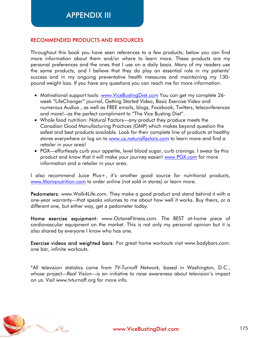#### RECOMMENDED PRODUCTS AND RESOURCES

Throughout this book you have seen references to a few products; below you can find more information about them and/or where to learn more. These products are my personal preferences and the ones that I use on a daily basis. Many of my readers use the same products, and I believe that they do play an essential role in my patients' success and in my ongoing preventative health measures and maintaining my 130 pound weight loss. If you have any questions you can reach me for more information.

- Motivational support tools: www.ViceBustingDiet.com You can get my complete 26week "LifeChanger" journal, Getting Started Video, Basic Exercise Video and numerous Audios , as well as FREE emails, blogs, Facebook, Twitters, teleconferences and more!--as the perfect compliment to "The Vice Busting Diet".
- Whole food nutrition: Natural Factors—any product they produce meets the Canadian Good Manufacturing Practices (GMP) which makes beyond question the safest and best products available. Look for their complete line of products at healthy stores everywhere or log on to www.us.naturalfactors.com to learn more and find a retailer in your area!
- PGX—effortlessly curb your appetite, level blood sugar, curb cravings. I swear by this product and know that it will make your journey easier! www.PGX.com for more information and a retailer in your area.

I also recommend Juice Plus+, it's another good source for nutritional products, www.Momsnutrition.com to order online (not sold in stores) or learn more.

Pedometers: www.Walk4Life.com. They make a good product and stand behind it with a one-year warranty—that speaks volumes to me about how well it works. Buy theirs, or a different one, but either way, get a pedometer today.

Home exercise equipment: www.OctaneFitness.com. The BEST at-home piece of cardiovascular equipment on the market. This is not only my personal opinion but it is also shared by everyone I know who has one.

Exercise videos and weighted bars: For great home workouts visit www.bodybars.com: one bar, infinite workouts.

\*All television statistics come from *TV-Turnoff Network,* based in Washington, D.C., whose project—*Real Vision*—is an initiative to raise awareness about television's impact on us. Visit www.tvturnoff.org for more info.

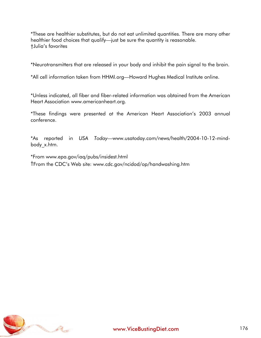\*These are healthier substitutes, but do not eat unlimited quantities. There are many other healthier food choices that qualify—just be sure the quantity is reasonable. †Julia's favorites

\*Neurotransmitters that are released in your body and inhibit the pain signal to the brain.

\*All cell information taken from HHMI.org—Howard Hughes Medical Institute online.

\*Unless indicated, all fiber and fiber-related information was obtained from the American Heart Association www.americanheart.org.

\*These findings were presented at the American Heart Association's 2003 annual conference.

\*As reported in *USA Today*—www.usatoday.com/news/health/2004-10-12-mindbody\_x.htm.

\*From www.epa.gov/iaq/pubs/insidest.html

†From the CDC's Web site: www.cdc.gov/ncidod/op/handwashing.htm